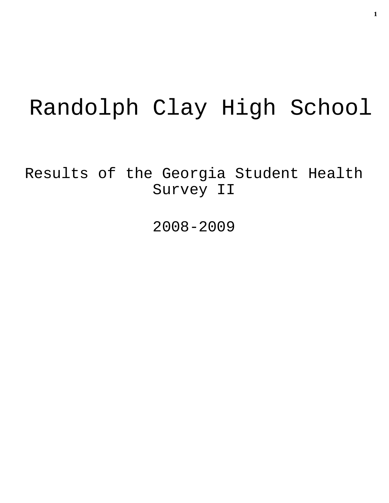# Randolph Clay High School

Results of the Georgia Student Health Survey II

2008-2009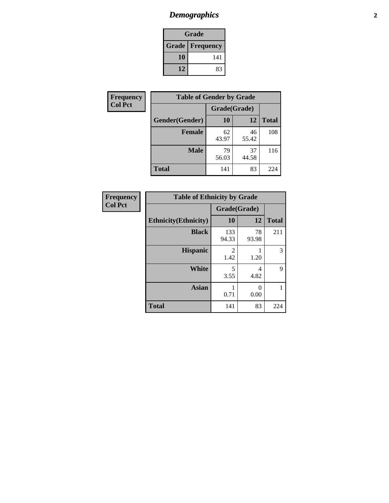# *Demographics* **2**

| Grade                    |     |  |  |  |
|--------------------------|-----|--|--|--|
| <b>Grade   Frequency</b> |     |  |  |  |
| 10                       | 141 |  |  |  |
| 12                       | 83  |  |  |  |

| Frequency      | <b>Table of Gender by Grade</b> |              |             |              |
|----------------|---------------------------------|--------------|-------------|--------------|
| <b>Col Pct</b> |                                 | Grade(Grade) |             |              |
|                | Gender(Gender)                  | 10           | 12          | <b>Total</b> |
|                | <b>Female</b>                   | 62<br>43.97  | 46<br>55.42 | 108          |
|                | <b>Male</b>                     | 79<br>56.03  | 37<br>44.58 | 116          |
|                | <b>Total</b>                    | 141          | 83          | 224          |

| <b>Frequency</b><br>Col Pct |
|-----------------------------|
|-----------------------------|

| <b>Table of Ethnicity by Grade</b> |              |             |              |  |  |  |
|------------------------------------|--------------|-------------|--------------|--|--|--|
|                                    | Grade(Grade) |             |              |  |  |  |
| <b>Ethnicity</b> (Ethnicity)       | 10           | 12          | <b>Total</b> |  |  |  |
| <b>Black</b>                       | 133<br>94.33 | 78<br>93.98 | 211          |  |  |  |
| <b>Hispanic</b>                    | 2<br>1.42    | 1.20        | 3            |  |  |  |
| <b>White</b>                       | 5<br>3.55    | 4<br>4.82   | 9            |  |  |  |
| <b>Asian</b>                       | 0.71         | 0<br>0.00   | 1            |  |  |  |
| <b>Total</b>                       | 141          | 83          | 224          |  |  |  |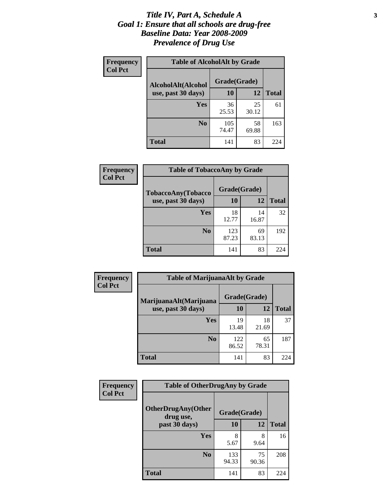#### *Title IV, Part A, Schedule A* **3** *Goal 1: Ensure that all schools are drug-free Baseline Data: Year 2008-2009 Prevalence of Drug Use*

| Frequency<br><b>Col Pct</b> | <b>Table of AlcoholAlt by Grade</b> |              |             |              |  |  |
|-----------------------------|-------------------------------------|--------------|-------------|--------------|--|--|
|                             | AlcoholAlt(Alcohol                  | Grade(Grade) |             |              |  |  |
|                             | use, past 30 days)                  | <b>10</b>    | 12          | <b>Total</b> |  |  |
|                             | Yes                                 | 36<br>25.53  | 25<br>30.12 | 61           |  |  |
|                             | N <sub>0</sub>                      | 105<br>74.47 | 58<br>69.88 | 163          |  |  |
|                             | Total                               | 141          | 83          | 224          |  |  |

| Frequency      | <b>Table of TobaccoAny by Grade</b> |              |             |              |  |  |
|----------------|-------------------------------------|--------------|-------------|--------------|--|--|
| <b>Col Pct</b> | <b>TobaccoAny(Tobacco</b>           | Grade(Grade) |             |              |  |  |
|                | use, past 30 days)                  | 10           | 12          | <b>Total</b> |  |  |
|                | Yes                                 | 18<br>12.77  | 14<br>16.87 | 32           |  |  |
|                | N <sub>0</sub>                      | 123<br>87.23 | 69<br>83.13 | 192          |  |  |
|                | Total                               | 141          | 83          | 224          |  |  |

| Frequency<br><b>Col Pct</b> | <b>Table of MarijuanaAlt by Grade</b> |              |             |              |  |
|-----------------------------|---------------------------------------|--------------|-------------|--------------|--|
|                             | MarijuanaAlt(Marijuana                | Grade(Grade) |             |              |  |
|                             | use, past 30 days)                    | 10           | 12          | <b>Total</b> |  |
|                             | Yes                                   | 19<br>13.48  | 18<br>21.69 | 37           |  |
|                             | N <sub>0</sub>                        | 122<br>86.52 | 65<br>78.31 | 187          |  |
|                             | <b>Total</b>                          | 141          | 83          | 224          |  |

| Frequency<br><b>Col Pct</b> | <b>Table of OtherDrugAny by Grade</b>  |              |             |              |  |  |
|-----------------------------|----------------------------------------|--------------|-------------|--------------|--|--|
|                             | <b>OtherDrugAny(Other</b><br>drug use, | Grade(Grade) |             |              |  |  |
|                             | past 30 days)                          | 10           | 12          | <b>Total</b> |  |  |
|                             | Yes                                    | 8<br>5.67    | 8<br>9.64   | 16           |  |  |
|                             | N <sub>0</sub>                         | 133<br>94.33 | 75<br>90.36 | 208          |  |  |
|                             | <b>Total</b>                           | 141          | 83          | 224          |  |  |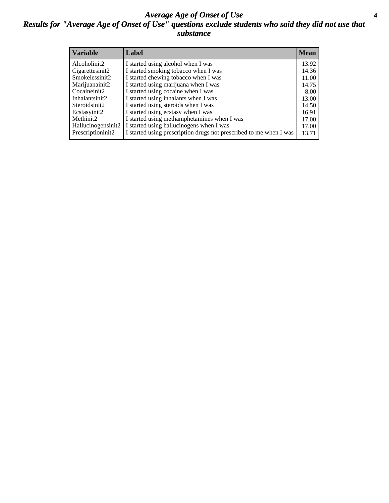#### *Average Age of Onset of Use* **4** *Results for "Average Age of Onset of Use" questions exclude students who said they did not use that substance*

| <b>Variable</b>    | Label                                                              | <b>Mean</b> |
|--------------------|--------------------------------------------------------------------|-------------|
| Alcoholinit2       | I started using alcohol when I was                                 | 13.92       |
| Cigarettesinit2    | I started smoking tobacco when I was                               | 14.36       |
| Smokelessinit2     | I started chewing tobacco when I was                               | 11.00       |
| Marijuanainit2     | I started using marijuana when I was                               | 14.75       |
| Cocaineinit2       | I started using cocaine when I was                                 | 8.00        |
| Inhalantsinit2     | I started using inhalants when I was                               | 13.00       |
| Steroidsinit2      | I started using steroids when I was                                | 14.50       |
| Ecstasyinit2       | I started using ecstasy when I was                                 | 16.91       |
| Methinit2          | I started using methamphetamines when I was                        | 17.00       |
| Hallucinogensinit2 | I started using hallucinogens when I was                           | 17.00       |
| Prescriptioninit2  | I started using prescription drugs not prescribed to me when I was | 13.71       |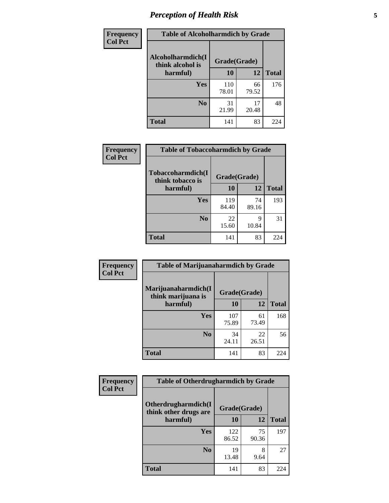# *Perception of Health Risk* **5**

| Frequency      | <b>Table of Alcoholharmdich by Grade</b> |              |             |              |  |
|----------------|------------------------------------------|--------------|-------------|--------------|--|
| <b>Col Pct</b> | Alcoholharmdich(I<br>think alcohol is    | Grade(Grade) |             |              |  |
|                | harmful)                                 | 10           | 12          | <b>Total</b> |  |
|                | <b>Yes</b>                               | 110<br>78.01 | 66<br>79.52 | 176          |  |
|                | N <sub>0</sub>                           | 31<br>21.99  | 17<br>20.48 | 48           |  |
|                | <b>Total</b>                             | 141          | 83          | 224          |  |

| Frequency      | <b>Table of Tobaccoharmdich by Grade</b> |              |             |              |  |
|----------------|------------------------------------------|--------------|-------------|--------------|--|
| <b>Col Pct</b> | Tobaccoharmdich(I<br>think tobacco is    | Grade(Grade) |             |              |  |
|                | harmful)                                 | 10           | 12          | <b>Total</b> |  |
|                | Yes                                      | 119<br>84.40 | 74<br>89.16 | 193          |  |
|                | N <sub>0</sub>                           | 22<br>15.60  | 9<br>10.84  | 31           |  |
|                | <b>Total</b>                             | 141          | 83          | 224          |  |

| Frequency      | <b>Table of Marijuanaharmdich by Grade</b> |              |             |              |  |  |
|----------------|--------------------------------------------|--------------|-------------|--------------|--|--|
| <b>Col Pct</b> | Marijuanaharmdich(I<br>think marijuana is  | Grade(Grade) |             |              |  |  |
|                | harmful)                                   | 10           | 12          | <b>Total</b> |  |  |
|                | Yes                                        | 107<br>75.89 | 61<br>73.49 | 168          |  |  |
|                | N <sub>0</sub>                             | 34<br>24.11  | 22<br>26.51 | 56           |  |  |
|                | <b>Total</b>                               | 141          | 83          | 224          |  |  |

| Frequency      | <b>Table of Otherdrugharmdich by Grade</b>                   |              |             |              |  |
|----------------|--------------------------------------------------------------|--------------|-------------|--------------|--|
| <b>Col Pct</b> | Otherdrugharmdich(I<br>Grade(Grade)<br>think other drugs are |              |             |              |  |
|                | harmful)                                                     | 10           | 12          | <b>Total</b> |  |
|                | Yes                                                          | 122<br>86.52 | 75<br>90.36 | 197          |  |
|                | N <sub>0</sub>                                               | 19<br>13.48  | 8<br>9.64   | 27           |  |
|                | <b>Total</b>                                                 | 141          | 83          | 224          |  |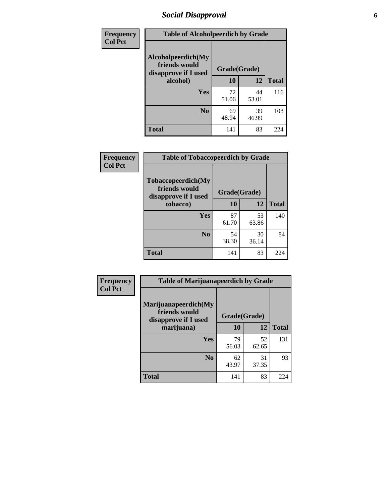# *Social Disapproval* **6**

| Frequency      | <b>Table of Alcoholpeerdich by Grade</b>                    |              |             |              |
|----------------|-------------------------------------------------------------|--------------|-------------|--------------|
| <b>Col Pct</b> | Alcoholpeerdich(My<br>friends would<br>disapprove if I used | Grade(Grade) |             |              |
|                | alcohol)                                                    | 10           | 12          | <b>Total</b> |
|                | <b>Yes</b>                                                  | 72<br>51.06  | 44<br>53.01 | 116          |
|                | N <sub>0</sub>                                              | 69<br>48.94  | 39<br>46.99 | 108          |
|                | <b>Total</b>                                                | 141          | 83          | 224          |

| <b>Frequency</b> |
|------------------|
| <b>Col Pct</b>   |

| <b>Table of Tobaccopeerdich by Grade</b>                    |              |             |              |  |  |
|-------------------------------------------------------------|--------------|-------------|--------------|--|--|
| Tobaccopeerdich(My<br>friends would<br>disapprove if I used | Grade(Grade) |             |              |  |  |
| tobacco)                                                    | 10           | 12          | <b>Total</b> |  |  |
| Yes                                                         | 87<br>61.70  | 53<br>63.86 | 140          |  |  |
| N <sub>0</sub>                                              | 54<br>38.30  | 30<br>36.14 | 84           |  |  |
| <b>Total</b>                                                | 141          | 83          | 224          |  |  |

| Frequency      | <b>Table of Marijuanapeerdich by Grade</b>                    |              |             |              |  |
|----------------|---------------------------------------------------------------|--------------|-------------|--------------|--|
| <b>Col Pct</b> | Marijuanapeerdich(My<br>friends would<br>disapprove if I used | Grade(Grade) |             |              |  |
|                | marijuana)                                                    | 10           | 12          | <b>Total</b> |  |
|                | <b>Yes</b>                                                    | 79<br>56.03  | 52<br>62.65 | 131          |  |
|                | N <sub>0</sub>                                                | 62<br>43.97  | 31<br>37.35 | 93           |  |
|                | <b>Total</b>                                                  | 141          | 83          | 224          |  |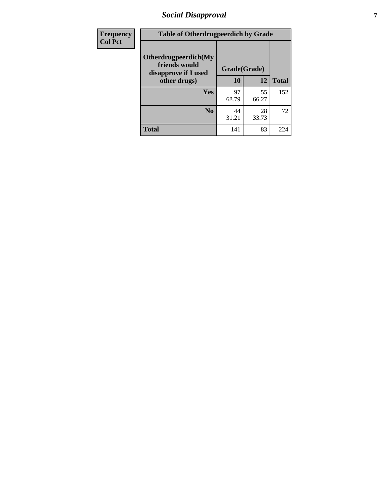# *Social Disapproval* **7**

| Frequency      | <b>Table of Otherdrugpeerdich by Grade</b>                    |              |             |              |  |
|----------------|---------------------------------------------------------------|--------------|-------------|--------------|--|
| <b>Col Pct</b> | Otherdrugpeerdich(My<br>friends would<br>disapprove if I used | Grade(Grade) |             |              |  |
|                | other drugs)                                                  | 10           | 12          | <b>Total</b> |  |
|                | Yes                                                           | 97<br>68.79  | 55<br>66.27 | 152          |  |
|                | N <sub>0</sub>                                                | 44<br>31.21  | 28<br>33.73 | 72           |  |
|                | <b>Total</b>                                                  | 141          | 83          | 224          |  |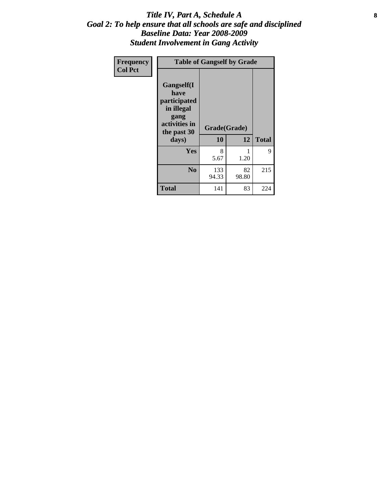#### Title IV, Part A, Schedule A **8** *Goal 2: To help ensure that all schools are safe and disciplined Baseline Data: Year 2008-2009 Student Involvement in Gang Activity*

| Frequency      | <b>Table of Gangself by Grade</b>                                                                 |                    |             |              |
|----------------|---------------------------------------------------------------------------------------------------|--------------------|-------------|--------------|
| <b>Col Pct</b> | Gangself(I<br>have<br>participated<br>in illegal<br>gang<br>activities in<br>the past 30<br>days) | Grade(Grade)<br>10 | 12          | <b>Total</b> |
|                | Yes                                                                                               | 8<br>5.67          | 1<br>1.20   | 9            |
|                | N <sub>0</sub>                                                                                    | 133<br>94.33       | 82<br>98.80 | 215          |
|                | <b>Total</b>                                                                                      | 141                | 83          | 224          |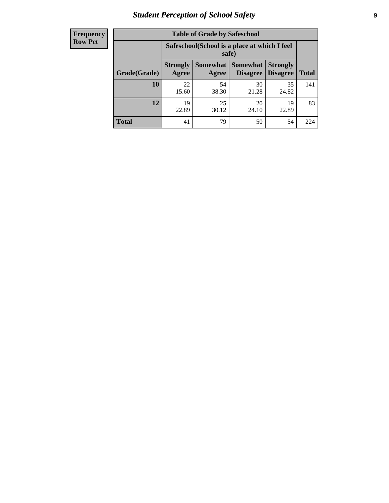# *Student Perception of School Safety* **9**

| <b>Frequency</b><br>Row Pct |
|-----------------------------|
|                             |

| <b>Table of Grade by Safeschool</b> |                                                                                                                                   |                                                        |             |             |     |  |  |
|-------------------------------------|-----------------------------------------------------------------------------------------------------------------------------------|--------------------------------------------------------|-------------|-------------|-----|--|--|
|                                     |                                                                                                                                   | Safeschool (School is a place at which I feel<br>safe) |             |             |     |  |  |
| Grade(Grade)                        | <b>Somewhat   Somewhat</b><br><b>Strongly</b><br><b>Strongly</b><br><b>Disagree</b><br>Agree<br>Disagree<br><b>Total</b><br>Agree |                                                        |             |             |     |  |  |
| 10                                  | 22<br>15.60                                                                                                                       | 54<br>38.30                                            | 30<br>21.28 | 35<br>24.82 | 141 |  |  |
| 12                                  | 19<br>22.89                                                                                                                       | 25<br>30.12                                            | 20<br>24.10 | 19<br>22.89 | 83  |  |  |
| <b>Total</b>                        | 41                                                                                                                                | 79                                                     | 50          | 54          | 224 |  |  |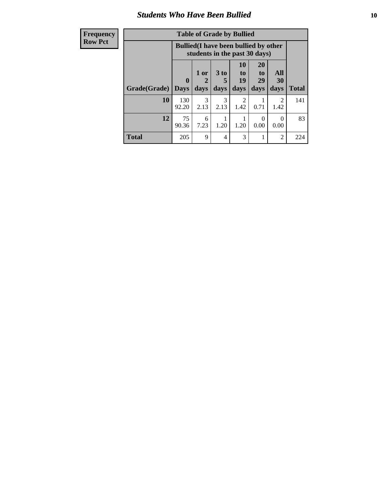### *Students Who Have Been Bullied* **10**

| <b>Frequency</b> | <b>Table of Grade by Bullied</b> |              |                       |                       |                                                                               |                       |                |              |
|------------------|----------------------------------|--------------|-----------------------|-----------------------|-------------------------------------------------------------------------------|-----------------------|----------------|--------------|
| <b>Row Pct</b>   |                                  |              |                       |                       | <b>Bullied</b> (I have been bullied by other<br>students in the past 30 days) |                       |                |              |
|                  |                                  | 0            | $1$ or<br>2           | $3$ to<br>5           | <b>10</b><br>to  <br>19                                                       | <b>20</b><br>to<br>29 | All<br>30      |              |
|                  | Grade(Grade)                     | Days         | days                  | days                  | days                                                                          | days                  | days           | <b>Total</b> |
|                  | 10                               | 130<br>92.20 | $\mathcal{F}$<br>2.13 | $\mathcal{F}$<br>2.13 | $\mathfrak{D}$<br>1.42                                                        | 0.71                  | 2<br>1.42      | 141          |
|                  | 12                               | 75<br>90.36  | 6<br>7.23             | 1.20                  | 1.20                                                                          | $\Omega$<br>0.00      | 0<br>0.00      | 83           |
|                  | <b>Total</b>                     | 205          | 9                     | $\overline{4}$        | 3                                                                             |                       | $\overline{2}$ | 224          |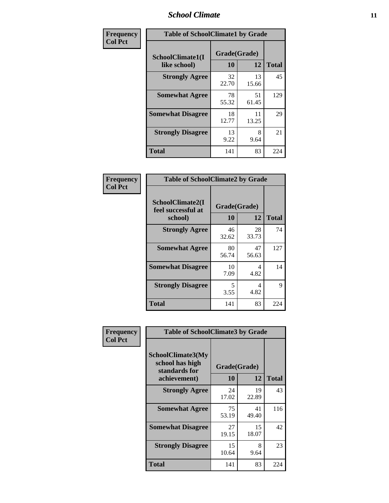### *School Climate* **11**

| Frequency      | <b>Table of SchoolClimate1 by Grade</b> |                    |             |              |  |  |
|----------------|-----------------------------------------|--------------------|-------------|--------------|--|--|
| <b>Col Pct</b> | SchoolClimate1(I<br>like school)        | Grade(Grade)<br>10 | 12          | <b>Total</b> |  |  |
|                | <b>Strongly Agree</b>                   | 32<br>22.70        | 13<br>15.66 | 45           |  |  |
|                | <b>Somewhat Agree</b>                   | 78<br>55.32        | 51<br>61.45 | 129          |  |  |
|                | <b>Somewhat Disagree</b>                | 18<br>12.77        | 11<br>13.25 | 29           |  |  |
|                | <b>Strongly Disagree</b>                | 13<br>9.22         | 8<br>9.64   | 21           |  |  |
|                | <b>Total</b>                            | 141                | 83          | 224          |  |  |

| Frequency      | <b>Table of SchoolClimate2 by Grade</b>           |                    |             |              |  |  |  |
|----------------|---------------------------------------------------|--------------------|-------------|--------------|--|--|--|
| <b>Col Pct</b> | SchoolClimate2(I<br>feel successful at<br>school) | Grade(Grade)<br>10 | 12          | <b>Total</b> |  |  |  |
|                | <b>Strongly Agree</b>                             | 46<br>32.62        | 28<br>33.73 | 74           |  |  |  |
|                | <b>Somewhat Agree</b>                             | 80<br>56.74        | 47<br>56.63 | 127          |  |  |  |
|                | <b>Somewhat Disagree</b>                          | 10<br>7.09         | 4<br>4.82   | 14           |  |  |  |
|                | <b>Strongly Disagree</b>                          | 5<br>3.55          | 4<br>4.82   | 9            |  |  |  |
|                | <b>Total</b>                                      | 141                | 83          | 224          |  |  |  |

| Frequency      | <b>Table of SchoolClimate3 by Grade</b>                      |              |             |              |  |
|----------------|--------------------------------------------------------------|--------------|-------------|--------------|--|
| <b>Col Pct</b> | <b>SchoolClimate3(My</b><br>school has high<br>standards for | Grade(Grade) |             |              |  |
|                | achievement)                                                 | <b>10</b>    | 12          | <b>Total</b> |  |
|                | <b>Strongly Agree</b>                                        | 24<br>17.02  | 19<br>22.89 | 43           |  |
|                | <b>Somewhat Agree</b>                                        | 75<br>53.19  | 41<br>49.40 | 116          |  |
|                | <b>Somewhat Disagree</b>                                     | 27<br>19.15  | 15<br>18.07 | 42           |  |
|                | <b>Strongly Disagree</b>                                     | 15<br>10.64  | 8<br>9.64   | 23           |  |
|                | Total                                                        | 141          | 83          | 224          |  |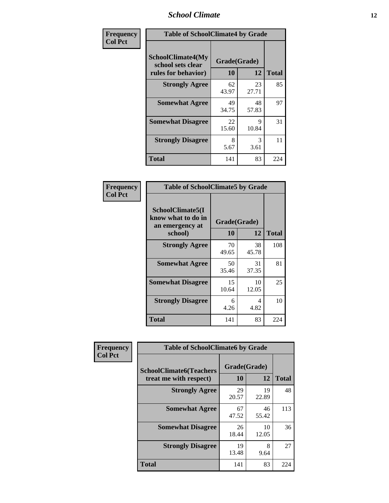### *School Climate* **12**

| Frequency      | <b>Table of SchoolClimate4 by Grade</b>                              |                    |             |              |
|----------------|----------------------------------------------------------------------|--------------------|-------------|--------------|
| <b>Col Pct</b> | <b>SchoolClimate4(My</b><br>school sets clear<br>rules for behavior) | Grade(Grade)<br>10 | 12          | <b>Total</b> |
|                | <b>Strongly Agree</b>                                                | 62<br>43.97        | 23<br>27.71 | 85           |
|                | <b>Somewhat Agree</b>                                                | 49<br>34.75        | 48<br>57.83 | 97           |
|                | <b>Somewhat Disagree</b>                                             | 22<br>15.60        | 9<br>10.84  | 31           |
|                | <b>Strongly Disagree</b>                                             | 8<br>5.67          | 3<br>3.61   | 11           |
|                | <b>Total</b>                                                         | 141                | 83          | 224          |

| <b>Table of SchoolClimate5 by Grade</b>                              |             |                    |              |  |
|----------------------------------------------------------------------|-------------|--------------------|--------------|--|
| SchoolClimate5(I<br>know what to do in<br>an emergency at<br>school) | 10          | Grade(Grade)<br>12 | <b>Total</b> |  |
| <b>Strongly Agree</b>                                                | 70<br>49.65 | 38<br>45.78        | 108          |  |
| <b>Somewhat Agree</b>                                                | 50<br>35.46 | 31<br>37.35        | 81           |  |
| <b>Somewhat Disagree</b>                                             | 15<br>10.64 | 10<br>12.05        | 25           |  |
| <b>Strongly Disagree</b>                                             | 6<br>4.26   | 4<br>4.82          | 10           |  |
| Total                                                                | 141         | 83                 | 224          |  |

| Frequency      | <b>Table of SchoolClimate6 by Grade</b>                  |                    |             |              |  |
|----------------|----------------------------------------------------------|--------------------|-------------|--------------|--|
| <b>Col Pct</b> | <b>SchoolClimate6(Teachers</b><br>treat me with respect) | Grade(Grade)<br>10 | 12          | <b>Total</b> |  |
|                | <b>Strongly Agree</b>                                    | 29<br>20.57        | 19<br>22.89 | 48           |  |
|                | <b>Somewhat Agree</b>                                    | 67<br>47.52        | 46<br>55.42 | 113          |  |
|                | <b>Somewhat Disagree</b>                                 | 26<br>18.44        | 10<br>12.05 | 36           |  |
|                | <b>Strongly Disagree</b>                                 | 19<br>13.48        | 8<br>9.64   | 27           |  |
|                | <b>Total</b>                                             | 141                | 83          | 224          |  |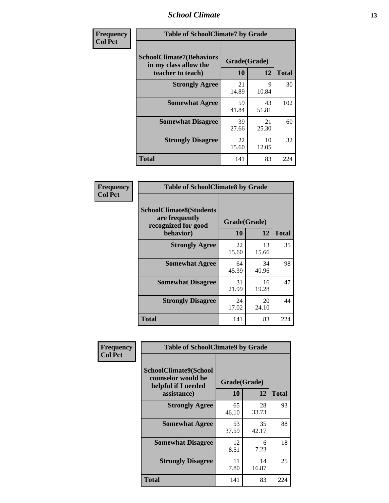### *School Climate* **13**

| Frequency      | <b>Table of SchoolClimate7 by Grade</b>                                       |                           |             |              |
|----------------|-------------------------------------------------------------------------------|---------------------------|-------------|--------------|
| <b>Col Pct</b> | <b>SchoolClimate7(Behaviors</b><br>in my class allow the<br>teacher to teach) | Grade(Grade)<br><b>10</b> | 12          | <b>Total</b> |
|                | <b>Strongly Agree</b>                                                         | 21<br>14.89               | 9<br>10.84  | 30           |
|                | <b>Somewhat Agree</b>                                                         | 59<br>41.84               | 43<br>51.81 | 102          |
|                | <b>Somewhat Disagree</b>                                                      | 39<br>27.66               | 21<br>25.30 | 60           |
|                | <b>Strongly Disagree</b>                                                      | 22<br>15.60               | 10<br>12.05 | 32           |
|                | <b>Total</b>                                                                  | 141                       | 83          | 224          |

| Frequency      | <b>Table of SchoolClimate8 by Grade</b>                                              |                    |             |              |
|----------------|--------------------------------------------------------------------------------------|--------------------|-------------|--------------|
| <b>Col Pct</b> | <b>SchoolClimate8(Students</b><br>are frequently<br>recognized for good<br>behavior) | Grade(Grade)<br>10 | 12          | <b>Total</b> |
|                | <b>Strongly Agree</b>                                                                | 22<br>15.60        | 13<br>15.66 | 35           |
|                | <b>Somewhat Agree</b>                                                                | 64<br>45.39        | 34<br>40.96 | 98           |
|                | <b>Somewhat Disagree</b>                                                             | 31<br>21.99        | 16<br>19.28 | 47           |
|                | <b>Strongly Disagree</b>                                                             | 24<br>17.02        | 20<br>24.10 | 44           |
|                | <b>Total</b>                                                                         | 141                | 83          | 224          |

| <b>Frequency</b> | <b>Table of SchoolClimate9 by Grade</b>                                                  |                    |             |              |
|------------------|------------------------------------------------------------------------------------------|--------------------|-------------|--------------|
| <b>Col Pct</b>   | <b>SchoolClimate9(School</b><br>counselor would be<br>helpful if I needed<br>assistance) | Grade(Grade)<br>10 | 12          | <b>Total</b> |
|                  | <b>Strongly Agree</b>                                                                    | 65<br>46.10        | 28<br>33.73 | 93           |
|                  | <b>Somewhat Agree</b>                                                                    | 53<br>37.59        | 35<br>42.17 | 88           |
|                  | <b>Somewhat Disagree</b>                                                                 | 12<br>8.51         | 6<br>7.23   | 18           |
|                  | <b>Strongly Disagree</b>                                                                 | 11<br>7.80         | 14<br>16.87 | 25           |
|                  | <b>Total</b>                                                                             | 141                | 83          | 224          |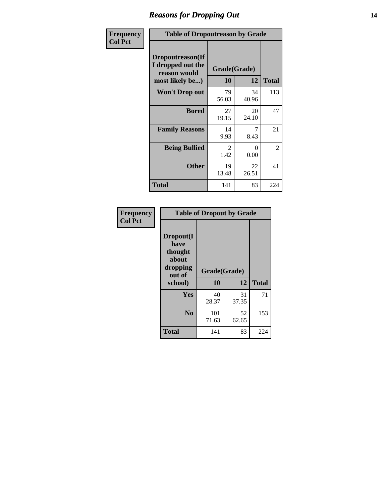### *Reasons for Dropping Out* **14**

| <b>Frequency</b> | <b>Table of Dropoutreason by Grade</b>                                   |                    |             |              |
|------------------|--------------------------------------------------------------------------|--------------------|-------------|--------------|
| <b>Col Pct</b>   | Dropoutreason(If<br>I dropped out the<br>reason would<br>most likely be) | Grade(Grade)<br>10 | 12          | <b>Total</b> |
|                  | Won't Drop out                                                           | 79<br>56.03        | 34<br>40.96 | 113          |
|                  | <b>Bored</b>                                                             | 27<br>19.15        | 20<br>24.10 | 47           |
|                  | <b>Family Reasons</b>                                                    | 14<br>9.93         | 7<br>8.43   | 21           |
|                  | <b>Being Bullied</b>                                                     | 2<br>1.42          | 0<br>0.00   | 2            |
|                  | <b>Other</b>                                                             | 19<br>13.48        | 22<br>26.51 | 41           |
|                  | <b>Total</b>                                                             | 141                | 83          | 224          |

| Frequency<br><b>Col Pct</b> |                                                             | <b>Table of Dropout by Grade</b> |             |              |  |
|-----------------------------|-------------------------------------------------------------|----------------------------------|-------------|--------------|--|
|                             | Dropout(I<br>have<br>thought<br>about<br>dropping<br>out of | Grade(Grade)<br>10               | 12          | <b>Total</b> |  |
|                             | school)                                                     |                                  |             |              |  |
|                             | Yes                                                         | 40<br>28.37                      | 31<br>37.35 | 71           |  |
|                             | N <sub>0</sub>                                              | 101<br>71.63                     | 52<br>62.65 | 153          |  |
|                             | <b>Total</b>                                                | 141                              | 83          | 224          |  |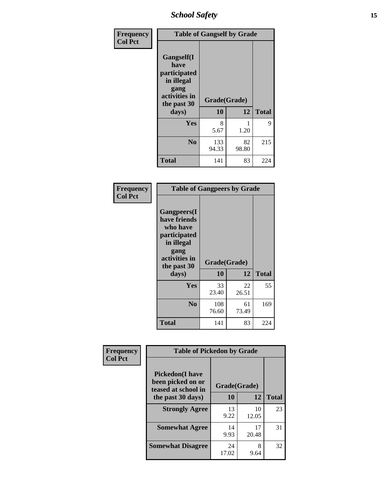*School Safety* **15**

| Frequency      |                                                                                                           | <b>Table of Gangself by Grade</b> |             |              |
|----------------|-----------------------------------------------------------------------------------------------------------|-----------------------------------|-------------|--------------|
| <b>Col Pct</b> | <b>Gangself</b> (I<br>have<br>participated<br>in illegal<br>gang<br>activities in<br>the past 30<br>days) | Grade(Grade)<br>10                | 12          | <b>Total</b> |
|                | Yes                                                                                                       | 8<br>5.67                         | 1<br>1.20   | 9            |
|                | N <sub>0</sub>                                                                                            | 133<br>94.33                      | 82<br>98.80 | 215          |
|                | <b>Total</b>                                                                                              | 141                               | 83          | 224          |

| Frequency<br><b>Col Pct</b> | <b>Table of Gangpeers by Grade</b>                                                                                             |                    |             |              |
|-----------------------------|--------------------------------------------------------------------------------------------------------------------------------|--------------------|-------------|--------------|
|                             | <b>Gangpeers</b> (I<br>have friends<br>who have<br>participated<br>in illegal<br>gang<br>activities in<br>the past 30<br>days) | Grade(Grade)<br>10 | 12          | <b>Total</b> |
|                             | Yes                                                                                                                            | 33<br>23.40        | 22<br>26.51 | 55           |
|                             | N <sub>0</sub>                                                                                                                 | 108<br>76.60       | 61<br>73.49 | 169          |
|                             | <b>Total</b>                                                                                                                   | 141                | 83          | 224          |

| Frequency      | <b>Table of Pickedon by Grade</b>                                                       |                           |             |              |
|----------------|-----------------------------------------------------------------------------------------|---------------------------|-------------|--------------|
| <b>Col Pct</b> | <b>Pickedon(I have</b><br>been picked on or<br>teased at school in<br>the past 30 days) | Grade(Grade)<br><b>10</b> | 12          | <b>Total</b> |
|                | <b>Strongly Agree</b>                                                                   | 13<br>9.22                | 10<br>12.05 | 23           |
|                | <b>Somewhat Agree</b>                                                                   | 14<br>9.93                | 17<br>20.48 | 31           |
|                | <b>Somewhat Disagree</b>                                                                | 24<br>17.02               | 8<br>9.64   | 32           |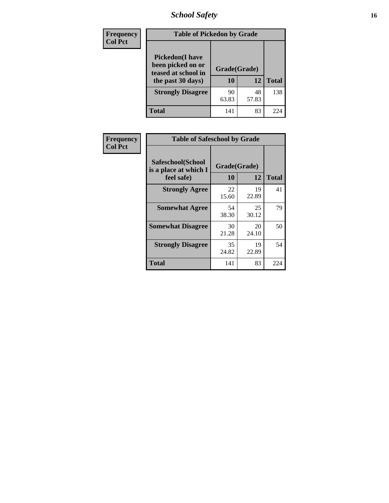# *School Safety* **16**

| <b>Frequency</b> | <b>Table of Pickedon by Grade</b>                                                        |                    |             |              |  |  |  |  |
|------------------|------------------------------------------------------------------------------------------|--------------------|-------------|--------------|--|--|--|--|
| <b>Col Pct</b>   | <b>Pickedon</b> (I have<br>been picked on or<br>teased at school in<br>the past 30 days) | Grade(Grade)<br>10 | 12          | <b>Total</b> |  |  |  |  |
|                  | <b>Strongly Disagree</b>                                                                 | 90<br>63.83        | 48<br>57.83 | 138          |  |  |  |  |
|                  | Total                                                                                    | 141                | 83          | 224          |  |  |  |  |

| Frequency      |                                                          | <b>Table of Safeschool by Grade</b> |             |              |  |  |  |  |  |
|----------------|----------------------------------------------------------|-------------------------------------|-------------|--------------|--|--|--|--|--|
| <b>Col Pct</b> | Safeschool(School<br>is a place at which I<br>feel safe) | Grade(Grade)<br>10                  | 12          | <b>Total</b> |  |  |  |  |  |
|                | <b>Strongly Agree</b>                                    | 22<br>15.60                         | 19<br>22.89 | 41           |  |  |  |  |  |
|                | <b>Somewhat Agree</b>                                    | 54<br>38.30                         | 25<br>30.12 | 79           |  |  |  |  |  |
|                | <b>Somewhat Disagree</b>                                 | 30<br>21.28                         | 20<br>24.10 | 50           |  |  |  |  |  |
|                | <b>Strongly Disagree</b>                                 | 35<br>24.82                         | 19<br>22.89 | 54           |  |  |  |  |  |
|                | <b>Total</b>                                             | 141                                 | 83          | 224          |  |  |  |  |  |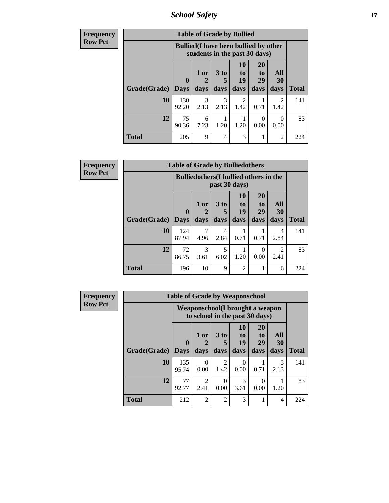*School Safety* **17**

| <b>Frequency</b> | <b>Table of Grade by Bullied</b> |              |                                                                               |                   |                               |                               |                          |              |  |  |
|------------------|----------------------------------|--------------|-------------------------------------------------------------------------------|-------------------|-------------------------------|-------------------------------|--------------------------|--------------|--|--|
| <b>Row Pct</b>   |                                  |              | <b>Bullied</b> (I have been bullied by other<br>students in the past 30 days) |                   |                               |                               |                          |              |  |  |
|                  | Grade(Grade)   Days              | $\mathbf 0$  | 1 or<br>days                                                                  | 3 to<br>5<br>days | <b>10</b><br>to<br>19<br>days | <b>20</b><br>to<br>29<br>days | All<br><b>30</b><br>days | <b>Total</b> |  |  |
|                  | 10                               | 130<br>92.20 | 3<br>2.13                                                                     | 3<br>2.13         | $\mathfrak{D}$<br>1.42        | 0.71                          | 2<br>1.42                | 141          |  |  |
|                  | 12                               | 75<br>90.36  | 6<br>7.23                                                                     | 1.20              | 1.20                          | 0<br>0.00                     | $\Omega$<br>0.00         | 83           |  |  |
|                  | <b>Total</b>                     | 205          | 9                                                                             | 4                 | 3                             |                               | $\overline{2}$           | 224          |  |  |

| Frequency      |                     | <b>Table of Grade by Bulliedothers</b> |                                                                |              |                               |                               |                        |              |  |
|----------------|---------------------|----------------------------------------|----------------------------------------------------------------|--------------|-------------------------------|-------------------------------|------------------------|--------------|--|
| <b>Row Pct</b> |                     |                                        | <b>Bulliedothers</b> (I bullied others in the<br>past 30 days) |              |                               |                               |                        |              |  |
|                | Grade(Grade)   Days | $\mathbf 0$                            | 1 or<br>days                                                   | 3 to<br>days | <b>10</b><br>to<br>19<br>days | <b>20</b><br>to<br>29<br>days | All<br>30<br>days      | <b>Total</b> |  |
|                | 10                  | 124<br>87.94                           | 7<br>4.96                                                      | 4<br>2.84    | 0.71                          | 0.71                          | 4<br>2.84              | 141          |  |
|                | 12                  | 72<br>86.75                            | 3<br>3.61                                                      | 5<br>6.02    | 1.20                          | 0<br>0.00                     | $\overline{2}$<br>2.41 | 83           |  |
|                | <b>Total</b>        | 196                                    | 10                                                             | 9            | $\overline{c}$                |                               | 6                      | 224          |  |

| <b>Frequency</b> |              | <b>Table of Grade by Weaponschool</b> |                                                                    |                         |                        |                                           |                   |              |
|------------------|--------------|---------------------------------------|--------------------------------------------------------------------|-------------------------|------------------------|-------------------------------------------|-------------------|--------------|
| <b>Row Pct</b>   |              |                                       | Weaponschool (I brought a weapon<br>to school in the past 30 days) |                         |                        |                                           |                   |              |
|                  | Grade(Grade) | $\mathbf{0}$<br><b>Days</b>           | 1 or<br>days                                                       | 3 <sub>to</sub><br>days | 10<br>to<br>19<br>days | <b>20</b><br>t <sub>0</sub><br>29<br>days | All<br>30<br>days | <b>Total</b> |
|                  |              |                                       |                                                                    |                         |                        |                                           |                   |              |
|                  | 10           | 135<br>95.74                          | $\Omega$<br>0.00                                                   | 2<br>1.42               | 0<br>0.00              | 0.71                                      | 3<br>2.13         | 141          |
|                  | 12           | 77<br>92.77                           | 2<br>2.41                                                          | $\Omega$<br>0.00        | 3<br>3.61              | 0<br>0.00                                 | 1.20              | 83           |
|                  | <b>Total</b> | 212                                   | $\overline{2}$                                                     | $\overline{2}$          | 3                      | 1                                         | 4                 | 224          |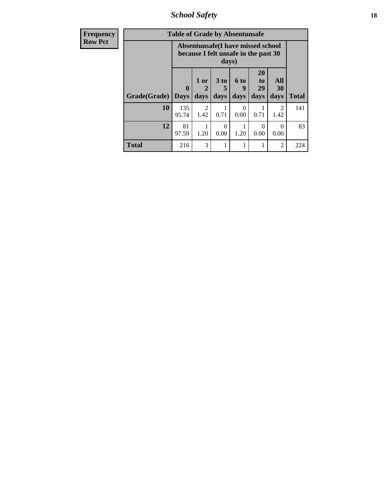*School Safety* **18**

| <b>Frequency</b> | <b>Table of Grade by Absentunsafe</b> |                                                                                    |                             |                              |                   |                                           |                        |              |  |  |
|------------------|---------------------------------------|------------------------------------------------------------------------------------|-----------------------------|------------------------------|-------------------|-------------------------------------------|------------------------|--------------|--|--|
| <b>Row Pct</b>   |                                       | Absentunsafe(I have missed school<br>because I felt unsafe in the past 30<br>days) |                             |                              |                   |                                           |                        |              |  |  |
|                  | Grade(Grade)                          | $\mathbf 0$<br><b>Days</b>                                                         | 1 or<br>$\mathbf 2$<br>days | 3 <sub>to</sub><br>5<br>days | 6 to<br>9<br>days | <b>20</b><br>t <sub>0</sub><br>29<br>days | All<br>30<br>days      | <b>Total</b> |  |  |
|                  | 10                                    | 135<br>95.74                                                                       | $\mathcal{D}$<br>1.42       | 0.71                         | $\Omega$<br>0.00  | 0.71                                      | $\mathfrak{D}$<br>1.42 | 141          |  |  |
|                  | 12                                    | 81<br>97.59                                                                        | 1.20                        | 0<br>0.00                    | 1.20              | 0<br>0.00                                 | $\Omega$<br>0.00       | 83           |  |  |
|                  | <b>Total</b>                          | 216                                                                                | 3                           |                              |                   |                                           | 2                      | 224          |  |  |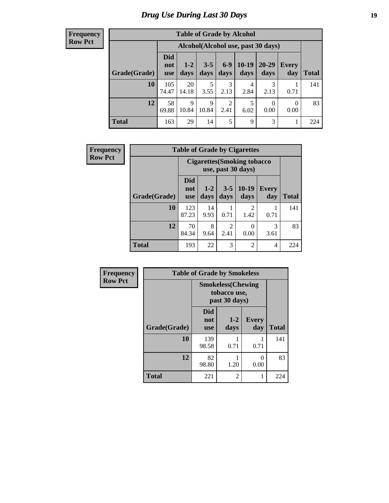#### **Frequency Row Pct**

| <b>Table of Grade by Alcohol</b> |                                 |                                     |                 |               |                 |                   |              |              |  |  |
|----------------------------------|---------------------------------|-------------------------------------|-----------------|---------------|-----------------|-------------------|--------------|--------------|--|--|
|                                  |                                 | Alcohol (Alcohol use, past 30 days) |                 |               |                 |                   |              |              |  |  |
| Grade(Grade)                     | <b>Did</b><br>not<br><b>use</b> | $1-2$<br>days                       | $3 - 5$<br>days | $6-9$<br>days | $10-19$<br>days | $20 - 29$<br>days | Every<br>day | <b>Total</b> |  |  |
| 10                               | 105<br>74.47                    | 20<br>14.18                         | 5<br>3.55       | 3<br>2.13     | 4<br>2.84       | 3<br>2.13         | 0.71         | 141          |  |  |
| 12                               | 58<br>69.88                     | $\mathbf Q$<br>10.84                | 9<br>10.84      | 2<br>2.41     | 5<br>6.02       | $\Omega$<br>0.00  | 0<br>0.00    | 83           |  |  |
| <b>Total</b>                     | 163                             | 29                                  | 14              | 5             | 9               | 3                 |              | 224          |  |  |

| Frequency      |              |                                                           | <b>Table of Grade by Cigarettes</b> |                        |                 |                |              |  |  |
|----------------|--------------|-----------------------------------------------------------|-------------------------------------|------------------------|-----------------|----------------|--------------|--|--|
| <b>Row Pct</b> |              | <b>Cigarettes (Smoking tobacco)</b><br>use, past 30 days) |                                     |                        |                 |                |              |  |  |
|                | Grade(Grade) | <b>Did</b><br>not<br><b>use</b>                           | $1 - 2$<br>days                     | $3 - 5$<br>days        | $10-19$<br>days | Every<br>day   | <b>Total</b> |  |  |
|                | 10           | 123<br>87.23                                              | 14<br>9.93                          | 0.71                   | 2<br>1.42       | 0.71           | 141          |  |  |
|                | 12           | 70<br>84.34                                               | 8<br>9.64                           | $\mathfrak{D}$<br>2.41 | 0<br>0.00       | 3<br>3.61      | 83           |  |  |
|                | <b>Total</b> | 193                                                       | 22                                  | 3                      | $\overline{2}$  | $\overline{4}$ | 224          |  |  |

| Frequency      |              | <b>Table of Grade by Smokeless</b> |                                                            |                     |              |  |  |
|----------------|--------------|------------------------------------|------------------------------------------------------------|---------------------|--------------|--|--|
| <b>Row Pct</b> |              |                                    | <b>Smokeless</b> (Chewing<br>tobacco use,<br>past 30 days) |                     |              |  |  |
|                | Grade(Grade) | <b>Did</b><br>not<br><b>use</b>    | $1-2$<br>days                                              | <b>Every</b><br>day | <b>Total</b> |  |  |
|                | 10           | 139<br>98.58                       | 0.71                                                       | 0.71                | 141          |  |  |
|                | 12           | 82<br>98.80                        | 1.20                                                       | 0<br>0.00           | 83           |  |  |
|                | <b>Total</b> | 221                                | 2                                                          | 1                   | 224          |  |  |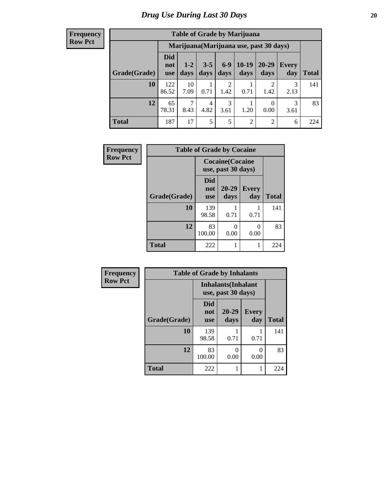#### **Frequency Row Pct**

| <b>Table of Grade by Marijuana</b> |                                 |                                         |                 |                        |                 |                |              |       |  |  |
|------------------------------------|---------------------------------|-----------------------------------------|-----------------|------------------------|-----------------|----------------|--------------|-------|--|--|
|                                    |                                 | Marijuana (Marijuana use, past 30 days) |                 |                        |                 |                |              |       |  |  |
| Grade(Grade)                       | <b>Did</b><br>not<br><b>use</b> | $1 - 2$<br>days                         | $3 - 5$<br>days | $6 - 9$<br>days        | $10-19$<br>days | 20-29<br>days  | Every<br>day | Total |  |  |
| 10                                 | 122<br>86.52                    | 10<br>7.09                              | 0.71            | $\overline{2}$<br>1.42 | 0.71            | റ<br>1.42      | 3<br>2.13    | 141   |  |  |
| 12                                 | 65<br>78.31                     | 7<br>8.43                               | 4<br>4.82       | 3<br>3.61              | 1.20            | 0<br>0.00      | 3<br>3.61    | 83    |  |  |
| <b>Total</b>                       | 187                             | 17                                      | 5               | 5                      | $\overline{2}$  | $\overline{2}$ | 6            | 224   |  |  |

| Frequency      |              | <b>Table of Grade by Cocaine</b>              |               |              |              |  |  |  |  |  |
|----------------|--------------|-----------------------------------------------|---------------|--------------|--------------|--|--|--|--|--|
| <b>Row Pct</b> |              | <b>Cocaine</b> (Cocaine<br>use, past 30 days) |               |              |              |  |  |  |  |  |
|                | Grade(Grade) | <b>Did</b><br>not<br><b>use</b>               | 20-29<br>days | Every<br>day | <b>Total</b> |  |  |  |  |  |
|                | 10           | 139<br>98.58                                  | 0.71          | 0.71         | 141          |  |  |  |  |  |
|                | 12           | 83<br>100.00                                  | O<br>0.00     | 0<br>0.00    | 83           |  |  |  |  |  |
|                | <b>Total</b> | 222                                           |               | 1            | 224          |  |  |  |  |  |

| Frequency      | <b>Table of Grade by Inhalants</b> |                                                  |               |                     |              |  |  |  |  |
|----------------|------------------------------------|--------------------------------------------------|---------------|---------------------|--------------|--|--|--|--|
| <b>Row Pct</b> |                                    | <b>Inhalants</b> (Inhalant<br>use, past 30 days) |               |                     |              |  |  |  |  |
|                | Grade(Grade)                       | <b>Did</b><br>not<br><b>use</b>                  | 20-29<br>days | <b>Every</b><br>day | <b>Total</b> |  |  |  |  |
|                | 10                                 | 139<br>98.58                                     | 0.71          | 0.71                | 141          |  |  |  |  |
|                | 12                                 | 83<br>100.00                                     | 0<br>0.00     | 0<br>0.00           | 83           |  |  |  |  |
|                | <b>Total</b>                       | 222                                              |               | 1                   | 224          |  |  |  |  |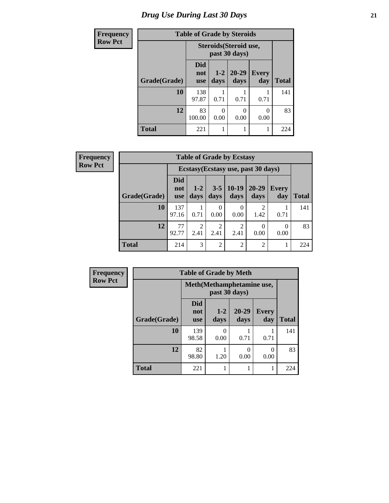# *Drug Use During Last 30 Days* **21**

| <b>Frequency</b> | <b>Table of Grade by Steroids</b> |                          |                  |                   |                     |              |
|------------------|-----------------------------------|--------------------------|------------------|-------------------|---------------------|--------------|
| <b>Row Pct</b>   |                                   | Steroids (Steroid use,   |                  |                   |                     |              |
|                  | Grade(Grade)                      | Did<br>not<br><b>use</b> | $1 - 2$<br>days  | $20 - 29$<br>days | <b>Every</b><br>day | <b>Total</b> |
|                  | 10                                | 138<br>97.87             | 0.71             | 0.71              | 0.71                | 141          |
|                  | 12                                | 83<br>100.00             | $\Omega$<br>0.00 | 0<br>0.00         | $\Omega$<br>0.00    | 83           |
|                  | <b>Total</b>                      | 221                      |                  |                   |                     | 224          |

| Frequency      | <b>Table of Grade by Ecstasy</b> |                                 |                        |                        |                  |                                     |                     |              |
|----------------|----------------------------------|---------------------------------|------------------------|------------------------|------------------|-------------------------------------|---------------------|--------------|
| <b>Row Pct</b> |                                  |                                 |                        |                        |                  | Ecstasy (Ecstasy use, past 30 days) |                     |              |
|                | Grade(Grade)                     | <b>Did</b><br>not<br><b>use</b> | $1 - 2$<br>days        | $3 - 5$<br>days        | $10-19$<br>days  | $20 - 29$<br>days                   | <b>Every</b><br>day | <b>Total</b> |
|                | 10                               | 137<br>97.16                    | 0.71                   | 0.00                   | $\theta$<br>0.00 | $\overline{2}$<br>1.42              | 0.71                | 141          |
|                | 12                               | 77<br>92.77                     | $\overline{2}$<br>2.41 | $\mathfrak{D}$<br>2.41 | 2<br>2.41        | 0.00                                | $\theta$<br>0.00    | 83           |
|                | <b>Total</b>                     | 214                             | 3                      | $\overline{2}$         | $\overline{2}$   | $\overline{2}$                      | 1                   | 224          |

| <b>Frequency</b> | <b>Table of Grade by Meth</b> |                                 |                                            |                   |                     |              |  |
|------------------|-------------------------------|---------------------------------|--------------------------------------------|-------------------|---------------------|--------------|--|
| <b>Row Pct</b>   |                               |                                 | Meth(Methamphetamine use,<br>past 30 days) |                   |                     |              |  |
|                  | Grade(Grade)                  | <b>Did</b><br>not<br><b>use</b> | $1 - 2$<br>days                            | $20 - 29$<br>days | <b>Every</b><br>day | <b>Total</b> |  |
|                  | 10                            | 139<br>98.58                    | $\mathbf{\Omega}$<br>0.00                  | 0.71              | 0.71                | 141          |  |
|                  | 12                            | 82<br>98.80                     | 1.20                                       | 0<br>0.00         | $\Omega$<br>0.00    | 83           |  |
|                  | <b>Total</b>                  | 221                             |                                            |                   |                     | 224          |  |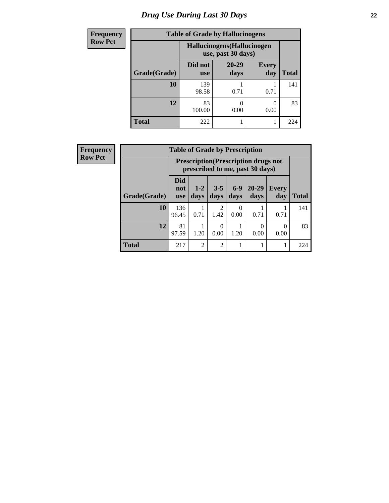# *Drug Use During Last 30 Days* **22**

| <b>Frequency</b> | <b>Table of Grade by Hallucinogens</b> |                                                   |                   |                     |              |  |
|------------------|----------------------------------------|---------------------------------------------------|-------------------|---------------------|--------------|--|
| <b>Row Pct</b>   |                                        | Hallucinogens (Hallucinogen<br>use, past 30 days) |                   |                     |              |  |
|                  | Grade(Grade)                           | Did not<br><b>use</b>                             | $20 - 29$<br>days | <b>Every</b><br>day | <b>Total</b> |  |
|                  | 10                                     | 139<br>98.58                                      | 0.71              | 0.71                | 141          |  |
|                  | 12                                     | 83<br>100.00                                      | 0.00              | 0.00                | 83           |  |
|                  | <b>Total</b>                           | 222                                               |                   |                     | 224          |  |

| <b>Frequency</b> | <b>Table of Grade by Prescription</b> |                                 |                                                                                |                  |               |                   |                     |              |
|------------------|---------------------------------------|---------------------------------|--------------------------------------------------------------------------------|------------------|---------------|-------------------|---------------------|--------------|
| <b>Row Pct</b>   |                                       |                                 | <b>Prescription</b> (Prescription drugs not<br>prescribed to me, past 30 days) |                  |               |                   |                     |              |
|                  | Grade(Grade)                          | <b>Did</b><br>not<br><b>use</b> | $1-2$<br>days                                                                  | $3 - 5$<br>days  | $6-9$<br>days | $20 - 29$<br>days | <b>Every</b><br>day | <b>Total</b> |
|                  | 10                                    | 136<br>96.45                    | 0.71                                                                           | 2<br>1.42        | 0<br>0.00     | 0.71              | 0.71                | 141          |
|                  | 12                                    | 81<br>97.59                     | 1.20                                                                           | $\theta$<br>0.00 | 1.20          | 0<br>0.00         | 0<br>0.00           | 83           |
|                  | <b>Total</b>                          | 217                             | $\overline{2}$                                                                 | $\overline{2}$   |               |                   | 1                   | 224          |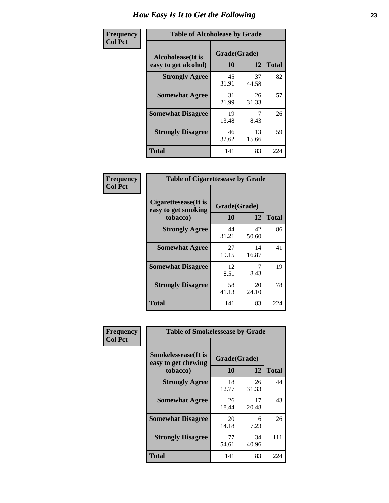| Frequency      | <b>Table of Alcoholease by Grade</b>              |                    |             |              |  |  |
|----------------|---------------------------------------------------|--------------------|-------------|--------------|--|--|
| <b>Col Pct</b> | <b>Alcoholease</b> (It is<br>easy to get alcohol) | Grade(Grade)<br>10 | 12          | <b>Total</b> |  |  |
|                | <b>Strongly Agree</b>                             | 45<br>31.91        | 37<br>44.58 | 82           |  |  |
|                | <b>Somewhat Agree</b>                             | 31<br>21.99        | 26<br>31.33 | 57           |  |  |
|                | <b>Somewhat Disagree</b>                          | 19<br>13.48        | 8.43        | 26           |  |  |
|                | <b>Strongly Disagree</b>                          | 46<br>32.62        | 13<br>15.66 | 59           |  |  |
|                | <b>Total</b>                                      | 141                | 83          | 224          |  |  |

| Frequency<br>Col Pct |  |
|----------------------|--|
|                      |  |

| <b>Table of Cigarettesease by Grade</b>                 |                    |             |              |  |  |  |
|---------------------------------------------------------|--------------------|-------------|--------------|--|--|--|
| Cigarettesease(It is<br>easy to get smoking<br>tobacco) | Grade(Grade)<br>10 | 12          | <b>Total</b> |  |  |  |
| <b>Strongly Agree</b>                                   | 44<br>31.21        | 42<br>50.60 | 86           |  |  |  |
| <b>Somewhat Agree</b>                                   | 27<br>19.15        | 14<br>16.87 | 41           |  |  |  |
| <b>Somewhat Disagree</b>                                | 12<br>8.51         | 8.43        | 19           |  |  |  |
| <b>Strongly Disagree</b>                                | 58<br>41.13        | 20<br>24.10 | 78           |  |  |  |
| Total                                                   | 141                | 83          | 224          |  |  |  |

| Frequency      | <b>Table of Smokelessease by Grade</b>             |              |             |              |
|----------------|----------------------------------------------------|--------------|-------------|--------------|
| <b>Col Pct</b> | <b>Smokelessease</b> (It is<br>easy to get chewing | Grade(Grade) |             |              |
|                | tobacco)                                           | 10           | 12          | <b>Total</b> |
|                | <b>Strongly Agree</b>                              | 18<br>12.77  | 26<br>31.33 | 44           |
|                | <b>Somewhat Agree</b>                              | 26<br>18.44  | 17<br>20.48 | 43           |
|                | <b>Somewhat Disagree</b>                           | 20<br>14.18  | 6<br>7.23   | 26           |
|                | <b>Strongly Disagree</b>                           | 77<br>54.61  | 34<br>40.96 | 111          |
|                | <b>Total</b>                                       | 141          | 83          | 224          |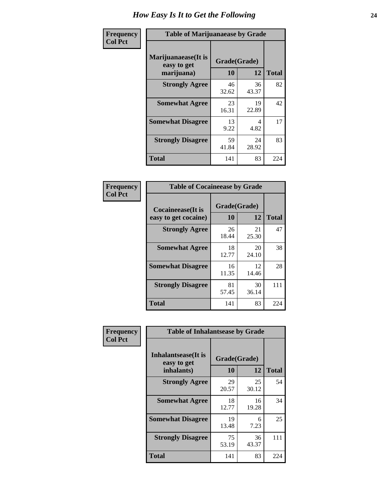| Frequency      | <b>Table of Marijuanaease by Grade</b>           |                    |             |              |  |  |
|----------------|--------------------------------------------------|--------------------|-------------|--------------|--|--|
| <b>Col Pct</b> | Marijuanaease(It is<br>easy to get<br>marijuana) | Grade(Grade)<br>10 | 12          | <b>Total</b> |  |  |
|                | <b>Strongly Agree</b>                            | 46<br>32.62        | 36<br>43.37 | 82           |  |  |
|                | <b>Somewhat Agree</b>                            | 23<br>16.31        | 19<br>22.89 | 42           |  |  |
|                | <b>Somewhat Disagree</b>                         | 13<br>9.22         | 4<br>4.82   | 17           |  |  |
|                | <b>Strongly Disagree</b>                         | 59<br>41.84        | 24<br>28.92 | 83           |  |  |
|                | <b>Total</b>                                     | 141                | 83          | 224          |  |  |

| <b>Table of Cocaineease by Grade</b> |              |             |              |  |  |  |  |
|--------------------------------------|--------------|-------------|--------------|--|--|--|--|
| Cocaineease(It is                    | Grade(Grade) |             |              |  |  |  |  |
| easy to get cocaine)                 | 10           | 12          | <b>Total</b> |  |  |  |  |
| <b>Strongly Agree</b>                | 26<br>18.44  | 21<br>25.30 | 47           |  |  |  |  |
| <b>Somewhat Agree</b>                | 18<br>12.77  | 20<br>24.10 | 38           |  |  |  |  |
| <b>Somewhat Disagree</b>             | 16<br>11.35  | 12<br>14.46 | 28           |  |  |  |  |
| <b>Strongly Disagree</b>             | 81<br>57.45  | 30<br>36.14 | 111          |  |  |  |  |
| <b>Total</b>                         | 141          | 83          | 224          |  |  |  |  |

| Frequency      | <b>Table of Inhalantsease by Grade</b>                   |             |                    |              |  |  |
|----------------|----------------------------------------------------------|-------------|--------------------|--------------|--|--|
| <b>Col Pct</b> | <b>Inhalantsease</b> (It is<br>easy to get<br>inhalants) | 10          | Grade(Grade)<br>12 | <b>Total</b> |  |  |
|                | <b>Strongly Agree</b>                                    | 29<br>20.57 | 25<br>30.12        | 54           |  |  |
|                | <b>Somewhat Agree</b>                                    | 18<br>12.77 | 16<br>19.28        | 34           |  |  |
|                | <b>Somewhat Disagree</b>                                 | 19<br>13.48 | 6<br>7.23          | 25           |  |  |
|                | <b>Strongly Disagree</b>                                 | 75<br>53.19 | 36<br>43.37        | 111          |  |  |
|                | <b>Total</b>                                             | 141         | 83                 | 224          |  |  |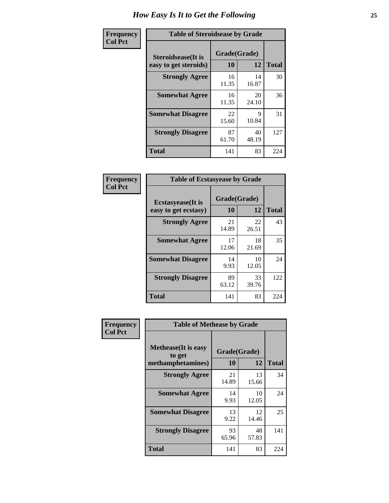| Frequency      | <b>Table of Steroidsease by Grade</b>               |                    |             |              |  |  |  |  |  |
|----------------|-----------------------------------------------------|--------------------|-------------|--------------|--|--|--|--|--|
| <b>Col Pct</b> | <b>Steroidsease</b> (It is<br>easy to get steroids) | Grade(Grade)<br>10 | 12          | <b>Total</b> |  |  |  |  |  |
|                | <b>Strongly Agree</b>                               | 16<br>11.35        | 14<br>16.87 | 30           |  |  |  |  |  |
|                | <b>Somewhat Agree</b>                               | 16<br>11.35        | 20<br>24.10 | 36           |  |  |  |  |  |
|                | <b>Somewhat Disagree</b>                            | 22<br>15.60        | 9<br>10.84  | 31           |  |  |  |  |  |
|                | <b>Strongly Disagree</b>                            | 87<br>61.70        | 40<br>48.19 | 127          |  |  |  |  |  |
|                | <b>Total</b>                                        | 141                | 83          | 224          |  |  |  |  |  |

| Frequency      | <b>Table of Ecstasyease by Grade</b>              |                    |             |              |  |  |  |  |  |
|----------------|---------------------------------------------------|--------------------|-------------|--------------|--|--|--|--|--|
| <b>Col Pct</b> | <b>Ecstasyease</b> (It is<br>easy to get ecstasy) | Grade(Grade)<br>10 | 12          | <b>Total</b> |  |  |  |  |  |
|                | <b>Strongly Agree</b>                             | 21<br>14.89        | 22<br>26.51 | 43           |  |  |  |  |  |
|                | <b>Somewhat Agree</b>                             | 17<br>12.06        | 18<br>21.69 | 35           |  |  |  |  |  |
|                | <b>Somewhat Disagree</b>                          | 14<br>9.93         | 10<br>12.05 | 24           |  |  |  |  |  |
|                | <b>Strongly Disagree</b>                          | 89<br>63.12        | 33<br>39.76 | 122          |  |  |  |  |  |
|                | <b>Total</b>                                      | 141                | 83          | 224          |  |  |  |  |  |

| Frequency      | <b>Table of Methease by Grade</b>                          |                    |             |              |
|----------------|------------------------------------------------------------|--------------------|-------------|--------------|
| <b>Col Pct</b> | <b>Methease</b> (It is easy<br>to get<br>methamphetamines) | Grade(Grade)<br>10 | 12          | <b>Total</b> |
|                | <b>Strongly Agree</b>                                      | 21<br>14.89        | 13<br>15.66 | 34           |
|                | <b>Somewhat Agree</b>                                      | 14<br>9.93         | 10<br>12.05 | 24           |
|                | <b>Somewhat Disagree</b>                                   | 13<br>9.22         | 12<br>14.46 | 25           |
|                | <b>Strongly Disagree</b>                                   | 93<br>65.96        | 48<br>57.83 | 141          |
|                | Total                                                      | 141                | 83          | 224          |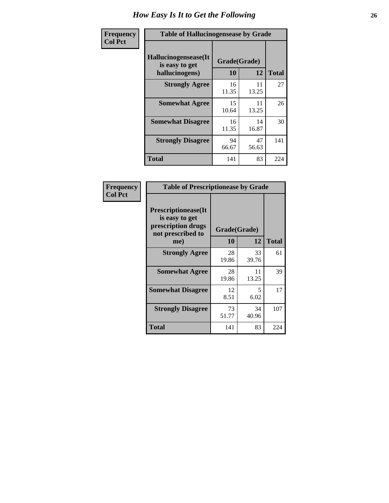| <b>Frequency</b> | <b>Table of Hallucinogensease by Grade</b>               |                    |             |              |  |  |
|------------------|----------------------------------------------------------|--------------------|-------------|--------------|--|--|
| <b>Col Pct</b>   | Hallucinogensease(It<br>is easy to get<br>hallucinogens) | Grade(Grade)<br>10 | 12          | <b>Total</b> |  |  |
|                  | <b>Strongly Agree</b>                                    | 16<br>11.35        | 11<br>13.25 | 27           |  |  |
|                  | <b>Somewhat Agree</b>                                    | 15<br>10.64        | 11<br>13.25 | 26           |  |  |
|                  | <b>Somewhat Disagree</b>                                 | 16<br>11.35        | 14<br>16.87 | 30           |  |  |
|                  | <b>Strongly Disagree</b>                                 | 94<br>66.67        | 47<br>56.63 | 141          |  |  |
|                  | <b>Total</b>                                             | 141                | 83          | 224          |  |  |

| Frequency<br>Col Pct |
|----------------------|
|                      |

| <b>Table of Prescriptionease by Grade</b>                                                |             |              |              |  |  |  |  |
|------------------------------------------------------------------------------------------|-------------|--------------|--------------|--|--|--|--|
| <b>Prescriptionease</b> (It<br>is easy to get<br>prescription drugs<br>not prescribed to |             | Grade(Grade) |              |  |  |  |  |
| me)                                                                                      | 10          | 12           | <b>Total</b> |  |  |  |  |
| <b>Strongly Agree</b>                                                                    | 28<br>19.86 | 33<br>39.76  | 61           |  |  |  |  |
| <b>Somewhat Agree</b>                                                                    | 28<br>19.86 | 11<br>13.25  | 39           |  |  |  |  |
| <b>Somewhat Disagree</b>                                                                 | 12<br>8.51  | 5<br>6.02    | 17           |  |  |  |  |
| <b>Strongly Disagree</b>                                                                 | 73<br>51.77 | 34<br>40.96  | 107          |  |  |  |  |
| <b>Total</b>                                                                             | 141         | 83           | 224          |  |  |  |  |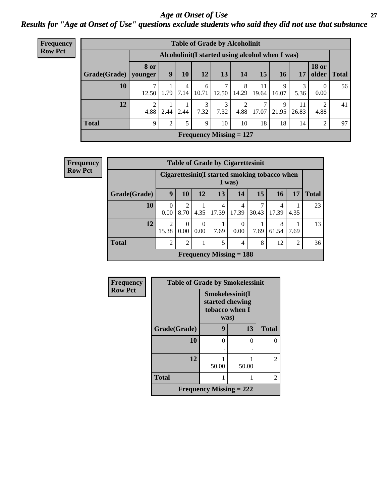#### *Age at Onset of Use* **27** *Results for "Age at Onset of Use" questions exclude students who said they did not use that substance*

| <b>Frequency</b> | <b>Table of Grade by Alcoholinit</b> |                                                  |                  |           |            |           |                           |             |            |             |                       |              |  |
|------------------|--------------------------------------|--------------------------------------------------|------------------|-----------|------------|-----------|---------------------------|-------------|------------|-------------|-----------------------|--------------|--|
| <b>Row Pct</b>   |                                      | Alcoholinit (I started using alcohol when I was) |                  |           |            |           |                           |             |            |             |                       |              |  |
|                  | Grade(Grade)   younger               | 8 or                                             | $\boldsymbol{9}$ | <b>10</b> | 12         | 13'       | 14                        | 15          | <b>16</b>  | 17          | <b>18 or</b><br>older | <b>Total</b> |  |
|                  | 10                                   | 12.50                                            | 1.79             | 4<br>7.14 | 6<br>10.71 | 12.50     | 8<br>14.29                | 11<br>19.64 | 9<br>16.07 | 5.36        | 0<br>0.00             | 56           |  |
|                  | 12                                   | ↑<br>4.88                                        | 2.44             | 2.44      | 3<br>7.32  | 3<br>7.32 | ∍<br>4.88                 | 7<br>17.07  | 9<br>21.95 | 11<br>26.83 | 2<br>4.88             | 41           |  |
|                  | <b>Total</b>                         | 9                                                | $\gamma$         | 5         | 9          | 10        | 10                        | 18          | 18         | 14          | $\overline{2}$        | 97           |  |
|                  |                                      |                                                  |                  |           |            |           | Frequency Missing $= 127$ |             |            |             |                       |              |  |

| <b>Frequency</b> | <b>Table of Grade by Cigarettesinit</b> |                         |                                                         |                  |            |                           |       |            |                |              |  |  |
|------------------|-----------------------------------------|-------------------------|---------------------------------------------------------|------------------|------------|---------------------------|-------|------------|----------------|--------------|--|--|
| <b>Row Pct</b>   |                                         |                         | Cigarettesinit(I started smoking tobacco when<br>I was) |                  |            |                           |       |            |                |              |  |  |
|                  | Grade(Grade)                            | 9                       | 10                                                      | 12               | 13         | 14                        | 15    | 16         | 17             | <b>Total</b> |  |  |
|                  | 10                                      | 0<br>0.00               | $\overline{2}$<br>8.70                                  | 4.35             | 4<br>17.39 | 4<br>17.39                | 30.43 | 4<br>17.39 | 4.35           | 23           |  |  |
|                  | 12                                      | $\overline{2}$<br>15.38 | $\Omega$<br>0.00                                        | $\Omega$<br>0.00 | 7.69       | $\theta$<br>0.00          | 7.69  | 8<br>61.54 | 7.69           | 13           |  |  |
|                  | <b>Total</b>                            | $\overline{2}$          | $\overline{2}$                                          |                  | 5          | $\overline{4}$            | 8     | 12         | $\overline{2}$ | 36           |  |  |
|                  |                                         |                         |                                                         |                  |            | Frequency Missing $= 188$ |       |            |                |              |  |  |

| Frequency      | <b>Table of Grade by Smokelessinit</b> |                                                              |       |                |  |  |  |  |  |
|----------------|----------------------------------------|--------------------------------------------------------------|-------|----------------|--|--|--|--|--|
| <b>Row Pct</b> |                                        | Smokelessinit(I<br>started chewing<br>tobacco when I<br>was) |       |                |  |  |  |  |  |
|                | Grade(Grade)                           | 9                                                            | 13    | <b>Total</b>   |  |  |  |  |  |
|                | 10                                     | 0                                                            | 0     | 0              |  |  |  |  |  |
|                |                                        |                                                              |       |                |  |  |  |  |  |
|                | 12                                     | 50.00                                                        | 50.00 | $\overline{2}$ |  |  |  |  |  |
|                | <b>Total</b>                           |                                                              |       | 2              |  |  |  |  |  |
|                | <b>Frequency Missing = 222</b>         |                                                              |       |                |  |  |  |  |  |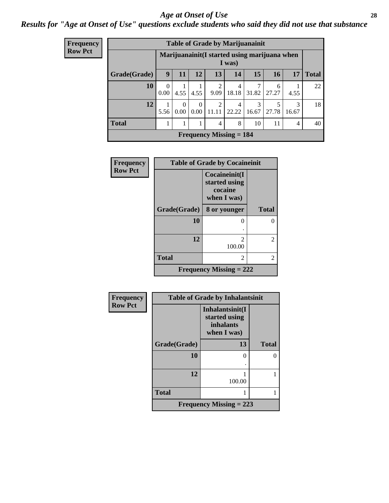#### *Age at Onset of Use* **28**

*Results for "Age at Onset of Use" questions exclude students who said they did not use that substance*

| <b>Frequency</b> | <b>Table of Grade by Marijuanainit</b> |                  |                  |      |                                             |                         |            |                                               |                |              |  |  |  |
|------------------|----------------------------------------|------------------|------------------|------|---------------------------------------------|-------------------------|------------|-----------------------------------------------|----------------|--------------|--|--|--|
| <b>Row Pct</b>   |                                        |                  |                  |      |                                             | I was)                  |            | Marijuanainit (I started using marijuana when |                |              |  |  |  |
|                  | Grade(Grade)                           | 9                | 11               | 12   | 13                                          | 14                      | 15         | <b>16</b>                                     | 17             | <b>Total</b> |  |  |  |
|                  | 10                                     | $\Omega$<br>0.00 | 4.55             | 4.55 | $\mathfrak{D}$<br>9.09                      | $\overline{4}$<br>18.18 | 7<br>31.82 | 6<br>27.27                                    | 4.55           | 22           |  |  |  |
|                  | 12                                     | 5.56             | $\Omega$<br>0.00 | 0.00 | $\mathcal{L}$<br>11.11                      | 4<br>22.22              | 3<br>16.67 | 5<br>27.78                                    | 3<br>16.67     | 18           |  |  |  |
|                  | <b>Total</b>                           |                  | 1                |      | $\overline{4}$                              | 8                       | 10         | 11                                            | $\overline{4}$ | 40           |  |  |  |
|                  |                                        |                  |                  |      | <b>Frequency Missing <math>= 184</math></b> |                         |            |                                               |                |              |  |  |  |

| <b>Frequency</b> | <b>Table of Grade by Cocaineinit</b> |                                                          |                |  |  |  |  |  |
|------------------|--------------------------------------|----------------------------------------------------------|----------------|--|--|--|--|--|
| <b>Row Pct</b>   |                                      | Cocaineinit(I<br>started using<br>cocaine<br>when I was) |                |  |  |  |  |  |
|                  | Grade(Grade)                         | 8 or younger                                             | <b>Total</b>   |  |  |  |  |  |
|                  | 10                                   | ∩                                                        | 0              |  |  |  |  |  |
|                  | 12                                   | $\mathfrak{D}$<br>100.00                                 | $\overline{2}$ |  |  |  |  |  |
|                  | <b>Total</b>                         | 2                                                        | 2              |  |  |  |  |  |
|                  |                                      | Frequency Missing $= 222$                                |                |  |  |  |  |  |

| Frequency      | <b>Table of Grade by Inhalantsinit</b> |                                                              |               |  |  |  |  |  |  |
|----------------|----------------------------------------|--------------------------------------------------------------|---------------|--|--|--|--|--|--|
| <b>Row Pct</b> |                                        | Inhalantsinit(I<br>started using<br>inhalants<br>when I was) |               |  |  |  |  |  |  |
|                | Grade(Grade)                           | 13                                                           | <b>Total</b>  |  |  |  |  |  |  |
|                | 10                                     | 0                                                            | $\mathcal{O}$ |  |  |  |  |  |  |
|                | 12                                     | 100.00                                                       |               |  |  |  |  |  |  |
|                | <b>Total</b>                           |                                                              |               |  |  |  |  |  |  |
|                |                                        | Frequency Missing $= 223$                                    |               |  |  |  |  |  |  |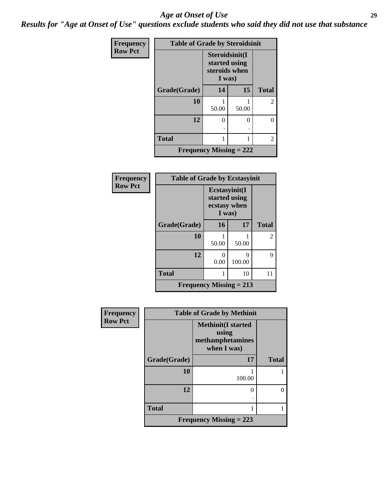#### *Age at Onset of Use* **29**

*Results for "Age at Onset of Use" questions exclude students who said they did not use that substance*

| Frequency      | <b>Table of Grade by Steroidsinit</b> |                                                            |       |              |
|----------------|---------------------------------------|------------------------------------------------------------|-------|--------------|
| <b>Row Pct</b> |                                       | Steroidsinit(I<br>started using<br>steroids when<br>I was) |       |              |
|                | Grade(Grade)                          | 14                                                         | 15    | <b>Total</b> |
|                | 10                                    | 50.00                                                      | 50.00 | 2            |
|                | 12                                    | 0                                                          | 0     | 0            |
|                | <b>Total</b>                          |                                                            |       | 2            |
|                | <b>Frequency Missing = 222</b>        |                                                            |       |              |

| <b>Frequency</b> | <b>Table of Grade by Ecstasyinit</b> |                                         |               |                |
|------------------|--------------------------------------|-----------------------------------------|---------------|----------------|
| <b>Row Pct</b>   |                                      | Ecstasyinit(I<br>ecstasy when<br>I was) | started using |                |
|                  | Grade(Grade)                         | 16                                      | 17            | <b>Total</b>   |
|                  | 10                                   | 50.00                                   | 50.00         | $\overline{2}$ |
|                  | 12                                   | ∩<br>0.00                               | q<br>100.00   | 9              |
|                  | <b>Total</b>                         | 1                                       | 10            | 11             |
|                  | <b>Frequency Missing = 213</b>       |                                         |               |                |

| <b>Frequency</b> | <b>Table of Grade by Methinit</b> |                                                                       |              |  |
|------------------|-----------------------------------|-----------------------------------------------------------------------|--------------|--|
| <b>Row Pct</b>   |                                   | <b>Methinit(I started</b><br>using<br>methamphetamines<br>when I was) |              |  |
|                  | Grade(Grade)                      | 17                                                                    | <b>Total</b> |  |
|                  | 10                                | 100.00                                                                |              |  |
|                  | 12                                | 0                                                                     | 0            |  |
|                  | <b>Total</b>                      | 1                                                                     |              |  |
|                  |                                   | Frequency Missing $= 223$                                             |              |  |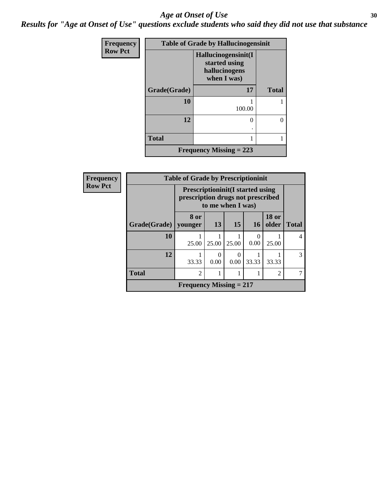#### Age at Onset of Use **30**

*Results for "Age at Onset of Use" questions exclude students who said they did not use that substance*

| Frequency      | <b>Table of Grade by Hallucinogensinit</b> |                                                                      |              |  |  |
|----------------|--------------------------------------------|----------------------------------------------------------------------|--------------|--|--|
| <b>Row Pct</b> |                                            | Hallucinogensinit(I<br>started using<br>hallucinogens<br>when I was) |              |  |  |
|                | Grade(Grade)                               | 17                                                                   | <b>Total</b> |  |  |
|                | 10                                         | 100.00                                                               |              |  |  |
|                | 12                                         | 0                                                                    | 0            |  |  |
|                | <b>Total</b>                               |                                                                      |              |  |  |
|                |                                            | <b>Frequency Missing = 223</b>                                       |              |  |  |

| Frequency      |                        | <b>Table of Grade by Prescriptioninit</b>                                     |       |                   |           |                       |               |
|----------------|------------------------|-------------------------------------------------------------------------------|-------|-------------------|-----------|-----------------------|---------------|
| <b>Row Pct</b> |                        | <b>Prescriptioninit (I started using</b><br>prescription drugs not prescribed |       | to me when I was) |           |                       |               |
|                | Grade(Grade)   younger | 8 or                                                                          | 13    | 15                | <b>16</b> | <b>18 or</b><br>older | <b>Total</b>  |
|                | 10                     | 25.00                                                                         | 25.00 | 25.00             | 0<br>0.00 | 25.00                 |               |
|                | 12                     | 33.33                                                                         | 0.00  | $\theta$<br>0.00  | 33.33     | 33.33                 | $\mathcal{R}$ |
|                | <b>Total</b>           | $\overline{2}$                                                                |       |                   |           | $\overline{c}$        |               |
|                |                        | Frequency Missing $= 217$                                                     |       |                   |           |                       |               |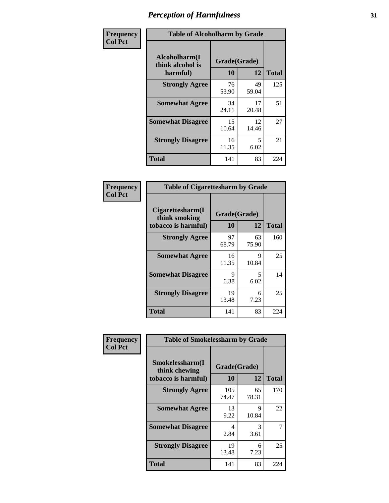| Frequency      | <b>Table of Alcoholharm by Grade</b>          |                    |             |              |
|----------------|-----------------------------------------------|--------------------|-------------|--------------|
| <b>Col Pct</b> | Alcoholharm(I<br>think alcohol is<br>harmful) | Grade(Grade)<br>10 | 12          | <b>Total</b> |
|                | <b>Strongly Agree</b>                         | 76<br>53.90        | 49<br>59.04 | 125          |
|                | <b>Somewhat Agree</b>                         | 34<br>24.11        | 17<br>20.48 | 51           |
|                | <b>Somewhat Disagree</b>                      | 15<br>10.64        | 12<br>14.46 | 27           |
|                | <b>Strongly Disagree</b>                      | 16<br>11.35        | 5<br>6.02   | 21           |
|                | <b>Total</b>                                  | 141                | 83          | 224          |

| <b>Table of Cigarettesharm by Grade</b>                  |                    |             |              |  |
|----------------------------------------------------------|--------------------|-------------|--------------|--|
| Cigarettesharm(I<br>think smoking<br>tobacco is harmful) | Grade(Grade)<br>10 | 12          | <b>Total</b> |  |
| <b>Strongly Agree</b>                                    | 97<br>68.79        | 63<br>75.90 | 160          |  |
| <b>Somewhat Agree</b>                                    | 16<br>11.35        | 9<br>10.84  | 25           |  |
| <b>Somewhat Disagree</b>                                 | 9<br>6.38          | 5<br>6.02   | 14           |  |
| <b>Strongly Disagree</b>                                 | 19<br>13.48        | 6<br>7.23   | 25           |  |
| <b>Total</b>                                             | 141                | 83          | 224          |  |

| Frequency      | <b>Table of Smokelessharm by Grade</b>                  |                    |             |              |
|----------------|---------------------------------------------------------|--------------------|-------------|--------------|
| <b>Col Pct</b> | Smokelessharm(I<br>think chewing<br>tobacco is harmful) | Grade(Grade)<br>10 | 12          | <b>Total</b> |
|                | <b>Strongly Agree</b>                                   | 105<br>74.47       | 65<br>78.31 | 170          |
|                | <b>Somewhat Agree</b>                                   | 13<br>9.22         | 9<br>10.84  | 22           |
|                | <b>Somewhat Disagree</b>                                | 4<br>2.84          | 3<br>3.61   |              |
|                | <b>Strongly Disagree</b>                                | 19<br>13.48        | 6<br>7.23   | 25           |
|                | <b>Total</b>                                            | 141                | 83          | 224          |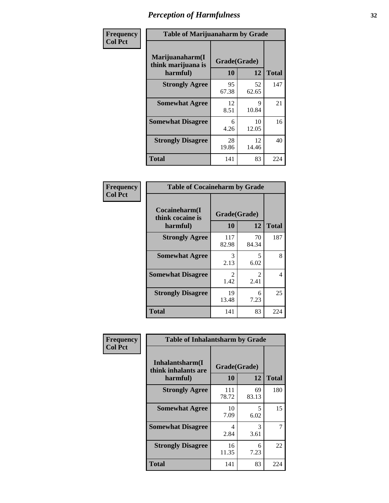| Frequency      | <b>Table of Marijuanaharm by Grade</b>            |                    |             |              |
|----------------|---------------------------------------------------|--------------------|-------------|--------------|
| <b>Col Pct</b> | Marijuanaharm(I<br>think marijuana is<br>harmful) | Grade(Grade)<br>10 | 12          | <b>Total</b> |
|                | <b>Strongly Agree</b>                             | 95<br>67.38        | 52<br>62.65 | 147          |
|                | <b>Somewhat Agree</b>                             | 12<br>8.51         | 9<br>10.84  | 21           |
|                | <b>Somewhat Disagree</b>                          | 6<br>4.26          | 10<br>12.05 | 16           |
|                | <b>Strongly Disagree</b>                          | 28<br>19.86        | 12<br>14.46 | 40           |
|                | <b>Total</b>                                      | 141                | 83          | 224          |

| <b>Table of Cocaineharm by Grade</b>          |                    |                        |              |  |  |
|-----------------------------------------------|--------------------|------------------------|--------------|--|--|
| Cocaineharm(I<br>think cocaine is<br>harmful) | Grade(Grade)<br>10 | 12                     | <b>Total</b> |  |  |
| <b>Strongly Agree</b>                         | 117<br>82.98       | 70<br>84.34            | 187          |  |  |
| <b>Somewhat Agree</b>                         | 3<br>2.13          | 5<br>6.02              | 8            |  |  |
| <b>Somewhat Disagree</b>                      | 2<br>1.42          | $\mathfrak{D}$<br>2.41 | 4            |  |  |
| <b>Strongly Disagree</b>                      | 19<br>13.48        | 6<br>7.23              | 25           |  |  |
| <b>Total</b>                                  | 141                | 83                     | 224          |  |  |

| Frequency      | <b>Table of Inhalantsharm by Grade</b> |              |             |              |  |
|----------------|----------------------------------------|--------------|-------------|--------------|--|
| <b>Col Pct</b> | Inhalantsharm(I<br>think inhalants are | Grade(Grade) |             |              |  |
|                | harmful)                               | 10           | 12          | <b>Total</b> |  |
|                | <b>Strongly Agree</b>                  | 111<br>78.72 | 69<br>83.13 | 180          |  |
|                | <b>Somewhat Agree</b>                  | 10<br>7.09   | 5<br>6.02   | 15           |  |
|                | <b>Somewhat Disagree</b>               | 4<br>2.84    | 3<br>3.61   | 7            |  |
|                | <b>Strongly Disagree</b>               | 16<br>11.35  | 6<br>7.23   | 22           |  |
|                | Total                                  | 141          | 83          | 224          |  |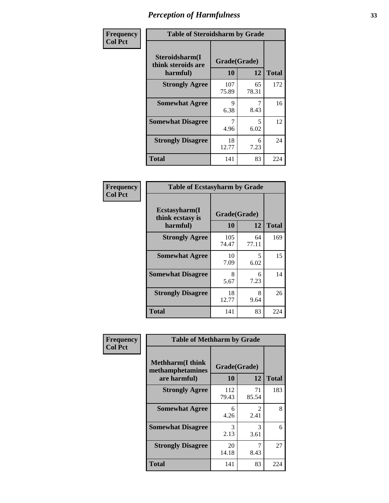| Frequency      | <b>Table of Steroidsharm by Grade</b>            |                    |                                  |              |
|----------------|--------------------------------------------------|--------------------|----------------------------------|--------------|
| <b>Col Pct</b> | Steroidsharm(I<br>think steroids are<br>harmful) | Grade(Grade)<br>10 | 12                               | <b>Total</b> |
|                | <b>Strongly Agree</b>                            | 107<br>75.89       | 65<br>78.31                      | 172          |
|                | <b>Somewhat Agree</b>                            | 9<br>6.38          | 8.43                             | 16           |
|                | <b>Somewhat Disagree</b>                         | 4.96               | $\overline{\phantom{0}}$<br>6.02 | 12           |
|                | <b>Strongly Disagree</b>                         | 18<br>12.77        | 6<br>7.23                        | 24           |
|                | <b>Total</b>                                     | 141                | 83                               | 224          |

| <b>Table of Ecstasyharm by Grade</b>                |                    |              |     |  |  |
|-----------------------------------------------------|--------------------|--------------|-----|--|--|
| $E$ cstasyharm $(I$<br>think ecstasy is<br>harmful) | Grade(Grade)<br>10 | <b>Total</b> |     |  |  |
| <b>Strongly Agree</b>                               | 105<br>74.47       | 64<br>77.11  | 169 |  |  |
| <b>Somewhat Agree</b>                               | 10<br>7.09         | 5<br>6.02    | 15  |  |  |
| <b>Somewhat Disagree</b>                            | 8<br>5.67          | 6<br>7.23    | 14  |  |  |
| <b>Strongly Disagree</b>                            | 18<br>12.77        | 8<br>9.64    | 26  |  |  |
| Total                                               | 141                | 83           | 224 |  |  |

| Frequency      | <b>Table of Methharm by Grade</b>                            |                           |                       |              |
|----------------|--------------------------------------------------------------|---------------------------|-----------------------|--------------|
| <b>Col Pct</b> | <b>Methharm</b> (I think<br>methamphetamines<br>are harmful) | Grade(Grade)<br><b>10</b> | 12                    | <b>Total</b> |
|                | <b>Strongly Agree</b>                                        | 112<br>79.43              | 71<br>85.54           | 183          |
|                | <b>Somewhat Agree</b>                                        | 6<br>4.26                 | $\mathcal{L}$<br>2.41 | 8            |
|                | <b>Somewhat Disagree</b>                                     | 3<br>2.13                 | 3<br>3.61             | 6            |
|                | <b>Strongly Disagree</b>                                     | 20<br>14.18               | 7<br>8.43             | 27           |
|                | <b>Total</b>                                                 | 141                       | 83                    | 224          |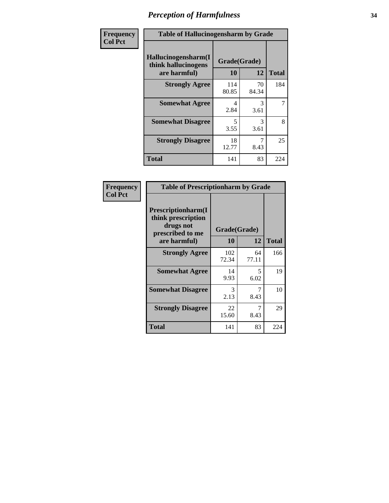| Frequency      | <b>Table of Hallucinogensharm by Grade</b>                 |                    |             |              |
|----------------|------------------------------------------------------------|--------------------|-------------|--------------|
| <b>Col Pct</b> | Hallucinogensharm(I<br>think hallucinogens<br>are harmful) | Grade(Grade)<br>10 | 12          | <b>Total</b> |
|                | <b>Strongly Agree</b>                                      | 114<br>80.85       | 70<br>84.34 | 184          |
|                | <b>Somewhat Agree</b>                                      | 4<br>2.84          | 3<br>3.61   | 7            |
|                | <b>Somewhat Disagree</b>                                   | 5<br>3.55          | 3<br>3.61   | 8            |
|                | <b>Strongly Disagree</b>                                   | 18<br>12.77        | 7<br>8.43   | 25           |
|                | <b>Total</b>                                               | 141                | 83          | 224          |

| <b>Table of Prescriptionharm by Grade</b>                                                 |                    |             |              |  |
|-------------------------------------------------------------------------------------------|--------------------|-------------|--------------|--|
| Prescriptionharm(I<br>think prescription<br>drugs not<br>prescribed to me<br>are harmful) | Grade(Grade)<br>10 | 12          | <b>Total</b> |  |
| <b>Strongly Agree</b>                                                                     | 102<br>72.34       | 64<br>77.11 | 166          |  |
| <b>Somewhat Agree</b>                                                                     | 14<br>9.93         | 5<br>6.02   | 19           |  |
| <b>Somewhat Disagree</b>                                                                  | 3<br>2.13          | 7<br>8.43   | 10           |  |
| <b>Strongly Disagree</b>                                                                  | 22<br>15.60        | 7<br>8.43   | 29           |  |
| Total                                                                                     | 141                | 83          | 224          |  |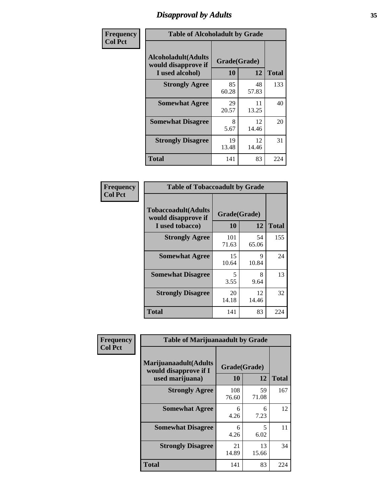# *Disapproval by Adults* **35**

| Frequency      | <b>Table of Alcoholadult by Grade</b>                                 |                    |             |              |
|----------------|-----------------------------------------------------------------------|--------------------|-------------|--------------|
| <b>Col Pct</b> | <b>Alcoholadult</b> (Adults<br>would disapprove if<br>I used alcohol) | Grade(Grade)<br>10 | 12          | <b>Total</b> |
|                | <b>Strongly Agree</b>                                                 | 85<br>60.28        | 48<br>57.83 | 133          |
|                | <b>Somewhat Agree</b>                                                 | 29<br>20.57        | 11<br>13.25 | 40           |
|                | <b>Somewhat Disagree</b>                                              | 8<br>5.67          | 12<br>14.46 | 20           |
|                | <b>Strongly Disagree</b>                                              | 19<br>13.48        | 12<br>14.46 | 31           |
|                | <b>Total</b>                                                          | 141                | 83          | 224          |

| <b>Table of Tobaccoadult by Grade</b>                         |              |                    |              |  |  |
|---------------------------------------------------------------|--------------|--------------------|--------------|--|--|
| Tobaccoadult(Adults<br>would disapprove if<br>I used tobacco) | 10           | Grade(Grade)<br>12 | <b>Total</b> |  |  |
| <b>Strongly Agree</b>                                         | 101<br>71.63 | 54<br>65.06        | 155          |  |  |
| <b>Somewhat Agree</b>                                         | 15<br>10.64  | 9<br>10.84         | 24           |  |  |
| <b>Somewhat Disagree</b>                                      | 5<br>3.55    | 8<br>9.64          | 13           |  |  |
| <b>Strongly Disagree</b>                                      | 20<br>14.18  | 12<br>14.46        | 32           |  |  |
| <b>Total</b>                                                  | 141          | 83                 | 224          |  |  |

| Frequency<br><b>Col Pct</b> | <b>Table of Marijuanaadult by Grade</b>                           |                    |             |              |
|-----------------------------|-------------------------------------------------------------------|--------------------|-------------|--------------|
|                             | Marijuanaadult(Adults<br>would disapprove if I<br>used marijuana) | Grade(Grade)<br>10 | 12          | <b>Total</b> |
|                             | <b>Strongly Agree</b>                                             | 108<br>76.60       | 59<br>71.08 | 167          |
|                             | <b>Somewhat Agree</b>                                             | 6<br>4.26          | 6<br>7.23   | 12           |
|                             | <b>Somewhat Disagree</b>                                          | 6<br>4.26          | 5<br>6.02   | 11           |
|                             | <b>Strongly Disagree</b>                                          | 21<br>14.89        | 13<br>15.66 | 34           |
|                             | <b>Total</b>                                                      | 141                | 83          | 224          |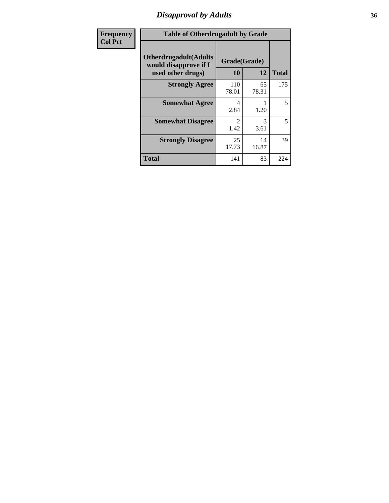### *Disapproval by Adults* **36**

| <b>Frequency</b> | <b>Table of Otherdrugadult by Grade</b>                                     |                                     |             |              |
|------------------|-----------------------------------------------------------------------------|-------------------------------------|-------------|--------------|
| <b>Col Pct</b>   | <b>Otherdrugadult</b> (Adults<br>would disapprove if I<br>used other drugs) | Grade(Grade)<br>10                  | 12          | <b>Total</b> |
|                  | <b>Strongly Agree</b>                                                       | 110<br>78.01                        | 65<br>78.31 | 175          |
|                  | <b>Somewhat Agree</b>                                                       | 4<br>2.84                           | 1.20        | 5            |
|                  | <b>Somewhat Disagree</b>                                                    | $\mathcal{D}_{\mathcal{L}}$<br>1.42 | 3<br>3.61   | 5            |
|                  | <b>Strongly Disagree</b>                                                    | 25<br>17.73                         | 14<br>16.87 | 39           |
|                  | <b>Total</b>                                                                | 141                                 | 83          | 224          |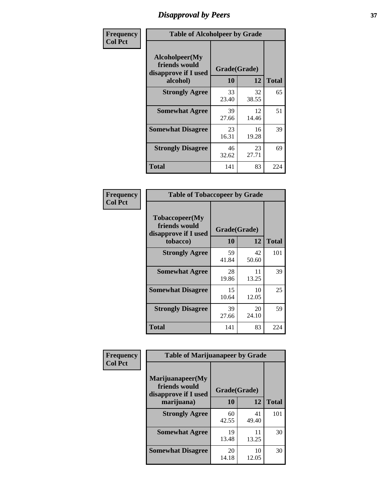# *Disapproval by Peers* **37**

| Frequency      | <b>Table of Alcoholpeer by Grade</b>                    |              |             |              |  |
|----------------|---------------------------------------------------------|--------------|-------------|--------------|--|
| <b>Col Pct</b> | Alcoholpeer(My<br>friends would<br>disapprove if I used | Grade(Grade) |             |              |  |
|                | alcohol)                                                | 10           | 12          | <b>Total</b> |  |
|                | <b>Strongly Agree</b>                                   | 33<br>23.40  | 32<br>38.55 | 65           |  |
|                | <b>Somewhat Agree</b>                                   | 39<br>27.66  | 12<br>14.46 | 51           |  |
|                | <b>Somewhat Disagree</b>                                | 23<br>16.31  | 16<br>19.28 | 39           |  |
|                | <b>Strongly Disagree</b>                                | 46<br>32.62  | 23<br>27.71 | 69           |  |
|                | Total                                                   | 141          | 83          | 224          |  |

| Frequency      | <b>Table of Tobaccopeer by Grade</b>                                |                    |             |              |  |
|----------------|---------------------------------------------------------------------|--------------------|-------------|--------------|--|
| <b>Col Pct</b> | Tobaccopeer(My<br>friends would<br>disapprove if I used<br>tobacco) | Grade(Grade)<br>10 | 12          | <b>Total</b> |  |
|                | <b>Strongly Agree</b>                                               | 59<br>41.84        | 42<br>50.60 | 101          |  |
|                | <b>Somewhat Agree</b>                                               | 28<br>19.86        | 11<br>13.25 | 39           |  |
|                | <b>Somewhat Disagree</b>                                            | 15<br>10.64        | 10<br>12.05 | 25           |  |
|                | <b>Strongly Disagree</b>                                            | 39<br>27.66        | 20<br>24.10 | 59           |  |
|                | <b>Total</b>                                                        | 141                | 83          | 224          |  |

| Frequency<br><b>Col Pct</b> | <b>Table of Marijuanapeer by Grade</b>                    |              |             |              |
|-----------------------------|-----------------------------------------------------------|--------------|-------------|--------------|
|                             | Marijuanapeer(My<br>friends would<br>disapprove if I used | Grade(Grade) |             |              |
|                             | marijuana)                                                | 10           | 12          | <b>Total</b> |
|                             | <b>Strongly Agree</b>                                     | 60<br>42.55  | 41<br>49.40 | 101          |
|                             | <b>Somewhat Agree</b>                                     | 19<br>13.48  | 11<br>13.25 | 30           |
|                             | <b>Somewhat Disagree</b>                                  | 20<br>14.18  | 10<br>12.05 | 30           |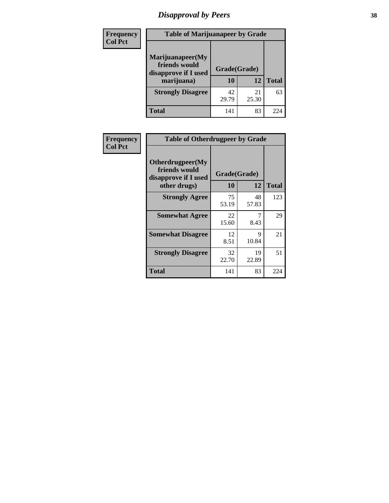# *Disapproval by Peers* **38**

| <b>Frequency</b> | <b>Table of Marijuanapeer by Grade</b>                                  |                    |             |              |  |
|------------------|-------------------------------------------------------------------------|--------------------|-------------|--------------|--|
| <b>Col Pct</b>   | Marijuanapeer(My<br>friends would<br>disapprove if I used<br>marijuana) | Grade(Grade)<br>10 | 12          | <b>Total</b> |  |
|                  | <b>Strongly Disagree</b>                                                | 42<br>29.79        | 21<br>25.30 | 63           |  |
|                  | <b>Total</b>                                                            | 141                | 83          | 224          |  |

| <b>Frequency</b> | <b>Table of Otherdrugpeer by Grade</b>                                    |                           |             |              |
|------------------|---------------------------------------------------------------------------|---------------------------|-------------|--------------|
| <b>Col Pct</b>   | Otherdrugpeer(My<br>friends would<br>disapprove if I used<br>other drugs) | Grade(Grade)<br><b>10</b> | 12          | <b>Total</b> |
|                  |                                                                           |                           |             |              |
|                  | <b>Strongly Agree</b>                                                     | 75<br>53.19               | 48<br>57.83 | 123          |
|                  | <b>Somewhat Agree</b>                                                     | 22<br>15.60               | 7<br>8.43   | 29           |
|                  | <b>Somewhat Disagree</b>                                                  | 12<br>8.51                | 9<br>10.84  | 21           |
|                  | <b>Strongly Disagree</b>                                                  | 32<br>22.70               | 19<br>22.89 | 51           |
|                  | <b>Total</b>                                                              | 141                       | 83          | 224          |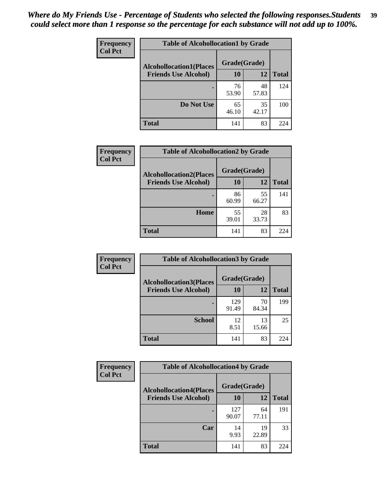| Frequency      | <b>Table of Alcohollocation1 by Grade</b> |              |             |              |
|----------------|-------------------------------------------|--------------|-------------|--------------|
| <b>Col Pct</b> | <b>Alcohollocation1(Places</b>            | Grade(Grade) |             |              |
|                | <b>Friends Use Alcohol)</b>               | 10           | 12          | <b>Total</b> |
|                |                                           | 76<br>53.90  | 48<br>57.83 | 124          |
|                | Do Not Use                                | 65<br>46.10  | 35<br>42.17 | 100          |
|                | <b>Total</b>                              | 141          | 83          | 224          |

| Frequency      | <b>Table of Alcohollocation2 by Grade</b>                     |                    |             |              |
|----------------|---------------------------------------------------------------|--------------------|-------------|--------------|
| <b>Col Pct</b> | <b>Alcohollocation2(Places</b><br><b>Friends Use Alcohol)</b> | Grade(Grade)<br>10 | <b>12</b>   | <b>Total</b> |
|                |                                                               | 86<br>60.99        | 55<br>66.27 | 141          |
|                | Home                                                          | 55<br>39.01        | 28<br>33.73 | 83           |
|                | <b>Total</b>                                                  | 141                | 83          | 224          |

| Frequency<br><b>Col Pct</b> | <b>Table of Alcohollocation 3 by Grade</b>                    |                    |             |              |
|-----------------------------|---------------------------------------------------------------|--------------------|-------------|--------------|
|                             | <b>Alcohollocation3(Places</b><br><b>Friends Use Alcohol)</b> | Grade(Grade)<br>10 | 12          | <b>Total</b> |
|                             |                                                               | 129<br>91.49       | 70<br>84.34 | 199          |
|                             | <b>School</b>                                                 | 12<br>8.51         | 13<br>15.66 | 25           |
|                             | <b>Total</b>                                                  | 141                | 83          | 224          |

| Frequency      | <b>Table of Alcohollocation4 by Grade</b> |              |             |              |
|----------------|-------------------------------------------|--------------|-------------|--------------|
| <b>Col Pct</b> | <b>Alcohollocation4(Places</b>            | Grade(Grade) |             |              |
|                | <b>Friends Use Alcohol)</b>               | 10           | 12          | <b>Total</b> |
|                |                                           | 127<br>90.07 | 64<br>77.11 | 191          |
|                | Car                                       | 14<br>9.93   | 19<br>22.89 | 33           |
|                | <b>Total</b>                              | 141          | 83          | 224          |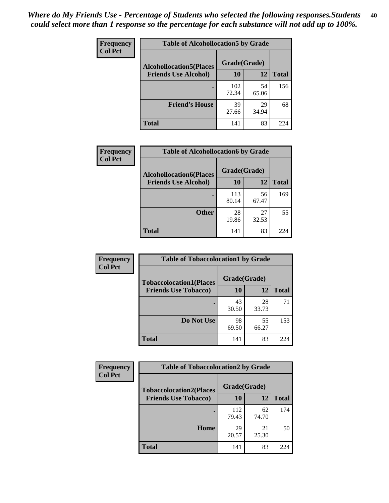| Frequency<br><b>Col Pct</b> | <b>Table of Alcohollocation5 by Grade</b> |              |             |              |
|-----------------------------|-------------------------------------------|--------------|-------------|--------------|
|                             | <b>Alcohollocation5(Places</b>            | Grade(Grade) |             |              |
|                             | <b>Friends Use Alcohol)</b>               | 10           | 12          | <b>Total</b> |
|                             |                                           | 102<br>72.34 | 54<br>65.06 | 156          |
|                             | <b>Friend's House</b>                     | 39<br>27.66  | 29<br>34.94 | 68           |
|                             | <b>Total</b>                              | 141          | 83          | 224          |

| <b>Frequency</b> | <b>Table of Alcohollocation6 by Grade</b> |              |             |              |
|------------------|-------------------------------------------|--------------|-------------|--------------|
| <b>Col Pct</b>   | <b>Alcohollocation6(Places</b>            | Grade(Grade) |             |              |
|                  | <b>Friends Use Alcohol)</b>               | 10           | 12          | <b>Total</b> |
|                  |                                           | 113<br>80.14 | 56<br>67.47 | 169          |
|                  | <b>Other</b>                              | 28<br>19.86  | 27<br>32.53 | 55           |
|                  | <b>Total</b>                              | 141          | 83          | 224          |

| Frequency      | <b>Table of Tobaccolocation1 by Grade</b> |              |             |              |
|----------------|-------------------------------------------|--------------|-------------|--------------|
| <b>Col Pct</b> | <b>Tobaccolocation1(Places</b>            | Grade(Grade) |             |              |
|                | <b>Friends Use Tobacco)</b>               | 10           | 12          | <b>Total</b> |
|                |                                           | 43<br>30.50  | 28<br>33.73 | 71           |
|                | Do Not Use                                | 98<br>69.50  | 55<br>66.27 | 153          |
|                | <b>Total</b>                              | 141          | 83          | 224          |

| <b>Frequency</b> | <b>Table of Tobaccolocation2 by Grade</b> |              |             |              |  |
|------------------|-------------------------------------------|--------------|-------------|--------------|--|
| <b>Col Pct</b>   | <b>Tobaccolocation2(Places</b>            | Grade(Grade) |             |              |  |
|                  | <b>Friends Use Tobacco)</b>               | 10           | 12          | <b>Total</b> |  |
|                  |                                           | 112<br>79.43 | 62<br>74.70 | 174          |  |
|                  | Home                                      | 29<br>20.57  | 21<br>25.30 | 50           |  |
|                  | <b>Total</b>                              | 141          | 83          | 224          |  |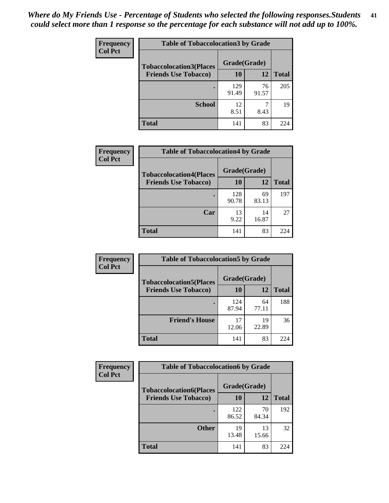| Frequency      | <b>Table of Tobaccolocation 3 by Grade</b> |              |             |              |  |
|----------------|--------------------------------------------|--------------|-------------|--------------|--|
| <b>Col Pct</b> | <b>Tobaccolocation3(Places</b>             | Grade(Grade) |             |              |  |
|                | <b>Friends Use Tobacco)</b>                | 10           | <b>12</b>   | <b>Total</b> |  |
|                |                                            | 129<br>91.49 | 76<br>91.57 | 205          |  |
|                | <b>School</b>                              | 12<br>8.51   | 8.43        | 19           |  |
|                | <b>Total</b>                               | 141          | 83          | 224          |  |

| Frequency<br><b>Col Pct</b> | <b>Table of Tobaccolocation4 by Grade</b> |              |             |              |
|-----------------------------|-------------------------------------------|--------------|-------------|--------------|
|                             | <b>Tobaccolocation4(Places</b>            | Grade(Grade) |             |              |
|                             | <b>Friends Use Tobacco)</b>               | 10           | 12          | <b>Total</b> |
|                             |                                           | 128<br>90.78 | 69<br>83.13 | 197          |
|                             | Car                                       | 13<br>9.22   | 14<br>16.87 | 27           |
|                             | <b>Total</b>                              | 141          | 83          | 224          |

| Frequency      | <b>Table of Tobaccolocation5 by Grade</b> |              |             |              |
|----------------|-------------------------------------------|--------------|-------------|--------------|
| <b>Col Pct</b> | <b>Tobaccolocation5(Places</b>            | Grade(Grade) |             |              |
|                | <b>Friends Use Tobacco)</b>               | 10           | 12          | <b>Total</b> |
|                |                                           | 124<br>87.94 | 64<br>77.11 | 188          |
|                | <b>Friend's House</b>                     | 17<br>12.06  | 19<br>22.89 | 36           |
|                | <b>Total</b>                              | 141          | 83          | 224          |

| Frequency      | <b>Table of Tobaccolocation6 by Grade</b> |              |             |              |  |  |
|----------------|-------------------------------------------|--------------|-------------|--------------|--|--|
| <b>Col Pct</b> | <b>Tobaccolocation6(Places</b>            | Grade(Grade) |             |              |  |  |
|                | <b>Friends Use Tobacco)</b>               | 10           | 12          | <b>Total</b> |  |  |
|                |                                           | 122<br>86.52 | 70<br>84.34 | 192          |  |  |
|                | <b>Other</b>                              | 19<br>13.48  | 13<br>15.66 | 32           |  |  |
|                | <b>Total</b>                              | 141          | 83          | 224          |  |  |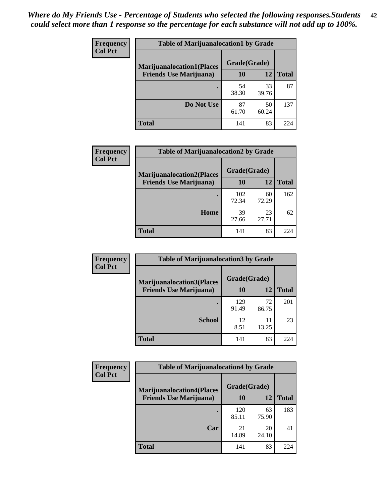| <b>Frequency</b> | <b>Table of Marijuanalocation1 by Grade</b> |              |             |              |
|------------------|---------------------------------------------|--------------|-------------|--------------|
| <b>Col Pct</b>   | <b>Marijuanalocation1(Places</b>            | Grade(Grade) |             |              |
|                  | <b>Friends Use Marijuana</b> )              | 10           | 12          | <b>Total</b> |
|                  |                                             | 54<br>38.30  | 33<br>39.76 | 87           |
|                  | Do Not Use                                  | 87<br>61.70  | 50<br>60.24 | 137          |
|                  | <b>Total</b>                                | 141          | 83          | 224          |

| <b>Frequency</b> | <b>Table of Marijuanalocation2 by Grade</b>                        |                    |             |              |
|------------------|--------------------------------------------------------------------|--------------------|-------------|--------------|
| <b>Col Pct</b>   | <b>Marijuanalocation2(Places</b><br><b>Friends Use Marijuana</b> ) | Grade(Grade)<br>10 | 12          | <b>Total</b> |
|                  |                                                                    | 102<br>72.34       | 60<br>72.29 | 162          |
|                  | Home                                                               | 39<br>27.66        | 23<br>27.71 | 62           |
|                  | <b>Total</b>                                                       | 141                | 83          | 224          |

| Frequency<br><b>Col Pct</b> | <b>Table of Marijuanalocation3 by Grade</b> |              |             |       |
|-----------------------------|---------------------------------------------|--------------|-------------|-------|
|                             | <b>Marijuanalocation3</b> (Places           | Grade(Grade) |             |       |
|                             | <b>Friends Use Marijuana</b> )              | 10           | 12          | Total |
|                             |                                             | 129<br>91.49 | 72<br>86.75 | 201   |
|                             | <b>School</b>                               | 12<br>8.51   | 11<br>13.25 | 23    |
|                             | <b>Total</b>                                | 141          | 83          | 224   |

| <b>Frequency</b> | <b>Table of Marijuanalocation4 by Grade</b> |              |             |              |  |
|------------------|---------------------------------------------|--------------|-------------|--------------|--|
| <b>Col Pct</b>   | <b>Marijuanalocation4(Places</b>            | Grade(Grade) |             |              |  |
|                  | <b>Friends Use Marijuana</b> )              | <b>10</b>    | 12          | <b>Total</b> |  |
|                  |                                             | 120<br>85.11 | 63<br>75.90 | 183          |  |
|                  | Car                                         | 21<br>14.89  | 20<br>24.10 | 41           |  |
|                  | <b>Total</b>                                | 141          | 83          | 224          |  |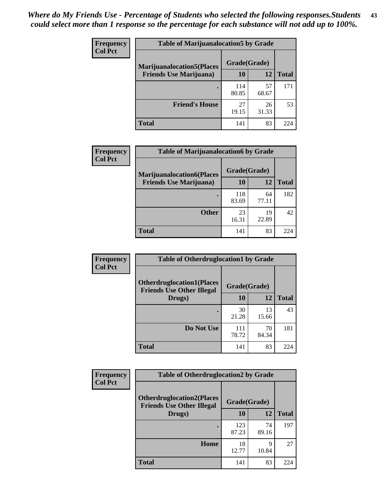| <b>Frequency</b> | <b>Table of Marijuanalocation5 by Grade</b> |              |             |              |
|------------------|---------------------------------------------|--------------|-------------|--------------|
| <b>Col Pct</b>   | <b>Marijuanalocation5</b> (Places           | Grade(Grade) |             |              |
|                  | <b>Friends Use Marijuana</b> )              | 10           | 12          | <b>Total</b> |
|                  |                                             | 114<br>80.85 | 57<br>68.67 | 171          |
|                  | <b>Friend's House</b>                       | 27<br>19.15  | 26<br>31.33 | 53           |
|                  | <b>Total</b>                                | 141          | 83          | 224          |

| <b>Frequency</b> | <b>Table of Marijuanalocation6 by Grade</b>                        |                    |             |              |
|------------------|--------------------------------------------------------------------|--------------------|-------------|--------------|
| <b>Col Pct</b>   | <b>Marijuanalocation6(Places</b><br><b>Friends Use Marijuana</b> ) | Grade(Grade)<br>10 | 12          | <b>Total</b> |
|                  |                                                                    | 118<br>83.69       | 64<br>77.11 | 182          |
|                  | <b>Other</b>                                                       | 23<br>16.31        | 19<br>22.89 | 42           |
|                  | <b>Total</b>                                                       | 141                | 83          | 224          |

| <b>Frequency</b> | <b>Table of Otherdruglocation1 by Grade</b>                          |              |             |              |
|------------------|----------------------------------------------------------------------|--------------|-------------|--------------|
| <b>Col Pct</b>   | <b>Otherdruglocation1(Places</b><br><b>Friends Use Other Illegal</b> | Grade(Grade) |             |              |
|                  | Drugs)                                                               | 10           | 12          | <b>Total</b> |
|                  |                                                                      | 30<br>21.28  | 13<br>15.66 | 43           |
|                  | Do Not Use                                                           | 111<br>78.72 | 70<br>84.34 | 181          |
|                  | <b>Total</b>                                                         | 141          | 83          | 224          |

| <b>Frequency</b> | <b>Table of Otherdruglocation2 by Grade</b>                          |              |             |              |
|------------------|----------------------------------------------------------------------|--------------|-------------|--------------|
| <b>Col Pct</b>   | <b>Otherdruglocation2(Places</b><br><b>Friends Use Other Illegal</b> | Grade(Grade) |             |              |
|                  | Drugs)                                                               | 10           | 12          | <b>Total</b> |
|                  |                                                                      | 123<br>87.23 | 74<br>89.16 | 197          |
|                  | Home                                                                 | 18<br>12.77  | 9<br>10.84  | 27           |
|                  | <b>Total</b>                                                         | 141          | 83          | 224          |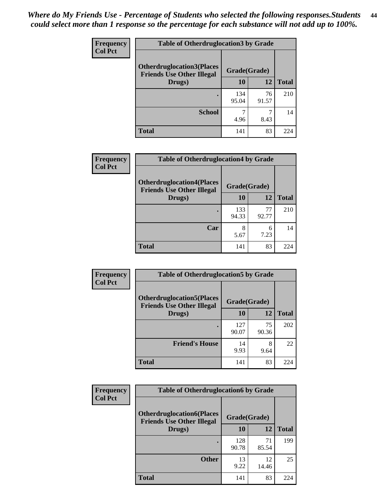| <b>Frequency</b> | <b>Table of Otherdruglocation 3 by Grade</b>                         |              |             |              |
|------------------|----------------------------------------------------------------------|--------------|-------------|--------------|
| <b>Col Pct</b>   | <b>Otherdruglocation3(Places</b><br><b>Friends Use Other Illegal</b> | Grade(Grade) |             |              |
|                  | Drugs)                                                               | 10           | 12          | <b>Total</b> |
|                  |                                                                      | 134<br>95.04 | 76<br>91.57 | 210          |
|                  | <b>School</b>                                                        | 4.96         | 8.43        | 14           |
|                  | <b>Total</b>                                                         | 141          | 83          | 224          |

| Frequency      | <b>Table of Otherdruglocation4 by Grade</b>                          |              |             |              |  |
|----------------|----------------------------------------------------------------------|--------------|-------------|--------------|--|
| <b>Col Pct</b> | <b>Otherdruglocation4(Places</b><br><b>Friends Use Other Illegal</b> | Grade(Grade) |             |              |  |
|                | Drugs)                                                               | 10           | 12          | <b>Total</b> |  |
|                |                                                                      | 133<br>94.33 | 77<br>92.77 | 210          |  |
|                | Car                                                                  | 8<br>5.67    | 6<br>7.23   | 14           |  |
|                | <b>Total</b>                                                         | 141          | 83          | 224          |  |

| Frequency      | <b>Table of Otherdruglocation5 by Grade</b>                          |              |             |              |
|----------------|----------------------------------------------------------------------|--------------|-------------|--------------|
| <b>Col Pct</b> | <b>Otherdruglocation5(Places</b><br><b>Friends Use Other Illegal</b> | Grade(Grade) |             |              |
|                | Drugs)                                                               | 10           | 12          | <b>Total</b> |
|                |                                                                      | 127<br>90.07 | 75<br>90.36 | 202          |
|                | <b>Friend's House</b>                                                | 14<br>9.93   | 8<br>9.64   | 22           |
|                | <b>Total</b>                                                         | 141          | 83          | 224          |

| <b>Frequency</b> | <b>Table of Otherdruglocation6 by Grade</b>                          |              |             |              |
|------------------|----------------------------------------------------------------------|--------------|-------------|--------------|
| <b>Col Pct</b>   | <b>Otherdruglocation6(Places</b><br><b>Friends Use Other Illegal</b> | Grade(Grade) |             |              |
|                  | Drugs)                                                               | <b>10</b>    | 12          | <b>Total</b> |
|                  |                                                                      | 128<br>90.78 | 71<br>85.54 | 199          |
|                  | <b>Other</b>                                                         | 13<br>9.22   | 12<br>14.46 | 25           |
|                  | Total                                                                | 141          | 83          | 224          |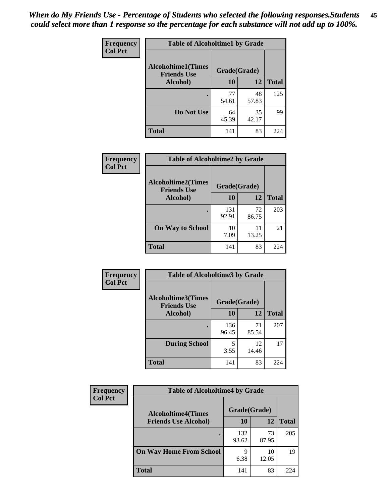| Frequency      | <b>Table of Alcoholtime1 by Grade</b>           |              |             |              |
|----------------|-------------------------------------------------|--------------|-------------|--------------|
| <b>Col Pct</b> | <b>Alcoholtime1(Times</b><br><b>Friends Use</b> | Grade(Grade) |             |              |
|                | Alcohol)                                        | 10           | 12          | <b>Total</b> |
|                |                                                 | 77<br>54.61  | 48<br>57.83 | 125          |
|                | Do Not Use                                      | 64<br>45.39  | 35<br>42.17 | 99           |
|                | <b>Total</b>                                    | 141          | 83          | 224          |

| Frequency      | <b>Table of Alcoholtime2 by Grade</b>           |              |             |              |
|----------------|-------------------------------------------------|--------------|-------------|--------------|
| <b>Col Pct</b> | <b>Alcoholtime2(Times</b><br><b>Friends Use</b> | Grade(Grade) |             |              |
|                | Alcohol)                                        | 10           | 12          | <b>Total</b> |
|                |                                                 | 131<br>92.91 | 72<br>86.75 | 203          |
|                | <b>On Way to School</b>                         | 10<br>7.09   | 11<br>13.25 | 21           |
|                | <b>Total</b>                                    | 141          | 83          | 224          |

| Frequency      | <b>Table of Alcoholtime3 by Grade</b>           |              |             |              |
|----------------|-------------------------------------------------|--------------|-------------|--------------|
| <b>Col Pct</b> | <b>Alcoholtime3(Times</b><br><b>Friends Use</b> | Grade(Grade) |             |              |
|                | Alcohol)                                        | 10           | 12          | <b>Total</b> |
|                |                                                 | 136<br>96.45 | 71<br>85.54 | 207          |
|                | <b>During School</b>                            | 5<br>3.55    | 12<br>14.46 | 17           |
|                | Total                                           | 141          | 83          | 224          |

| <b>Frequency</b><br><b>Col Pct</b> | <b>Table of Alcoholtime4 by Grade</b> |              |             |              |
|------------------------------------|---------------------------------------|--------------|-------------|--------------|
|                                    | <b>Alcoholtime4(Times</b>             | Grade(Grade) |             |              |
|                                    | <b>Friends Use Alcohol)</b>           | 10           | 12          | <b>Total</b> |
|                                    |                                       | 132<br>93.62 | 73<br>87.95 | 205          |
|                                    | <b>On Way Home From School</b>        | Q<br>6.38    | 10<br>12.05 | 19           |
|                                    | <b>Total</b>                          | 141          | 83          | 224          |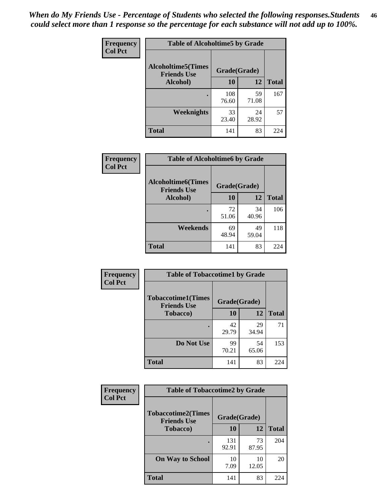*When do My Friends Use - Percentage of Students who selected the following responses.Students could select more than 1 response so the percentage for each substance will not add up to 100%.* **46**

| Frequency      | <b>Table of Alcoholtime5 by Grade</b>           |              |             |              |
|----------------|-------------------------------------------------|--------------|-------------|--------------|
| <b>Col Pct</b> | <b>Alcoholtime5(Times</b><br><b>Friends Use</b> | Grade(Grade) |             |              |
|                | Alcohol)                                        | 10           | 12          | <b>Total</b> |
|                |                                                 | 108<br>76.60 | 59<br>71.08 | 167          |
|                | Weeknights                                      | 33<br>23.40  | 24<br>28.92 | 57           |
|                | <b>Total</b>                                    | 141          | 83          | 224          |

| Frequency      | <b>Table of Alcoholtime6 by Grade</b>           |              |             |              |
|----------------|-------------------------------------------------|--------------|-------------|--------------|
| <b>Col Pct</b> | <b>Alcoholtime6(Times</b><br><b>Friends Use</b> | Grade(Grade) |             |              |
|                | Alcohol)                                        | 10           | 12          | <b>Total</b> |
|                | ٠                                               | 72<br>51.06  | 34<br>40.96 | 106          |
|                | Weekends                                        | 69<br>48.94  | 49<br>59.04 | 118          |
|                | <b>Total</b>                                    | 141          | 83          | 224          |

| Frequency      | <b>Table of Tobaccotime1 by Grade</b>           |              |             |              |
|----------------|-------------------------------------------------|--------------|-------------|--------------|
| <b>Col Pct</b> | <b>Tobaccotime1(Times</b><br><b>Friends Use</b> | Grade(Grade) |             |              |
|                | <b>Tobacco</b> )                                | 10           | 12          | <b>Total</b> |
|                | ٠                                               | 42<br>29.79  | 29<br>34.94 | 71           |
|                | Do Not Use                                      | 99<br>70.21  | 54<br>65.06 | 153          |
|                | <b>Total</b>                                    | 141          | 83          | 224          |

| Frequency      | <b>Table of Tobaccotime2 by Grade</b>           |              |             |              |  |
|----------------|-------------------------------------------------|--------------|-------------|--------------|--|
| <b>Col Pct</b> | <b>Tobaccotime2(Times</b><br><b>Friends Use</b> | Grade(Grade) |             |              |  |
|                | <b>Tobacco</b> )                                | 10           | 12          | <b>Total</b> |  |
|                |                                                 | 131<br>92.91 | 73<br>87.95 | 204          |  |
|                | <b>On Way to School</b>                         | 10<br>7.09   | 10<br>12.05 | 20           |  |
|                | <b>Total</b>                                    | 141          | 83          | 224          |  |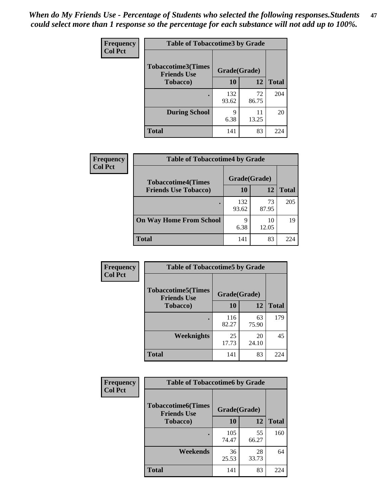*When do My Friends Use - Percentage of Students who selected the following responses.Students could select more than 1 response so the percentage for each substance will not add up to 100%.* **47**

| <b>Frequency</b> | <b>Table of Tobaccotime3 by Grade</b>           |              |             |              |  |
|------------------|-------------------------------------------------|--------------|-------------|--------------|--|
| <b>Col Pct</b>   | <b>Tobaccotime3(Times</b><br><b>Friends Use</b> | Grade(Grade) |             |              |  |
|                  | <b>Tobacco</b> )                                | 10           | 12          | <b>Total</b> |  |
|                  |                                                 | 132<br>93.62 | 72<br>86.75 | 204          |  |
|                  | <b>During School</b>                            | 9<br>6.38    | 11<br>13.25 | 20           |  |
|                  | <b>Total</b>                                    | 141          | 83          | 224          |  |

| <b>Frequency</b> | <b>Table of Tobaccotime4 by Grade</b><br>Grade(Grade)<br><b>Tobaccotime4(Times</b> |              |             |              |
|------------------|------------------------------------------------------------------------------------|--------------|-------------|--------------|
| <b>Col Pct</b>   |                                                                                    |              |             |              |
|                  | <b>Friends Use Tobacco)</b>                                                        | 10           | 12          | <b>Total</b> |
|                  |                                                                                    | 132<br>93.62 | 73<br>87.95 | 205          |
|                  | <b>On Way Home From School</b>                                                     | 9<br>6.38    | 10<br>12.05 | 19           |
|                  | <b>Total</b>                                                                       | 141          | 83          | 224          |

| <b>Frequency</b> | <b>Table of Tobaccotime5 by Grade</b>           |              |             |              |
|------------------|-------------------------------------------------|--------------|-------------|--------------|
| <b>Col Pct</b>   | <b>Tobaccotime5(Times</b><br><b>Friends Use</b> | Grade(Grade) |             |              |
|                  | <b>Tobacco</b> )                                | 10           | 12          | <b>Total</b> |
|                  |                                                 | 116<br>82.27 | 63<br>75.90 | 179          |
|                  | Weeknights                                      | 25<br>17.73  | 20<br>24.10 | 45           |
|                  | <b>Total</b>                                    | 141          | 83          | 224          |

| <b>Frequency</b> | <b>Table of Tobaccotime6 by Grade</b>           |              |             |              |  |
|------------------|-------------------------------------------------|--------------|-------------|--------------|--|
| <b>Col Pct</b>   | <b>Tobaccotime6(Times</b><br><b>Friends Use</b> | Grade(Grade) |             |              |  |
|                  | <b>Tobacco</b> )                                | 10           | 12          | <b>Total</b> |  |
|                  | ٠                                               | 105<br>74.47 | 55<br>66.27 | 160          |  |
|                  | Weekends                                        | 36<br>25.53  | 28<br>33.73 | 64           |  |
|                  | <b>Total</b>                                    | 141          | 83          | 224          |  |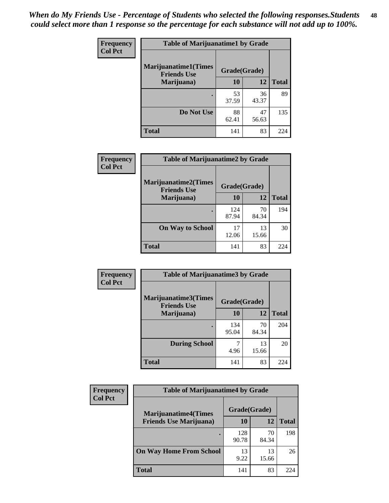| Frequency      | <b>Table of Marijuanatime1 by Grade</b>           |              |             |              |
|----------------|---------------------------------------------------|--------------|-------------|--------------|
| <b>Col Pct</b> | <b>Marijuanatime1(Times</b><br><b>Friends Use</b> | Grade(Grade) |             |              |
|                | Marijuana)                                        | 10           | 12          | <b>Total</b> |
|                |                                                   | 53<br>37.59  | 36<br>43.37 | 89           |
|                | Do Not Use                                        | 88<br>62.41  | 47<br>56.63 | 135          |
|                | <b>Total</b>                                      | 141          | 83          | 224          |

| <b>Frequency</b> | <b>Table of Marijuanatime2 by Grade</b>    |              |             |              |
|------------------|--------------------------------------------|--------------|-------------|--------------|
| <b>Col Pct</b>   | Marijuanatime2(Times<br><b>Friends Use</b> | Grade(Grade) |             |              |
|                  | Marijuana)                                 | 10           | 12          | <b>Total</b> |
|                  |                                            | 124<br>87.94 | 70<br>84.34 | 194          |
|                  | <b>On Way to School</b>                    | 17<br>12.06  | 13<br>15.66 | 30           |
|                  | <b>Total</b>                               | 141          | 83          | 224          |

| Frequency<br><b>Col Pct</b> | <b>Table of Marijuanatime3 by Grade</b>    |              |             |              |  |
|-----------------------------|--------------------------------------------|--------------|-------------|--------------|--|
|                             | Marijuanatime3(Times<br><b>Friends Use</b> | Grade(Grade) |             |              |  |
|                             | Marijuana)                                 | 10           | 12          | <b>Total</b> |  |
|                             |                                            | 134<br>95.04 | 70<br>84.34 | 204          |  |
|                             | <b>During School</b>                       | 4.96         | 13<br>15.66 | 20           |  |
|                             | <b>Total</b>                               | 141          | 83          | 224          |  |

| <b>Frequency</b><br><b>Col Pct</b> | <b>Table of Marijuanatime4 by Grade</b> |              |             |              |
|------------------------------------|-----------------------------------------|--------------|-------------|--------------|
|                                    | <b>Marijuanatime4(Times</b>             | Grade(Grade) |             |              |
|                                    | <b>Friends Use Marijuana</b> )          | 10           | 12          | <b>Total</b> |
|                                    |                                         | 128<br>90.78 | 70<br>84.34 | 198          |
|                                    | <b>On Way Home From School</b>          | 13<br>9.22   | 13<br>15.66 | 26           |
|                                    | <b>Total</b>                            | 141          | 83          | 224          |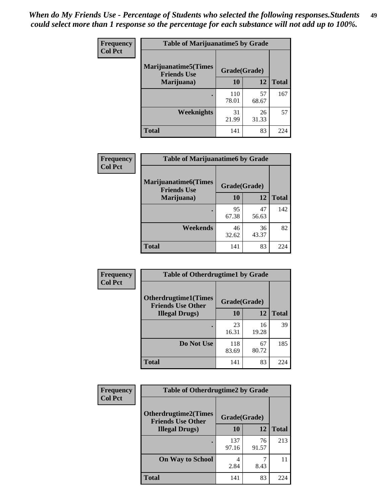| <b>Frequency</b> | <b>Table of Marijuanatime5 by Grade</b>            |              |             |              |
|------------------|----------------------------------------------------|--------------|-------------|--------------|
| <b>Col Pct</b>   | <b>Marijuanatime5</b> (Times<br><b>Friends Use</b> | Grade(Grade) |             |              |
|                  | Marijuana)                                         | 10           | 12          | <b>Total</b> |
|                  |                                                    | 110<br>78.01 | 57<br>68.67 | 167          |
|                  | <b>Weeknights</b>                                  | 31<br>21.99  | 26<br>31.33 | 57           |
|                  | <b>Total</b>                                       | 141          | 83          | 224          |

| Frequency      | <b>Table of Marijuanatime6 by Grade</b>    |              |             |              |
|----------------|--------------------------------------------|--------------|-------------|--------------|
| <b>Col Pct</b> | Marijuanatime6(Times<br><b>Friends Use</b> | Grade(Grade) |             |              |
|                | Marijuana)                                 | 10           | 12          | <b>Total</b> |
|                |                                            | 95<br>67.38  | 47<br>56.63 | 142          |
|                | Weekends                                   | 46<br>32.62  | 36<br>43.37 | 82           |
|                | <b>Total</b>                               | 141          | 83          | 224          |

| Frequency      | <b>Table of Otherdrugtime1 by Grade</b>                 |              |             |              |
|----------------|---------------------------------------------------------|--------------|-------------|--------------|
| <b>Col Pct</b> | <b>Otherdrugtime1(Times</b><br><b>Friends Use Other</b> | Grade(Grade) |             |              |
|                | <b>Illegal Drugs</b> )                                  | 10           | 12          | <b>Total</b> |
|                |                                                         | 23<br>16.31  | 16<br>19.28 | 39           |
|                | Do Not Use                                              | 118<br>83.69 | 67<br>80.72 | 185          |
|                | Total                                                   | 141          | 83          | 224          |

| <b>Frequency</b> | <b>Table of Otherdrugtime2 by Grade</b>                 |              |             |              |  |  |
|------------------|---------------------------------------------------------|--------------|-------------|--------------|--|--|
| <b>Col Pct</b>   | <b>Otherdrugtime2(Times</b><br><b>Friends Use Other</b> | Grade(Grade) |             |              |  |  |
|                  | <b>Illegal Drugs</b> )                                  | 10           | 12          | <b>Total</b> |  |  |
|                  |                                                         | 137<br>97.16 | 76<br>91.57 | 213          |  |  |
|                  | <b>On Way to School</b>                                 | 4<br>2.84    | 8.43        | 11           |  |  |
|                  | <b>Total</b>                                            | 141          | 83          | 224          |  |  |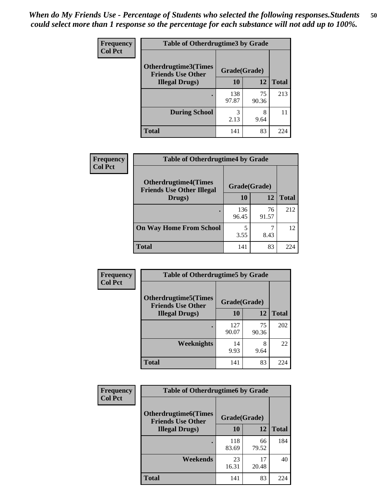| <b>Frequency</b> | <b>Table of Otherdrugtime3 by Grade</b>                 |              |             |              |  |  |
|------------------|---------------------------------------------------------|--------------|-------------|--------------|--|--|
| <b>Col Pct</b>   | <b>Otherdrugtime3(Times</b><br><b>Friends Use Other</b> | Grade(Grade) |             |              |  |  |
|                  | <b>Illegal Drugs</b> )                                  | 10           | 12          | <b>Total</b> |  |  |
|                  |                                                         | 138<br>97.87 | 75<br>90.36 | 213          |  |  |
|                  | <b>During School</b>                                    | 3<br>2.13    | 8<br>9.64   | 11           |  |  |
|                  | <b>Total</b>                                            | 141          | 83          | 224          |  |  |

| <b>Frequency</b> | <b>Table of Otherdrugtime4 by Grade</b>                         |              |             |              |  |  |
|------------------|-----------------------------------------------------------------|--------------|-------------|--------------|--|--|
| <b>Col Pct</b>   | <b>Otherdrugtime4(Times</b><br><b>Friends Use Other Illegal</b> | Grade(Grade) |             |              |  |  |
|                  | Drugs)                                                          | 10           | 12          | <b>Total</b> |  |  |
|                  |                                                                 | 136<br>96.45 | 76<br>91.57 | 212          |  |  |
|                  | <b>On Way Home From School</b>                                  | 5<br>3.55    | 8.43        | 12           |  |  |
|                  | <b>Total</b>                                                    | 141          | 83          | 224          |  |  |

| <b>Frequency</b> | <b>Table of Otherdrugtime5 by Grade</b>                  |              |             |              |  |  |  |
|------------------|----------------------------------------------------------|--------------|-------------|--------------|--|--|--|
| <b>Col Pct</b>   | <b>Otherdrugtime5</b> (Times<br><b>Friends Use Other</b> | Grade(Grade) |             |              |  |  |  |
|                  | <b>Illegal Drugs</b> )                                   | 10           | 12          | <b>Total</b> |  |  |  |
|                  |                                                          | 127<br>90.07 | 75<br>90.36 | 202          |  |  |  |
|                  | Weeknights                                               | 14<br>9.93   | 8<br>9.64   | 22           |  |  |  |
|                  | <b>Total</b>                                             | 141          | 83          | 224          |  |  |  |

| Frequency      | <b>Table of Otherdrugtime6 by Grade</b>                 |              |             |              |  |  |
|----------------|---------------------------------------------------------|--------------|-------------|--------------|--|--|
| <b>Col Pct</b> | <b>Otherdrugtime6(Times</b><br><b>Friends Use Other</b> | Grade(Grade) |             |              |  |  |
|                | <b>Illegal Drugs</b> )                                  | 10           | 12          | <b>Total</b> |  |  |
|                |                                                         | 118<br>83.69 | 66<br>79.52 | 184          |  |  |
|                | Weekends                                                | 23<br>16.31  | 17<br>20.48 | 40           |  |  |
|                | <b>Total</b>                                            | 141          | 83          | 224          |  |  |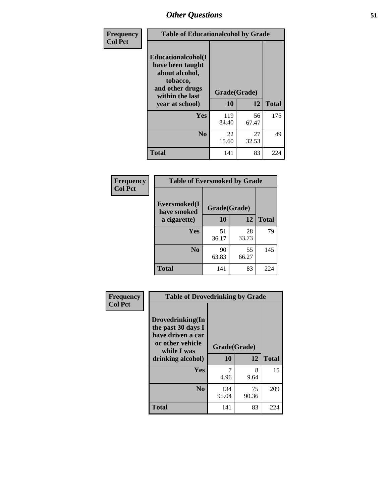| Frequency      | <b>Table of Educationalcohol by Grade</b>                                                                  |              |             |              |  |
|----------------|------------------------------------------------------------------------------------------------------------|--------------|-------------|--------------|--|
| <b>Col Pct</b> | Educationalcohol(I<br>have been taught<br>about alcohol,<br>tobacco,<br>and other drugs<br>within the last | Grade(Grade) |             |              |  |
|                | year at school)                                                                                            | 10           | 12          | <b>Total</b> |  |
|                | <b>Yes</b>                                                                                                 | 119<br>84.40 | 56<br>67.47 | 175          |  |
|                | N <sub>0</sub>                                                                                             | 22<br>15.60  | 27<br>32.53 | 49           |  |
|                | <b>Total</b>                                                                                               | 141          | 83          | 224          |  |

| Frequency      | <b>Table of Eversmoked by Grade</b> |              |             |              |  |  |
|----------------|-------------------------------------|--------------|-------------|--------------|--|--|
| <b>Col Pct</b> | Eversmoked(I<br>have smoked         | Grade(Grade) |             |              |  |  |
|                | a cigarette)                        | 10           | 12          | <b>Total</b> |  |  |
|                | <b>Yes</b>                          | 51<br>36.17  | 28<br>33.73 | 79           |  |  |
|                | N <sub>0</sub>                      | 90<br>63.83  | 55<br>66.27 | 145          |  |  |
|                | <b>Total</b>                        | 141          | 83          | 224          |  |  |

| Frequency      | <b>Table of Drovedrinking by Grade</b>                                                                              |                    |             |              |  |
|----------------|---------------------------------------------------------------------------------------------------------------------|--------------------|-------------|--------------|--|
| <b>Col Pct</b> | Drovedrinking(In<br>the past 30 days I<br>have driven a car<br>or other vehicle<br>while I was<br>drinking alcohol) | Grade(Grade)<br>10 | 12          | <b>Total</b> |  |
|                | <b>Yes</b>                                                                                                          | 7<br>4.96          | 8<br>9.64   | 15           |  |
|                | N <sub>0</sub>                                                                                                      | 134<br>95.04       | 75<br>90.36 | 209          |  |
|                | <b>Total</b>                                                                                                        | 141                | 83          | 224          |  |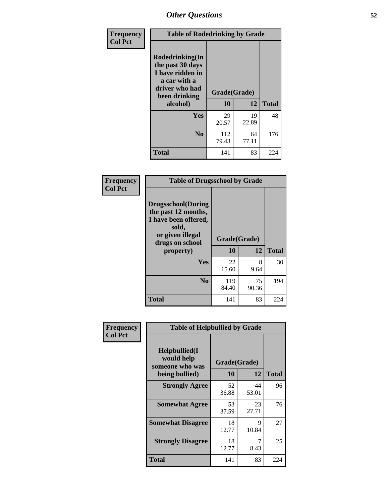| Frequency<br><b>Col Pct</b> | <b>Table of Rodedrinking by Grade</b>                                                                      |              |             |              |  |  |
|-----------------------------|------------------------------------------------------------------------------------------------------------|--------------|-------------|--------------|--|--|
|                             | Rodedrinking(In<br>the past 30 days<br>I have ridden in<br>a car with a<br>driver who had<br>been drinking | Grade(Grade) |             |              |  |  |
|                             | alcohol)                                                                                                   | 10           | 12          | <b>Total</b> |  |  |
|                             | <b>Yes</b>                                                                                                 | 29<br>20.57  | 19<br>22.89 | 48           |  |  |
|                             | N <sub>0</sub>                                                                                             | 112<br>79.43 | 64<br>77.11 | 176          |  |  |
|                             | <b>Total</b>                                                                                               | 141          | 83          | 224          |  |  |

#### **Frequency Col Pct**

|                                                                                                                           | <b>Table of Drugsschool by Grade</b> |             |              |  |  |  |  |
|---------------------------------------------------------------------------------------------------------------------------|--------------------------------------|-------------|--------------|--|--|--|--|
| <b>Drugsschool</b> (During<br>the past 12 months,<br>I have been offered,<br>sold,<br>or given illegal<br>drugs on school | Grade(Grade)                         |             |              |  |  |  |  |
| property)                                                                                                                 | 10                                   | 12          | <b>Total</b> |  |  |  |  |
| Yes                                                                                                                       | 22<br>15.60                          | 8<br>9.64   | 30           |  |  |  |  |
| $\bf No$                                                                                                                  | 119<br>84.40                         | 75<br>90.36 | 194          |  |  |  |  |
| Total                                                                                                                     | 141                                  | 83          | 224          |  |  |  |  |

| Frequency      | <b>Table of Helpbullied by Grade</b>                 |              |             |              |  |  |  |  |
|----------------|------------------------------------------------------|--------------|-------------|--------------|--|--|--|--|
| <b>Col Pct</b> | $Helpb$ ullied $(I$<br>would help<br>someone who was | Grade(Grade) |             |              |  |  |  |  |
|                | being bullied)                                       | 10           | 12          | <b>Total</b> |  |  |  |  |
|                | <b>Strongly Agree</b>                                | 52<br>36.88  | 44<br>53.01 | 96           |  |  |  |  |
|                | <b>Somewhat Agree</b>                                | 53<br>37.59  | 23<br>27.71 | 76           |  |  |  |  |
|                | <b>Somewhat Disagree</b>                             | 18<br>12.77  | 9<br>10.84  | 27           |  |  |  |  |
|                | <b>Strongly Disagree</b>                             | 18<br>12.77  | 7<br>8.43   | 25           |  |  |  |  |
|                | <b>Total</b>                                         | 141          | 83          | 224          |  |  |  |  |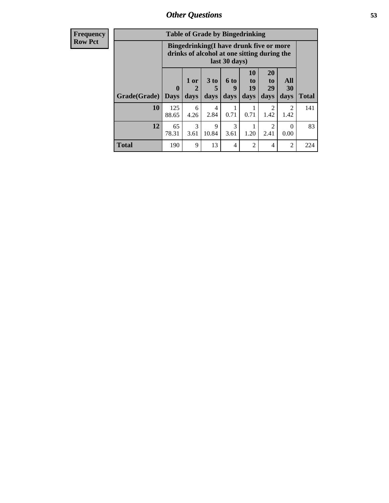4.26

3  $3.61$  2.84

9 10.84

**Total** 190 9 13 4 2 4 2 224

0.71

3 3.61 0.71

1 1.20

| <b>Frequency</b> | <b>Table of Grade by Bingedrinking</b> |                                                                                                                 |      |        |                  |                                 |                       |                          |
|------------------|----------------------------------------|-----------------------------------------------------------------------------------------------------------------|------|--------|------------------|---------------------------------|-----------------------|--------------------------|
| <b>Row Pct</b>   |                                        | <b>Bingedrinking</b> (I have drunk five or more<br>drinks of alcohol at one sitting during the<br>last 30 days) |      |        |                  |                                 |                       |                          |
|                  |                                        |                                                                                                                 | 1 or | $3$ to | <b>6 to</b><br>q | <b>10</b><br>$\mathbf{t}$<br>19 | <b>20</b><br>to<br>29 | <b>A</b><br>$\mathbf{3}$ |
|                  | Grade(Grade)   Days                    |                                                                                                                 | days | days   | days             | days                            | days                  | day                      |
|                  | 10                                     | 125                                                                                                             | 6    | 4      |                  |                                 |                       |                          |

88.65

 $12 | 65$ 78.31 **Total**

141

83

2 1.42

2 2.41

**All 30 days**

> 2 1.42

 $\overline{0}$ 0.00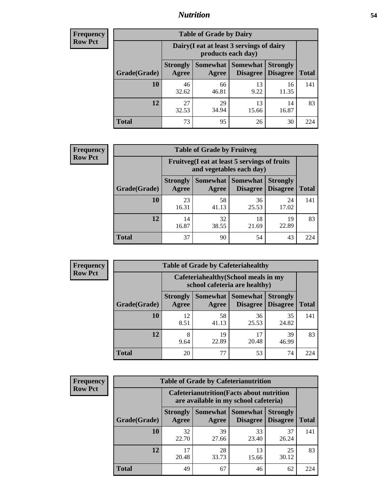#### *Nutrition* **54**

| <b>Frequency</b><br>Row Pct |
|-----------------------------|
|                             |

| <b>Table of Grade by Dairy</b> |                                                                 |                          |                                    |                                    |              |
|--------------------------------|-----------------------------------------------------------------|--------------------------|------------------------------------|------------------------------------|--------------|
|                                | Dairy (I eat at least 3 servings of dairy<br>products each day) |                          |                                    |                                    |              |
| Grade(Grade)                   | <b>Strongly</b><br>Agree                                        | <b>Somewhat</b><br>Agree | <b>Somewhat</b><br><b>Disagree</b> | <b>Strongly</b><br><b>Disagree</b> | <b>Total</b> |
| 10                             | 46<br>32.62                                                     | 66<br>46.81              | 13<br>9.22                         | 16<br>11.35                        | 141          |
| 12                             | 27<br>32.53                                                     | 29<br>34.94              | 13<br>15.66                        | 14<br>16.87                        | 83           |
| <b>Total</b>                   | 73                                                              | 95                       | 26                                 | 30                                 | 224          |

| <b>Frequency</b> |  |
|------------------|--|
| <b>Row Pct</b>   |  |

| <b>Table of Grade by Fruitveg</b> |                          |                                                                          |                             |                                    |              |  |
|-----------------------------------|--------------------------|--------------------------------------------------------------------------|-----------------------------|------------------------------------|--------------|--|
|                                   |                          | Fruitveg(I eat at least 5 servings of fruits<br>and vegetables each day) |                             |                                    |              |  |
| Grade(Grade)                      | <b>Strongly</b><br>Agree | Somewhat  <br>Agree                                                      | <b>Somewhat</b><br>Disagree | <b>Strongly</b><br><b>Disagree</b> | <b>Total</b> |  |
| 10                                | 23<br>16.31              | 58<br>41.13                                                              | 36<br>25.53                 | 24<br>17.02                        | 141          |  |
| 12                                | 14<br>16.87              | 32<br>38.55                                                              | 18<br>21.69                 | 19<br>22.89                        | 83           |  |
| <b>Total</b>                      | 37                       | 90                                                                       | 54                          | 43                                 | 224          |  |

| <b>Frequency</b> | <b>Table of Grade by Cafeteriahealthy</b> |                                                                       |             |                                          |                                    |              |  |  |
|------------------|-------------------------------------------|-----------------------------------------------------------------------|-------------|------------------------------------------|------------------------------------|--------------|--|--|
| <b>Row Pct</b>   |                                           | Cafeteriahealthy (School meals in my<br>school cafeteria are healthy) |             |                                          |                                    |              |  |  |
|                  | Grade(Grade)                              | <b>Strongly</b><br>Agree                                              | Agree       | Somewhat   Somewhat  <br><b>Disagree</b> | <b>Strongly</b><br><b>Disagree</b> | <b>Total</b> |  |  |
|                  | 10                                        | 12<br>8.51                                                            | 58<br>41.13 | 36<br>25.53                              | 35<br>24.82                        | 141          |  |  |
|                  | 12                                        | 8<br>9.64                                                             | 19<br>22.89 | 20.48                                    | 39<br>46.99                        | 83           |  |  |
|                  | Total                                     | 20                                                                    | 77          | 53                                       | 74                                 | 224          |  |  |

| <b>Frequency</b> |
|------------------|
| <b>Row Pct</b>   |

| <b>Table of Grade by Cafeterianutrition</b> |                          |                                                                                           |                                    |                                    |              |  |
|---------------------------------------------|--------------------------|-------------------------------------------------------------------------------------------|------------------------------------|------------------------------------|--------------|--|
|                                             |                          | <b>Cafeterianutrition</b> (Facts about nutrition<br>are available in my school cafeteria) |                                    |                                    |              |  |
| Grade(Grade)                                | <b>Strongly</b><br>Agree | Somewhat  <br>Agree                                                                       | <b>Somewhat</b><br><b>Disagree</b> | <b>Strongly</b><br><b>Disagree</b> | <b>Total</b> |  |
| 10                                          | 32<br>22.70              | 39<br>27.66                                                                               | 33<br>23.40                        | 37<br>26.24                        | 141          |  |
| 12                                          | 17<br>20.48              | 28<br>33.73                                                                               | 13<br>15.66                        | 25<br>30.12                        | 83           |  |
| <b>Total</b>                                | 49                       | 67                                                                                        | 46                                 | 62                                 | 224          |  |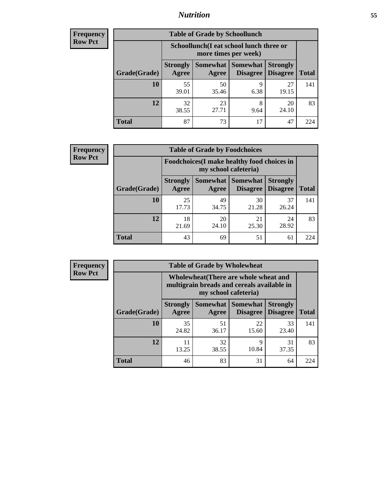### *Nutrition* **55**

| <b>Frequency</b> |
|------------------|
| <b>Row Pct</b>   |

| <b>Table of Grade by Schoollunch</b> |                                                                 |             |                               |                                    |              |
|--------------------------------------|-----------------------------------------------------------------|-------------|-------------------------------|------------------------------------|--------------|
|                                      | Schoollunch(I eat school lunch three or<br>more times per week) |             |                               |                                    |              |
| Grade(Grade)                         | <b>Strongly</b><br>Agree                                        | Agree       | Somewhat Somewhat<br>Disagree | <b>Strongly</b><br><b>Disagree</b> | <b>Total</b> |
| 10                                   | 55<br>39.01                                                     | 50<br>35.46 | 9<br>6.38                     | 27<br>19.15                        | 141          |
| 12                                   | 32<br>38.55                                                     | 23<br>27.71 | 8<br>9.64                     | 20<br>24.10                        | 83           |
| <b>Total</b>                         | 87                                                              | 73          | 17                            | 47                                 | 224          |

| <b>Frequency</b> |  |
|------------------|--|
| <b>Row Pct</b>   |  |

| <b>Table of Grade by Foodchoices</b> |                                                                            |             |                                        |                                    |              |
|--------------------------------------|----------------------------------------------------------------------------|-------------|----------------------------------------|------------------------------------|--------------|
|                                      | <b>Foodchoices</b> (I make healthy food choices in<br>my school cafeteria) |             |                                        |                                    |              |
| Grade(Grade)                         | <b>Strongly</b><br>Agree                                                   | Agree       | <b>Somewhat   Somewhat</b><br>Disagree | <b>Strongly</b><br><b>Disagree</b> | <b>Total</b> |
| 10                                   | 25<br>17.73                                                                | 49<br>34.75 | 30<br>21.28                            | 37<br>26.24                        | 141          |
| 12                                   | 18<br>21.69                                                                | 20<br>24.10 | 21<br>25.30                            | 24<br>28.92                        | 83           |
| <b>Total</b>                         | 43                                                                         | 69          | 51                                     | 61                                 | 224          |

| requency<br><b>Row Pct</b> |  |
|----------------------------|--|
|----------------------------|--|

| <b>Table of Grade by Wholewheat</b> |                          |                                                                                                             |                                    |                                    |              |
|-------------------------------------|--------------------------|-------------------------------------------------------------------------------------------------------------|------------------------------------|------------------------------------|--------------|
|                                     |                          | Wholewheat (There are whole wheat and<br>multigrain breads and cereals available in<br>my school cafeteria) |                                    |                                    |              |
| Grade(Grade)                        | <b>Strongly</b><br>Agree | Somewhat  <br>Agree                                                                                         | <b>Somewhat</b><br><b>Disagree</b> | <b>Strongly</b><br><b>Disagree</b> | <b>Total</b> |
| 10                                  | 35<br>24.82              | 51<br>36.17                                                                                                 | 22<br>15.60                        | 33<br>23.40                        | 141          |
| 12                                  | 11<br>13.25              | 32<br>38.55                                                                                                 | Q<br>10.84                         | 31<br>37.35                        | 83           |
| <b>Total</b>                        | 46                       | 83                                                                                                          | 31                                 | 64                                 | 224          |

÷,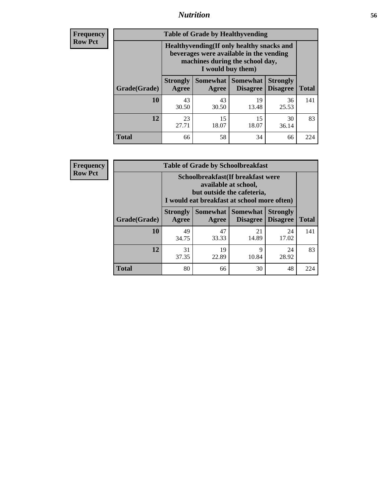#### *Nutrition* **56**

**Frequency Row Pct**

| <b>Table of Grade by Healthyvending</b> |                                                                                                                                               |                          |                                    |                                    |              |  |  |
|-----------------------------------------|-----------------------------------------------------------------------------------------------------------------------------------------------|--------------------------|------------------------------------|------------------------------------|--------------|--|--|
|                                         | Healthyvending (If only healthy snacks and<br>beverages were available in the vending<br>machines during the school day,<br>I would buy them) |                          |                                    |                                    |              |  |  |
| Grade(Grade)                            | <b>Strongly</b><br>Agree                                                                                                                      | <b>Somewhat</b><br>Agree | <b>Somewhat</b><br><b>Disagree</b> | <b>Strongly</b><br><b>Disagree</b> | <b>Total</b> |  |  |
| 10                                      | 43<br>30.50                                                                                                                                   | 43<br>30.50              | 19<br>13.48                        | 36<br>25.53                        | 141          |  |  |
| 12                                      | 23<br>27.71                                                                                                                                   | 15<br>18.07              | 15<br>18.07                        | 30<br>36.14                        | 83           |  |  |
| <b>Total</b>                            | 66                                                                                                                                            | 58                       | 34                                 | 66                                 | 224          |  |  |

**Frequency Row Pct**

| <b>Table of Grade by Schoolbreakfast</b> |                                                                                                                                        |             |                     |                                        |              |  |  |
|------------------------------------------|----------------------------------------------------------------------------------------------------------------------------------------|-------------|---------------------|----------------------------------------|--------------|--|--|
|                                          | Schoolbreakfast(If breakfast were<br>available at school,<br>but outside the cafeteria,<br>I would eat breakfast at school more often) |             |                     |                                        |              |  |  |
| Grade(Grade)                             | <b>Strongly</b><br>Agree                                                                                                               | Agree       | Somewhat   Somewhat | <b>Strongly</b><br>Disagree   Disagree | <b>Total</b> |  |  |
| 10                                       | 49<br>34.75                                                                                                                            | 47<br>33.33 | 21<br>14.89         | 24<br>17.02                            | 141          |  |  |
| 12                                       | 31<br>37.35                                                                                                                            | 19<br>22.89 | 9<br>10.84          | 24<br>28.92                            | 83           |  |  |
| <b>Total</b>                             | 80                                                                                                                                     | 66          | 30                  | 48                                     | 224          |  |  |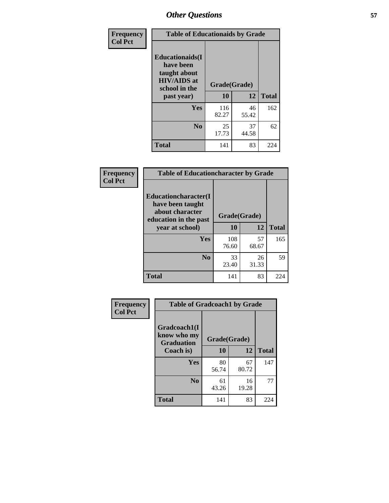| Frequency<br><b>Col Pct</b> | <b>Table of Educationaids by Grade</b>                                                                    |                    |             |              |
|-----------------------------|-----------------------------------------------------------------------------------------------------------|--------------------|-------------|--------------|
|                             | <b>Educationaids</b> (I<br>have been<br>taught about<br><b>HIV/AIDS</b> at<br>school in the<br>past year) | Grade(Grade)<br>10 | 12          | <b>Total</b> |
|                             | Yes                                                                                                       | 116<br>82.27       | 46<br>55.42 | 162          |
|                             | N <sub>0</sub>                                                                                            | 25<br>17.73        | 37<br>44.58 | 62           |
|                             | <b>Total</b>                                                                                              | 141                | 83          | 224          |

| Frequency      | <b>Table of Educationcharacter by Grade</b>                                                  |              |             |              |
|----------------|----------------------------------------------------------------------------------------------|--------------|-------------|--------------|
| <b>Col Pct</b> | <b>Educationcharacter(I)</b><br>have been taught<br>about character<br>education in the past | Grade(Grade) |             |              |
|                | year at school)                                                                              | 10           | 12          | <b>Total</b> |
|                | Yes                                                                                          | 108<br>76.60 | 57<br>68.67 | 165          |
|                | N <sub>0</sub>                                                                               | 33<br>23.40  | 26<br>31.33 | 59           |
|                | <b>Total</b>                                                                                 | 141          | 83          | 224          |

| Frequency      | <b>Table of Gradcoach1 by Grade</b> |              |             |              |
|----------------|-------------------------------------|--------------|-------------|--------------|
| <b>Col Pct</b> | Gradcoach1(I                        |              |             |              |
|                | know who my<br><b>Graduation</b>    | Grade(Grade) |             |              |
|                | Coach is)                           | 10           | 12          | <b>Total</b> |
|                | <b>Yes</b>                          | 80<br>56.74  | 67<br>80.72 | 147          |
|                | N <sub>0</sub>                      | 61<br>43.26  | 16<br>19.28 | 77           |
|                | <b>Total</b>                        | 141          | 83          | 224          |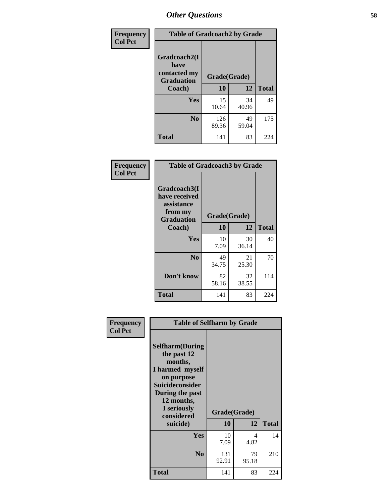| Frequency      | <b>Table of Gradcoach2 by Grade</b> |              |             |              |
|----------------|-------------------------------------|--------------|-------------|--------------|
| <b>Col Pct</b> |                                     |              |             |              |
|                | Gradcoach2(I<br>have                |              |             |              |
|                | contacted my<br><b>Graduation</b>   | Grade(Grade) |             |              |
|                | Coach)                              | 10           | 12          | <b>Total</b> |
|                | Yes                                 | 15<br>10.64  | 34<br>40.96 | 49           |
|                | N <sub>0</sub>                      | 126<br>89.36 | 49<br>59.04 | 175          |
|                | <b>Total</b>                        | 141          | 83          | 224          |

| Frequency<br><b>Col Pct</b> | <b>Table of Gradcoach3 by Grade</b>                                         |              |             |              |
|-----------------------------|-----------------------------------------------------------------------------|--------------|-------------|--------------|
|                             | Gradcoach3(I<br>have received<br>assistance<br>from my<br><b>Graduation</b> | Grade(Grade) |             |              |
|                             | Coach)                                                                      | 10           | 12          | <b>Total</b> |
|                             | Yes                                                                         | 10<br>7.09   | 30<br>36.14 | 40           |
|                             | N <sub>0</sub>                                                              | 49<br>34.75  | 21<br>25.30 | 70           |
|                             | Don't know                                                                  | 82<br>58.16  | 32<br>38.55 | 114          |
|                             | <b>Total</b>                                                                | 141          | 83          | 224          |

| Frequency<br><b>Col Pct</b> | <b>Table of Selfharm by Grade</b>                                                                                                                                                      |                    |             |              |
|-----------------------------|----------------------------------------------------------------------------------------------------------------------------------------------------------------------------------------|--------------------|-------------|--------------|
|                             | <b>Selfharm</b> (During<br>the past 12<br>months,<br>I harmed myself<br>on purpose<br><b>Suicideconsider</b><br>During the past<br>12 months,<br>I seriously<br>considered<br>suicide) | Grade(Grade)<br>10 | 12          | <b>Total</b> |
|                             | Yes                                                                                                                                                                                    | 10<br>7.09         | 4<br>4.82   | 14           |
|                             | N <sub>0</sub>                                                                                                                                                                         | 131<br>92.91       | 79<br>95.18 | 210          |
|                             | <b>Total</b>                                                                                                                                                                           | 141                | 83          | 224          |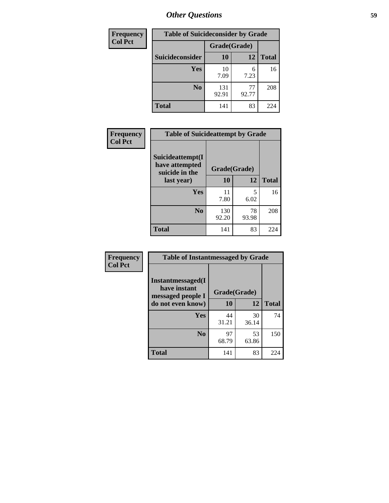| <b>Frequency</b><br><b>Table of Suicideconsider by Grade</b> |                 |              |             |              |  |
|--------------------------------------------------------------|-----------------|--------------|-------------|--------------|--|
| <b>Col Pct</b>                                               |                 | Grade(Grade) |             |              |  |
|                                                              | Suicideconsider | <b>10</b>    | 12          | <b>Total</b> |  |
|                                                              | Yes             | 10<br>7.09   | 6<br>7.23   | 16           |  |
|                                                              | N <sub>0</sub>  | 131<br>92.91 | 77<br>92.77 | 208          |  |
|                                                              | <b>Total</b>    | 141          | 83          | 224          |  |

| Frequency      |                                                      | <b>Table of Suicideattempt by Grade</b> |             |              |
|----------------|------------------------------------------------------|-----------------------------------------|-------------|--------------|
| <b>Col Pct</b> | Suicideattempt(I<br>have attempted<br>suicide in the | Grade(Grade)                            |             |              |
|                | last year)                                           | 10                                      | 12          | <b>Total</b> |
|                | Yes                                                  | 11<br>7.80                              | 5<br>6.02   | 16           |
|                | N <sub>0</sub>                                       | 130<br>92.20                            | 78<br>93.98 | 208          |
|                | <b>Total</b>                                         | 141                                     | 83          | 224          |

| Frequency      | <b>Table of Instantmessaged by Grade</b>               |              |             |              |  |
|----------------|--------------------------------------------------------|--------------|-------------|--------------|--|
| <b>Col Pct</b> | Instantmessaged(I<br>have instant<br>messaged people I | Grade(Grade) |             |              |  |
|                | do not even know)                                      | 10           | 12          | <b>Total</b> |  |
|                | Yes                                                    | 44<br>31.21  | 30<br>36.14 | 74           |  |
|                | N <sub>0</sub>                                         | 97<br>68.79  | 53<br>63.86 | 150          |  |
|                | <b>Total</b>                                           | 141          | 83          | 224          |  |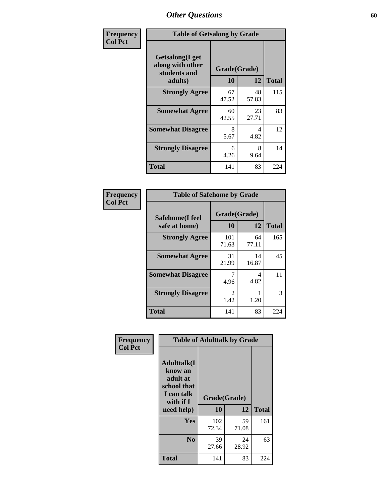| Frequency      | <b>Table of Getsalong by Grade</b>                          |              |             |              |  |  |  |
|----------------|-------------------------------------------------------------|--------------|-------------|--------------|--|--|--|
| <b>Col Pct</b> | <b>Getsalong</b> (I get<br>along with other<br>students and | Grade(Grade) |             |              |  |  |  |
|                | adults)                                                     | 10           | 12          | <b>Total</b> |  |  |  |
|                | <b>Strongly Agree</b>                                       | 67<br>47.52  | 48<br>57.83 | 115          |  |  |  |
|                | <b>Somewhat Agree</b>                                       | 60<br>42.55  | 23<br>27.71 | 83           |  |  |  |
|                | <b>Somewhat Disagree</b>                                    | 8<br>5.67    | 4<br>4.82   | 12           |  |  |  |
|                | <b>Strongly Disagree</b>                                    | 6<br>4.26    | 8<br>9.64   | 14           |  |  |  |
|                | <b>Total</b>                                                | 141          | 83          | 224          |  |  |  |

| Frequency      | <b>Table of Safehome by Grade</b> |                        |             |              |
|----------------|-----------------------------------|------------------------|-------------|--------------|
| <b>Col Pct</b> | Safehome(I feel<br>safe at home)  | Grade(Grade)<br>10     | 12          | <b>Total</b> |
|                | <b>Strongly Agree</b>             | 101<br>71.63           | 64<br>77.11 | 165          |
|                | <b>Somewhat Agree</b>             | 31<br>21.99            | 14<br>16.87 | 45           |
|                | <b>Somewhat Disagree</b>          | 4.96                   | 4<br>4.82   | 11           |
|                | <b>Strongly Disagree</b>          | $\mathfrak{D}$<br>1.42 | 1.20        | 3            |
|                | <b>Total</b>                      | 141                    | 83          | 224          |

| Frequency      |                                                                                      | <b>Table of Adulttalk by Grade</b> |             |              |
|----------------|--------------------------------------------------------------------------------------|------------------------------------|-------------|--------------|
| <b>Col Pct</b> | <b>Adulttalk</b> (I<br>know an<br>adult at<br>school that<br>I can talk<br>with if I | Grade(Grade)                       |             |              |
|                | need help)                                                                           | 10                                 | 12          | <b>Total</b> |
|                | <b>Yes</b>                                                                           | 102<br>72.34                       | 59<br>71.08 | 161          |
|                | N <sub>0</sub>                                                                       | 39<br>27.66                        | 24<br>28.92 | 63           |
|                | Total                                                                                | 141                                | 83          | 224          |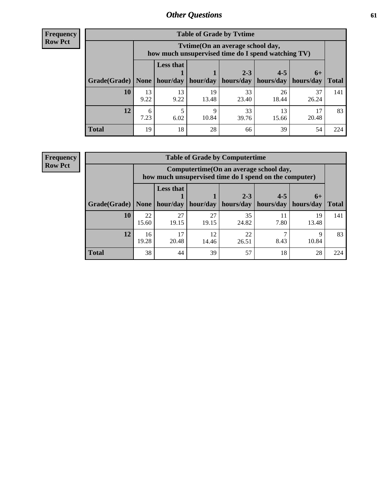**Frequency Row Pct**

| <b>Table of Grade by Tvtime</b> |            |                                                                                        |             |                      |                                    |             |              |  |  |  |
|---------------------------------|------------|----------------------------------------------------------------------------------------|-------------|----------------------|------------------------------------|-------------|--------------|--|--|--|
|                                 |            | Tvtime(On an average school day,<br>how much unsupervised time do I spend watching TV) |             |                      |                                    |             |              |  |  |  |
| Grade(Grade)   None             |            | <b>Less that</b><br>hour/day                                                           | hour/day    | $2 - 3$<br>hours/day | $4 - 5$<br>  hours/day   hours/day | $6+$        | <b>Total</b> |  |  |  |
| 10                              | 13<br>9.22 | 13<br>9.22                                                                             | 19<br>13.48 | 33<br>23.40          | 26<br>18.44                        | 37<br>26.24 | 141          |  |  |  |
| 12                              | 6<br>7.23  | 5<br>6.02                                                                              | q<br>10.84  | 33<br>39.76          | 13<br>15.66                        | 17<br>20.48 | 83           |  |  |  |
| <b>Total</b>                    | 19         | 18                                                                                     | 28          | 66                   | 39                                 | 54          | 224          |  |  |  |

**Frequency Row Pct**

| <b>Table of Grade by Computertime</b> |             |                                                                                                   |             |                      |                      |                   |              |  |  |  |  |
|---------------------------------------|-------------|---------------------------------------------------------------------------------------------------|-------------|----------------------|----------------------|-------------------|--------------|--|--|--|--|
|                                       |             | Computertime (On an average school day,<br>how much unsupervised time do I spend on the computer) |             |                      |                      |                   |              |  |  |  |  |
| Grade(Grade)                          | None        | <b>Less that</b><br>hour/day                                                                      | hour/day    | $2 - 3$<br>hours/day | $4 - 5$<br>hours/day | $6+$<br>hours/day | <b>Total</b> |  |  |  |  |
| 10                                    | 22<br>15.60 | 27<br>19.15                                                                                       | 27<br>19.15 | 35<br>24.82          | 11<br>7.80           | 19<br>13.48       | 141          |  |  |  |  |
| 12                                    | 16<br>19.28 | 17<br>22<br>12<br>Q<br>20.48<br>8.43<br>10.84<br>14.46<br>26.51                                   |             |                      |                      |                   |              |  |  |  |  |
| <b>Total</b>                          | 38          | 44                                                                                                | 39          | 57                   | 18                   | 28                | 224          |  |  |  |  |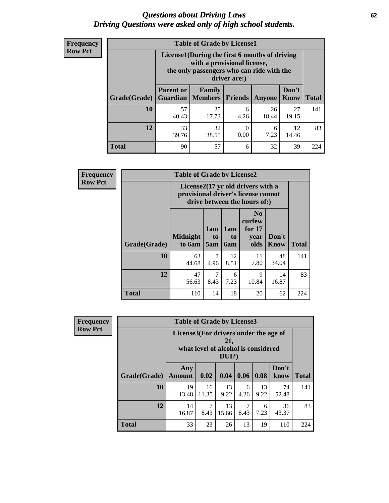#### *Questions about Driving Laws* **62** *Driving Questions were asked only of high school students.*

| <b>Frequency</b> |
|------------------|
| <b>Row Pct</b>   |

| <b>Table of Grade by License1</b> |                                     |                                                                                                                                           |                |             |               |              |  |  |  |  |
|-----------------------------------|-------------------------------------|-------------------------------------------------------------------------------------------------------------------------------------------|----------------|-------------|---------------|--------------|--|--|--|--|
|                                   |                                     | License1(During the first 6 months of driving<br>with a provisional license,<br>the only passengers who can ride with the<br>driver are:) |                |             |               |              |  |  |  |  |
| Grade(Grade)                      | <b>Parent or</b><br><b>Guardian</b> | <b>Family</b><br><b>Members</b>                                                                                                           | <b>Friends</b> | Anyone      | Don't<br>Know | <b>Total</b> |  |  |  |  |
| 10                                | 57<br>40.43                         | 25<br>17.73                                                                                                                               | 6<br>4.26      | 26<br>18.44 | 27<br>19.15   | 141          |  |  |  |  |
| 12                                | 33<br>39.76                         | 32<br>12<br>0<br>6<br>0.00<br>7.23<br>38.55<br>14.46                                                                                      |                |             |               |              |  |  |  |  |
| <b>Total</b>                      | 90                                  | 57                                                                                                                                        | 6              | 32          | 39            | 224          |  |  |  |  |

| <b>Frequency</b> |                     | <b>Table of Grade by License2</b> |                                                                                                          |                              |                                                      |                      |              |  |  |
|------------------|---------------------|-----------------------------------|----------------------------------------------------------------------------------------------------------|------------------------------|------------------------------------------------------|----------------------|--------------|--|--|
| <b>Row Pct</b>   |                     |                                   | License2(17 yr old drivers with a<br>provisional driver's license cannot<br>drive between the hours of:) |                              |                                                      |                      |              |  |  |
|                  | <b>Grade(Grade)</b> | <b>Midnight</b><br>to 6am         | 1am<br>to<br>5am                                                                                         | 1am<br>t <sub>0</sub><br>6am | N <sub>0</sub><br>curfew<br>for $17$<br>year<br>olds | Don't<br><b>Know</b> | <b>Total</b> |  |  |
|                  | 10                  | 63<br>44.68                       | 7<br>4.96                                                                                                | 12<br>8.51                   | 11<br>7.80                                           | 48<br>34.04          | 141          |  |  |
|                  | 12                  | 47<br>56.63                       | 7<br>8.43                                                                                                | 6<br>7.23                    | 9<br>10.84                                           | 14<br>16.87          | 83           |  |  |
|                  | <b>Total</b>        | 110                               | 14                                                                                                       | 18                           | 20                                                   | 62                   | 224          |  |  |

| Frequency                                                                                                         |              | <b>Table of Grade by License3</b> |             |             |           |            |               |              |  |  |
|-------------------------------------------------------------------------------------------------------------------|--------------|-----------------------------------|-------------|-------------|-----------|------------|---------------|--------------|--|--|
| <b>Row Pct</b><br>License3(For drivers under the age of<br>21,<br>what level of alcohol is considered<br>$DUI$ ?) |              |                                   |             |             |           |            |               |              |  |  |
|                                                                                                                   | Grade(Grade) | Any<br><b>Amount</b>              | 0.02        | 0.04        | 0.06      | 0.08       | Don't<br>know | <b>Total</b> |  |  |
|                                                                                                                   | 10           | 19<br>13.48                       | 16<br>11.35 | 13<br>9.22  | 6<br>4.26 | 13<br>9.22 | 74<br>52.48   | 141          |  |  |
|                                                                                                                   | 12           | 14<br>16.87                       | 7<br>8.43   | 13<br>15.66 | 8.43      | 6<br>7.23  | 36<br>43.37   | 83           |  |  |
|                                                                                                                   | <b>Total</b> | 33                                | 23          | 26          | 13        | 19         | 110           | 224          |  |  |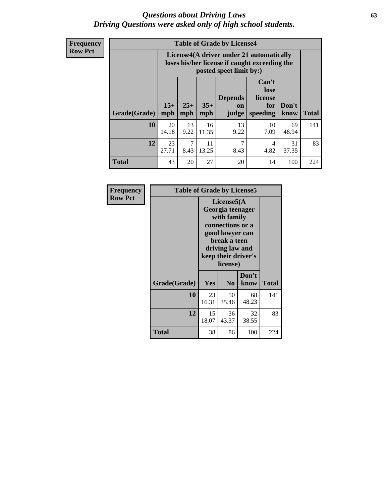#### *Questions about Driving Laws* **63** *Driving Questions were asked only of high school students.*

**Frequency Row Pct**

| <b>Table of Grade by License4</b> |             |                                                                                                                                                                                                                                                                                |             |            |            |             |     |  |  |
|-----------------------------------|-------------|--------------------------------------------------------------------------------------------------------------------------------------------------------------------------------------------------------------------------------------------------------------------------------|-------------|------------|------------|-------------|-----|--|--|
|                                   |             | License4(A driver under 21 automatically<br>loses his/her license if caught exceeding the<br>posted speet limit by:)<br>Can't<br>lose<br><b>Depends</b><br>license<br>$15+$<br>$25+$<br>$35+$<br>Don't<br>for<br>on<br>mph<br>speeding<br><b>Total</b><br>judge<br>know<br>mph |             |            |            |             |     |  |  |
| Grade(Grade)                      | mph         |                                                                                                                                                                                                                                                                                |             |            |            |             |     |  |  |
| 10                                | 20<br>14.18 | 13<br>9.22                                                                                                                                                                                                                                                                     | 16<br>11.35 | 13<br>9.22 | 10<br>7.09 | 69<br>48.94 | 141 |  |  |
| 12                                | 23<br>27.71 | 7<br>7<br>11<br>31<br>4<br>4.82<br>37.35<br>8.43<br>13.25<br>8.43                                                                                                                                                                                                              |             |            |            |             |     |  |  |
| <b>Total</b>                      | 43          | 20                                                                                                                                                                                                                                                                             | 27          | 20         | 14         | 100         | 224 |  |  |

| Frequency      | <b>Table of Grade by License5</b> |                                                                                                                                                             |                |               |              |
|----------------|-----------------------------------|-------------------------------------------------------------------------------------------------------------------------------------------------------------|----------------|---------------|--------------|
| <b>Row Pct</b> |                                   | License5(A)<br>Georgia teenager<br>with family<br>connections or a<br>good lawyer can<br>break a teen<br>driving law and<br>keep their driver's<br>license) |                |               |              |
|                | Grade(Grade)                      | Yes                                                                                                                                                         | N <sub>0</sub> | Don't<br>know | <b>Total</b> |
|                | 10                                | 23<br>16.31                                                                                                                                                 | 50<br>35.46    | 68<br>48.23   | 141          |
|                | 12                                | 15<br>18.07                                                                                                                                                 | 36<br>43.37    | 32<br>38.55   | 83           |
|                | Total                             | 38                                                                                                                                                          | 86             | 100           | 224          |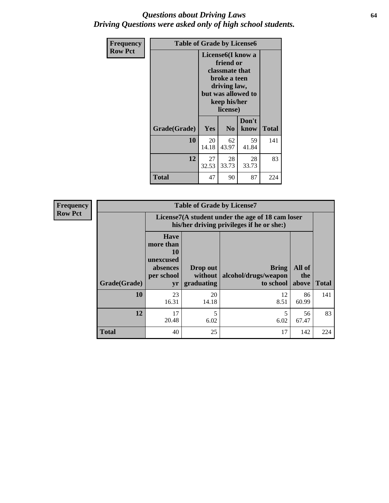#### *Questions about Driving Laws* **64** *Driving Questions were asked only of high school students.*

| <b>Frequency</b> | <b>Table of Grade by License6</b> |                                                                                                                                                 |                            |               |       |
|------------------|-----------------------------------|-------------------------------------------------------------------------------------------------------------------------------------------------|----------------------------|---------------|-------|
| <b>Row Pct</b>   |                                   | License <sub>6</sub> (I know a<br>friend or<br>classmate that<br>broke a teen<br>driving law,<br>but was allowed to<br>keep his/her<br>license) |                            |               |       |
|                  | Grade(Grade)                      | Yes                                                                                                                                             | N <sub>0</sub>             | Don't<br>know | Total |
|                  | 10                                | 20<br>14.18                                                                                                                                     | 62<br>59<br>43.97<br>41.84 |               |       |
|                  | 12                                | 27<br>32.53                                                                                                                                     | 83                         |               |       |
|                  | <b>Total</b>                      | 47                                                                                                                                              | 90                         | 87            | 224   |

| <b>Frequency</b> | <b>Table of Grade by License7</b> |                                                                                               |                                     |                                                   |                        |              |  |
|------------------|-----------------------------------|-----------------------------------------------------------------------------------------------|-------------------------------------|---------------------------------------------------|------------------------|--------------|--|
| <b>Row Pct</b>   |                                   | License7(A student under the age of 18 cam loser<br>his/her driving privileges if he or she:) |                                     |                                                   |                        |              |  |
|                  | Grade(Grade)                      | <b>Have</b><br>more than<br>10<br>unexcused<br>absences<br>per school<br>yr                   | Drop out<br>without  <br>graduating | <b>Bring</b><br>alcohol/drugs/weapon<br>to school | All of<br>the<br>above | <b>Total</b> |  |
|                  | 10                                | 23<br>16.31                                                                                   | 20<br>14.18                         | 12<br>8.51                                        | 86<br>60.99            | 141          |  |
|                  | 12                                | 17<br>20.48                                                                                   | 5<br>6.02                           | 6.02                                              | 56<br>67.47            | 83           |  |
|                  | <b>Total</b>                      | 40                                                                                            | 25                                  | 17                                                | 142                    | 224          |  |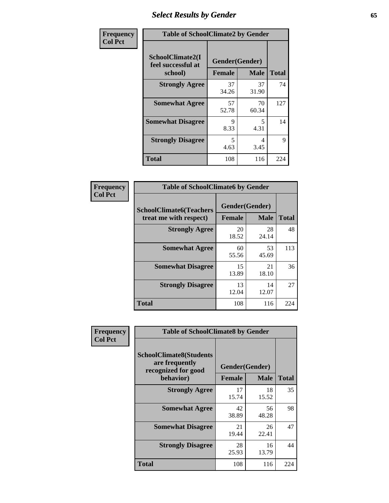# *Select Results by Gender* **65**

| Frequency      | <b>Table of SchoolClimate2 by Gender</b> |                                 |             |              |
|----------------|------------------------------------------|---------------------------------|-------------|--------------|
| <b>Col Pct</b> | SchoolClimate2(I<br>feel successful at   | Gender(Gender)<br><b>Female</b> | <b>Male</b> | <b>Total</b> |
|                | school)<br><b>Strongly Agree</b>         | 37<br>34.26                     | 37<br>31.90 | 74           |
|                | <b>Somewhat Agree</b>                    | 57<br>52.78                     | 70<br>60.34 | 127          |
|                | <b>Somewhat Disagree</b>                 | 9<br>8.33                       | 5<br>4.31   | 14           |
|                | <b>Strongly Disagree</b>                 | 5<br>4.63                       | 4<br>3.45   | 9            |
|                | <b>Total</b>                             | 108                             | 116         | 224          |

| Frequency      | <b>Table of SchoolClimate6 by Gender</b>                 |                                 |             |              |  |
|----------------|----------------------------------------------------------|---------------------------------|-------------|--------------|--|
| <b>Col Pct</b> | <b>SchoolClimate6(Teachers</b><br>treat me with respect) | Gender(Gender)<br><b>Female</b> | <b>Male</b> | <b>Total</b> |  |
|                | <b>Strongly Agree</b>                                    | 20<br>18.52                     | 28<br>24.14 | 48           |  |
|                | <b>Somewhat Agree</b>                                    | 60<br>55.56                     | 53<br>45.69 | 113          |  |
|                | <b>Somewhat Disagree</b>                                 | 15<br>13.89                     | 21<br>18.10 | 36           |  |
|                | <b>Strongly Disagree</b>                                 | 13<br>12.04                     | 14<br>12.07 | 27           |  |
|                | <b>Total</b>                                             | 108                             | 116         | 224          |  |

| Frequency      | <b>Table of SchoolClimate8 by Gender</b>                                             |                                 |             |              |
|----------------|--------------------------------------------------------------------------------------|---------------------------------|-------------|--------------|
| <b>Col Pct</b> | <b>SchoolClimate8(Students</b><br>are frequently<br>recognized for good<br>behavior) | Gender(Gender)<br><b>Female</b> | <b>Male</b> | <b>Total</b> |
|                | <b>Strongly Agree</b>                                                                | 17<br>15.74                     | 18<br>15.52 | 35           |
|                | <b>Somewhat Agree</b>                                                                | 42<br>38.89                     | 56<br>48.28 | 98           |
|                | <b>Somewhat Disagree</b>                                                             | 21<br>19.44                     | 26<br>22.41 | 47           |
|                | <b>Strongly Disagree</b>                                                             | 28<br>25.93                     | 16<br>13.79 | 44           |
|                | Total                                                                                | 108                             | 116         | 224          |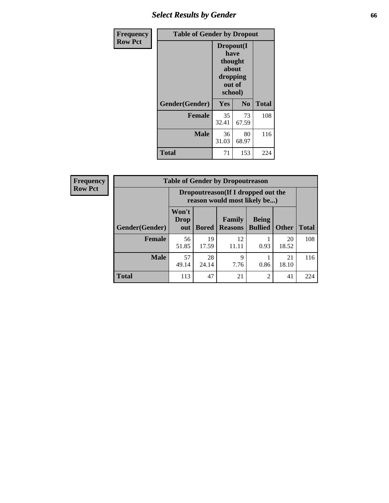# *Select Results by Gender* **66**

| Frequency      | <b>Table of Gender by Dropout</b> |                                                                        |                |              |
|----------------|-----------------------------------|------------------------------------------------------------------------|----------------|--------------|
| <b>Row Pct</b> |                                   | Dropout(I<br>have<br>thought<br>about<br>dropping<br>out of<br>school) |                |              |
|                | Gender(Gender)                    | Yes                                                                    | N <sub>0</sub> | <b>Total</b> |
|                | <b>Female</b>                     | 35<br>32.41                                                            | 73<br>67.59    | 108          |
|                | <b>Male</b>                       | 36<br>31.03                                                            | 80<br>68.97    | 116          |
|                | <b>Total</b>                      | 71                                                                     | 153            | 224          |

| <b>Frequency</b> | <b>Table of Gender by Dropoutreason</b> |                                                                    |              |                          |                                |              |              |
|------------------|-----------------------------------------|--------------------------------------------------------------------|--------------|--------------------------|--------------------------------|--------------|--------------|
| <b>Row Pct</b>   |                                         | Dropoutreason(If I dropped out the<br>reason would most likely be) |              |                          |                                |              |              |
|                  | Gender(Gender)                          | Won't<br>Drop<br>out                                               | <b>Bored</b> | Family<br><b>Reasons</b> | <b>Being</b><br><b>Bullied</b> | <b>Other</b> | <b>Total</b> |
|                  | Female                                  | 56<br>51.85                                                        | 19<br>17.59  | 12<br>11.11              | 0.93                           | 20<br>18.52  | 108          |
|                  | <b>Male</b>                             | 57<br>49.14                                                        | 28<br>24.14  | 9<br>7.76                | 0.86                           | 21<br>18.10  | 116          |
|                  | <b>Total</b>                            | 113                                                                | 47           | 21                       | $\overline{c}$                 | 41           | 224          |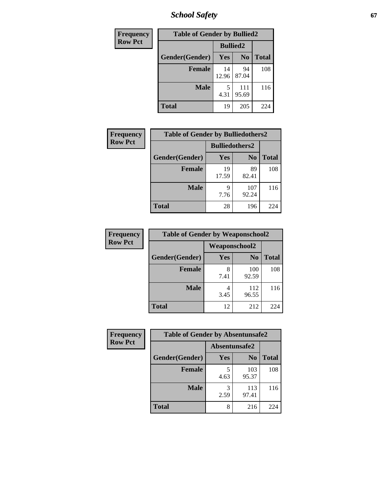*School Safety* **67**

| Frequency      | <b>Table of Gender by Bullied2</b> |                 |                |              |
|----------------|------------------------------------|-----------------|----------------|--------------|
| <b>Row Pct</b> |                                    | <b>Bullied2</b> |                |              |
|                | Gender(Gender)                     | Yes             | N <sub>0</sub> | <b>Total</b> |
|                | <b>Female</b>                      | 14<br>12.96     | 94<br>87.04    | 108          |
|                | <b>Male</b>                        | 4.31            | 111<br>95.69   | 116          |
|                | <b>Total</b>                       | 19              | 205            | 224          |

| Frequency      | <b>Table of Gender by Bulliedothers2</b> |                       |                |              |
|----------------|------------------------------------------|-----------------------|----------------|--------------|
| <b>Row Pct</b> |                                          | <b>Bulliedothers2</b> |                |              |
|                | Gender(Gender)                           | <b>Yes</b>            | N <sub>0</sub> | <b>Total</b> |
|                | <b>Female</b>                            | 19<br>17.59           | 89<br>82.41    | 108          |
|                | <b>Male</b>                              | Q<br>7.76             | 107<br>92.24   | 116          |
|                | <b>Total</b>                             | 28                    | 196            | 224          |

| Frequency      | <b>Table of Gender by Weaponschool2</b> |                      |                |              |
|----------------|-----------------------------------------|----------------------|----------------|--------------|
| <b>Row Pct</b> |                                         | <b>Weaponschool2</b> |                |              |
|                | Gender(Gender)                          | Yes                  | N <sub>0</sub> | <b>Total</b> |
|                | <b>Female</b>                           | 8<br>7.41            | 100<br>92.59   | 108          |
|                | <b>Male</b>                             | 3.45                 | 112<br>96.55   | 116          |
|                | <b>Total</b>                            | 12                   | 212            | 224          |

| Frequency      | <b>Table of Gender by Absentunsafe2</b> |               |                |              |
|----------------|-----------------------------------------|---------------|----------------|--------------|
| <b>Row Pct</b> |                                         | Absentunsafe2 |                |              |
|                | Gender(Gender)                          | Yes           | N <sub>0</sub> | <b>Total</b> |
|                | <b>Female</b>                           | 4.63          | 103<br>95.37   | 108          |
|                | <b>Male</b>                             | 2.59          | 113<br>97.41   | 116          |
|                | <b>Total</b>                            | 8             | 216            | 224          |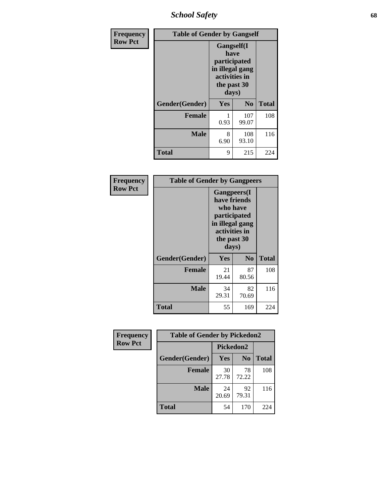*School Safety* **68**

| Frequency      | <b>Table of Gender by Gangself</b> |                                                                                                        |              |              |
|----------------|------------------------------------|--------------------------------------------------------------------------------------------------------|--------------|--------------|
| <b>Row Pct</b> |                                    | <b>Gangself</b> (I<br>have<br>participated<br>in illegal gang<br>activities in<br>the past 30<br>days) |              |              |
|                | Gender(Gender)                     | Yes                                                                                                    | No           | <b>Total</b> |
|                | <b>Female</b>                      | 0.93                                                                                                   | 107<br>99.07 | 108          |
|                | <b>Male</b>                        | 8<br>6.90                                                                                              | 108<br>93.10 | 116          |
|                | <b>Total</b>                       | 9                                                                                                      | 215          | 224          |

| Frequency      | <b>Table of Gender by Gangpeers</b> |                                                                                                                             |                |              |
|----------------|-------------------------------------|-----------------------------------------------------------------------------------------------------------------------------|----------------|--------------|
| <b>Row Pct</b> |                                     | <b>Gangpeers</b> (I<br>have friends<br>who have<br>participated<br>in illegal gang<br>activities in<br>the past 30<br>days) |                |              |
|                | Gender(Gender)                      | Yes                                                                                                                         | N <sub>0</sub> | <b>Total</b> |
|                | <b>Female</b>                       | 21<br>19.44                                                                                                                 | 87<br>80.56    | 108          |
|                | <b>Male</b>                         | 34<br>29.31                                                                                                                 | 82<br>70.69    | 116          |
|                | <b>Total</b>                        | 55                                                                                                                          | 169            | 224          |

| <b>Frequency</b> | <b>Table of Gender by Pickedon2</b> |             |                |              |
|------------------|-------------------------------------|-------------|----------------|--------------|
| <b>Row Pct</b>   |                                     |             | Pickedon2      |              |
|                  | Gender(Gender)                      | Yes         | N <sub>0</sub> | <b>Total</b> |
|                  | <b>Female</b>                       | 30<br>27.78 | 78<br>72.22    | 108          |
|                  | <b>Male</b>                         | 24<br>20.69 | 92<br>79.31    | 116          |
|                  | <b>Total</b>                        | 54          | 170            | 224          |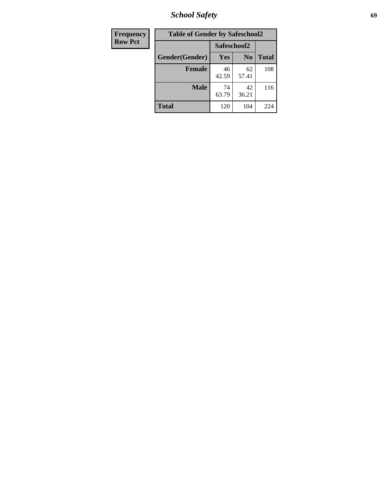*School Safety* **69**

| Frequency      | <b>Table of Gender by Safeschool2</b> |             |                |              |
|----------------|---------------------------------------|-------------|----------------|--------------|
| <b>Row Pct</b> |                                       | Safeschool2 |                |              |
|                | Gender(Gender)                        | Yes         | N <sub>0</sub> | <b>Total</b> |
|                | <b>Female</b>                         | 46<br>42.59 | 62<br>57.41    | 108          |
|                | <b>Male</b>                           | 74<br>63.79 | 42<br>36.21    | 116          |
|                | <b>Total</b>                          | 120         | 104            | 224          |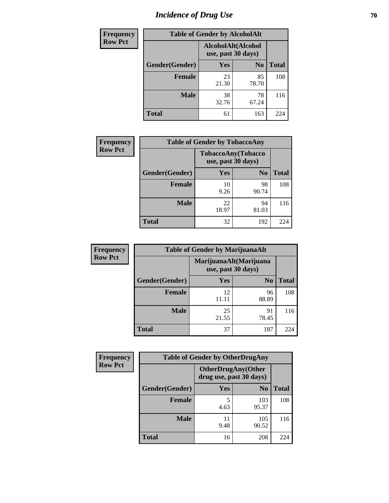# *Incidence of Drug Use* **70**

| <b>Frequency</b> | <b>Table of Gender by AlcoholAlt</b> |                    |                    |              |
|------------------|--------------------------------------|--------------------|--------------------|--------------|
| <b>Row Pct</b>   |                                      | use, past 30 days) | AlcoholAlt(Alcohol |              |
|                  | Gender(Gender)                       | Yes                | N <sub>0</sub>     | <b>Total</b> |
|                  | <b>Female</b>                        | 23<br>21.30        | 85<br>78.70        | 108          |
|                  | <b>Male</b>                          | 38<br>32.76        | 78<br>67.24        | 116          |
|                  | <b>Total</b>                         | 61                 | 163                | 224          |

| <b>Frequency</b> | <b>Table of Gender by TobaccoAny</b> |                                          |                |              |
|------------------|--------------------------------------|------------------------------------------|----------------|--------------|
| <b>Row Pct</b>   |                                      | TobaccoAny(Tobacco<br>use, past 30 days) |                |              |
|                  | Gender(Gender)                       | Yes                                      | N <sub>0</sub> | <b>Total</b> |
|                  | <b>Female</b>                        | 10<br>9.26                               | 98<br>90.74    | 108          |
|                  | <b>Male</b>                          | 22<br>18.97                              | 94<br>81.03    | 116          |
|                  | <b>Total</b>                         | 32                                       | 192            | 224          |

| <b>Frequency</b> | <b>Table of Gender by MarijuanaAlt</b> |                    |                        |              |
|------------------|----------------------------------------|--------------------|------------------------|--------------|
| <b>Row Pct</b>   |                                        | use, past 30 days) | MarijuanaAlt(Marijuana |              |
|                  | Gender(Gender)                         | <b>Yes</b>         | N <sub>0</sub>         | <b>Total</b> |
|                  | <b>Female</b>                          | 12                 | 96<br>88.89            | 108          |
|                  | <b>Male</b>                            | 25<br>21.55        | 91<br>78.45            | 116          |
|                  | <b>Total</b>                           | 37                 | 187                    | 224          |

| <b>Frequency</b> | <b>Table of Gender by OtherDrugAny</b> |                                                      |                |              |
|------------------|----------------------------------------|------------------------------------------------------|----------------|--------------|
| <b>Row Pct</b>   |                                        | <b>OtherDrugAny(Other</b><br>drug use, past 30 days) |                |              |
|                  | Gender(Gender)                         | <b>Yes</b>                                           | N <sub>0</sub> | <b>Total</b> |
|                  | <b>Female</b>                          | 5<br>4.63                                            | 103<br>95.37   | 108          |
|                  | <b>Male</b>                            | 9.48                                                 | 105<br>90.52   | 116          |
|                  | <b>Total</b>                           | 16                                                   | 208            | 224          |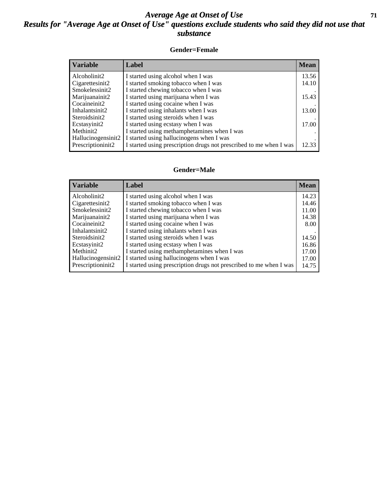#### *Average Age at Onset of Use* **71** *Results for "Average Age at Onset of Use" questions exclude students who said they did not use that substance*

#### **Gender=Female**

| <b>Variable</b>                 | <b>Label</b>                                                       | <b>Mean</b> |
|---------------------------------|--------------------------------------------------------------------|-------------|
| Alcoholinit2                    | I started using alcohol when I was                                 | 13.56       |
| Cigarettesinit2                 | I started smoking tobacco when I was                               | 14.10       |
| Smokelessinit2                  | I started chewing tobacco when I was                               |             |
| Marijuanainit2                  | I started using marijuana when I was                               | 15.43       |
| Cocaineinit2                    | I started using cocaine when I was                                 |             |
| Inhalantsinit2                  | I started using inhalants when I was                               | 13.00       |
| Steroidsinit2                   | I started using steroids when I was                                |             |
| Ecstasyinit2                    | I started using ecstasy when I was                                 | 17.00       |
| Methinit2                       | I started using methamphetamines when I was                        |             |
| Hallucinogensinit2              | I started using hallucinogens when I was                           |             |
| Prescription in it <sub>2</sub> | I started using prescription drugs not prescribed to me when I was | 12.33       |

#### **Gender=Male**

| <b>Variable</b>    | Label                                                              | <b>Mean</b> |
|--------------------|--------------------------------------------------------------------|-------------|
| Alcoholinit2       | I started using alcohol when I was                                 | 14.23       |
| Cigarettesinit2    | I started smoking tobacco when I was                               | 14.46       |
| Smokelessinit2     | I started chewing tobacco when I was                               | 11.00       |
| Marijuanainit2     | I started using marijuana when I was                               | 14.38       |
| Cocaineinit2       | I started using cocaine when I was                                 | 8.00        |
| Inhalantsinit2     | I started using inhalants when I was                               |             |
| Steroidsinit2      | I started using steroids when I was                                | 14.50       |
| Ecstasyinit2       | I started using ecstasy when I was                                 | 16.86       |
| Methinit2          | I started using methamphetamines when I was                        | 17.00       |
| Hallucinogensinit2 | I started using hallucinogens when I was                           | 17.00       |
| Prescriptioninit2  | I started using prescription drugs not prescribed to me when I was | 14.75       |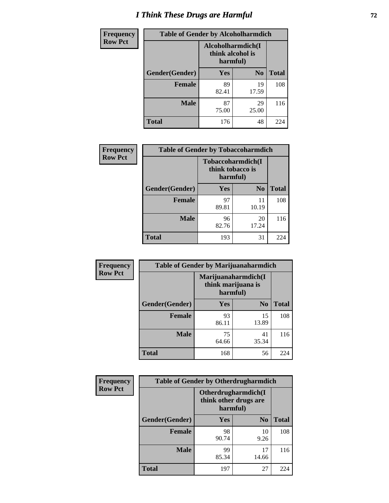# *I Think These Drugs are Harmful* **72**

| <b>Frequency</b> | <b>Table of Gender by Alcoholharmdich</b> |                                                   |                |              |
|------------------|-------------------------------------------|---------------------------------------------------|----------------|--------------|
| <b>Row Pct</b>   |                                           | Alcoholharmdich(I<br>think alcohol is<br>harmful) |                |              |
|                  | Gender(Gender)                            | <b>Yes</b>                                        | N <sub>0</sub> | <b>Total</b> |
|                  | Female                                    | 89<br>82.41                                       | 19<br>17.59    | 108          |
|                  | <b>Male</b>                               | 87<br>75.00                                       | 29<br>25.00    | 116          |
|                  | <b>Total</b>                              | 176                                               | 48             | 224          |

| Frequency      | <b>Table of Gender by Tobaccoharmdich</b> |                              |                   |              |
|----------------|-------------------------------------------|------------------------------|-------------------|--------------|
| <b>Row Pct</b> |                                           | think tobacco is<br>harmful) | Tobaccoharmdich(I |              |
|                | Gender(Gender)                            | Yes                          | $\bf N_0$         | <b>Total</b> |
|                | <b>Female</b>                             | 97<br>89.81                  | 11<br>10.19       | 108          |
|                | <b>Male</b>                               | 96<br>82.76                  | 20<br>17.24       | 116          |
|                | <b>Total</b>                              | 193                          | 31                | 224          |

| Frequency      | <b>Table of Gender by Marijuanaharmdich</b> |                                                       |                |              |  |
|----------------|---------------------------------------------|-------------------------------------------------------|----------------|--------------|--|
| <b>Row Pct</b> |                                             | Marijuanaharmdich(I<br>think marijuana is<br>harmful) |                |              |  |
|                | Gender(Gender)                              | <b>Yes</b>                                            | N <sub>0</sub> | <b>Total</b> |  |
|                | <b>Female</b>                               | 93<br>86.11                                           | 15<br>13.89    | 108          |  |
|                | <b>Male</b>                                 | 75<br>64.66                                           | 41<br>35.34    | 116          |  |
|                | <b>Total</b>                                | 168                                                   | 56             | 224          |  |

| Frequency      | <b>Table of Gender by Otherdrugharmdich</b> |                                                          |                |              |
|----------------|---------------------------------------------|----------------------------------------------------------|----------------|--------------|
| <b>Row Pct</b> |                                             | Otherdrugharmdich(I<br>think other drugs are<br>harmful) |                |              |
|                | Gender(Gender)                              | <b>Yes</b>                                               | N <sub>0</sub> | <b>Total</b> |
|                | <b>Female</b>                               | 98<br>90.74                                              | 10<br>9.26     | 108          |
|                | <b>Male</b>                                 | 99<br>85.34                                              | 17<br>14.66    | 116          |
|                | <b>Total</b>                                | 197                                                      | 27             | 224          |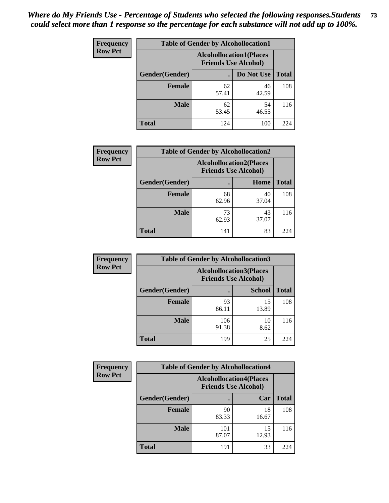| <b>Frequency</b> | <b>Table of Gender by Alcohollocation1</b>                    |             |             |              |
|------------------|---------------------------------------------------------------|-------------|-------------|--------------|
| <b>Row Pct</b>   | <b>Alcohollocation1(Places</b><br><b>Friends Use Alcohol)</b> |             |             |              |
|                  | Gender(Gender)                                                |             | Do Not Use  | <b>Total</b> |
|                  | <b>Female</b>                                                 | 62<br>57.41 | 46<br>42.59 | 108          |
|                  | <b>Male</b>                                                   | 62<br>53.45 | 54<br>46.55 | 116          |
|                  | <b>Total</b>                                                  | 124         | 100         | 224          |

| <b>Frequency</b> | <b>Table of Gender by Alcohollocation2</b> |                                                               |             |              |
|------------------|--------------------------------------------|---------------------------------------------------------------|-------------|--------------|
| <b>Row Pct</b>   |                                            | <b>Alcohollocation2(Places</b><br><b>Friends Use Alcohol)</b> |             |              |
|                  | Gender(Gender)                             |                                                               | Home        | <b>Total</b> |
|                  | <b>Female</b>                              | 68<br>62.96                                                   | 40<br>37.04 | 108          |
|                  | <b>Male</b>                                | 73<br>62.93                                                   | 43<br>37.07 | 116          |
|                  | <b>Total</b>                               | 141                                                           | 83          | 224          |

| Frequency      | <b>Table of Gender by Alcohollocation3</b> |                                                               |               |              |
|----------------|--------------------------------------------|---------------------------------------------------------------|---------------|--------------|
| <b>Row Pct</b> |                                            | <b>Alcohollocation3(Places</b><br><b>Friends Use Alcohol)</b> |               |              |
|                | Gender(Gender)                             |                                                               | <b>School</b> | <b>Total</b> |
|                | <b>Female</b>                              | 93<br>86.11                                                   | 15<br>13.89   | 108          |
|                | <b>Male</b>                                | 106<br>91.38                                                  | 10<br>8.62    | 116          |
|                | <b>Total</b>                               | 199                                                           | 25            | 224          |

| Frequency      | <b>Table of Gender by Alcohollocation4</b> |                                                               |             |              |
|----------------|--------------------------------------------|---------------------------------------------------------------|-------------|--------------|
| <b>Row Pct</b> |                                            | <b>Alcohollocation4(Places</b><br><b>Friends Use Alcohol)</b> |             |              |
|                | Gender(Gender)                             |                                                               | Car         | <b>Total</b> |
|                | <b>Female</b>                              | 90<br>83.33                                                   | 18<br>16.67 | 108          |
|                | <b>Male</b>                                | 101<br>87.07                                                  | 15<br>12.93 | 116          |
|                | <b>Total</b>                               | 191                                                           | 33          | 224          |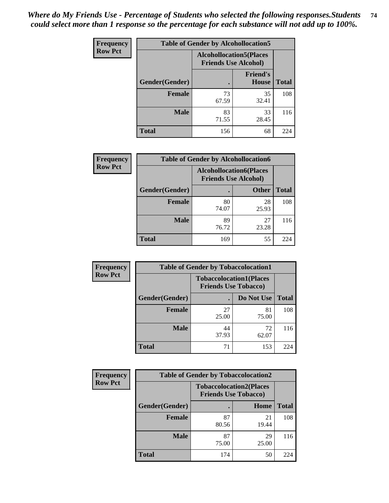| <b>Frequency</b> | <b>Table of Gender by Alcohollocation5</b> |                                                               |                                 |              |
|------------------|--------------------------------------------|---------------------------------------------------------------|---------------------------------|--------------|
| <b>Row Pct</b>   |                                            | <b>Alcohollocation5(Places</b><br><b>Friends Use Alcohol)</b> |                                 |              |
|                  | Gender(Gender)                             |                                                               | <b>Friend's</b><br><b>House</b> | <b>Total</b> |
|                  | <b>Female</b>                              | 73<br>67.59                                                   | 35<br>32.41                     | 108          |
|                  | <b>Male</b>                                | 83<br>71.55                                                   | 33<br>28.45                     | 116          |
|                  | <b>Total</b>                               | 156                                                           | 68                              | 224          |

| Frequency      | <b>Table of Gender by Alcohollocation6</b> |                                                               |              |              |
|----------------|--------------------------------------------|---------------------------------------------------------------|--------------|--------------|
| <b>Row Pct</b> |                                            | <b>Alcohollocation6(Places</b><br><b>Friends Use Alcohol)</b> |              |              |
|                | Gender(Gender)                             |                                                               | <b>Other</b> | <b>Total</b> |
|                | <b>Female</b>                              | 80<br>74.07                                                   | 28<br>25.93  | 108          |
|                | <b>Male</b>                                | 89<br>76.72                                                   | 27<br>23.28  | 116          |
|                | <b>Total</b>                               | 169                                                           | 55           | 224          |

| Frequency      | <b>Table of Gender by Tobaccolocation1</b> |                                                               |             |              |  |
|----------------|--------------------------------------------|---------------------------------------------------------------|-------------|--------------|--|
| <b>Row Pct</b> |                                            | <b>Tobaccolocation1(Places</b><br><b>Friends Use Tobacco)</b> |             |              |  |
|                | Gender(Gender)                             |                                                               | Do Not Use  | <b>Total</b> |  |
|                | Female                                     | 27<br>25.00                                                   | 81<br>75.00 | 108          |  |
|                | <b>Male</b>                                | 44<br>37.93                                                   | 72<br>62.07 | 116          |  |
|                | <b>Total</b>                               | 71                                                            | 153         | 224          |  |

| <b>Frequency</b> | <b>Table of Gender by Tobaccolocation2</b> |                                                               |             |              |
|------------------|--------------------------------------------|---------------------------------------------------------------|-------------|--------------|
| <b>Row Pct</b>   |                                            | <b>Tobaccolocation2(Places</b><br><b>Friends Use Tobacco)</b> |             |              |
|                  | Gender(Gender)                             |                                                               | Home        | <b>Total</b> |
|                  | Female                                     | 87<br>80.56                                                   | 21<br>19.44 | 108          |
|                  | <b>Male</b>                                | 87<br>75.00                                                   | 29<br>25.00 | 116          |
|                  | <b>Total</b>                               | 174                                                           | 50          | 224          |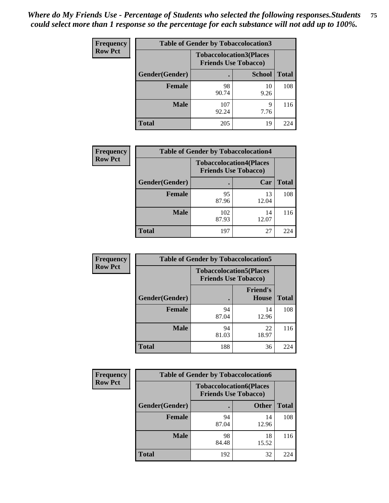| <b>Frequency</b> | <b>Table of Gender by Tobaccolocation3</b> |                             |                                |              |
|------------------|--------------------------------------------|-----------------------------|--------------------------------|--------------|
| <b>Row Pct</b>   |                                            | <b>Friends Use Tobacco)</b> | <b>Tobaccolocation3(Places</b> |              |
|                  | Gender(Gender)                             |                             | <b>School</b>                  | <b>Total</b> |
|                  | Female                                     | 98<br>90.74                 | 10<br>9.26                     | 108          |
|                  | <b>Male</b>                                | 107<br>92.24                | 9<br>7.76                      | 116          |
|                  | <b>Total</b>                               | 205                         | 19                             | 224          |

| <b>Frequency</b> | <b>Table of Gender by Tobaccolocation4</b> |                             |                                |              |
|------------------|--------------------------------------------|-----------------------------|--------------------------------|--------------|
| <b>Row Pct</b>   |                                            | <b>Friends Use Tobacco)</b> | <b>Tobaccolocation4(Places</b> |              |
|                  | Gender(Gender)                             |                             | Car                            | <b>Total</b> |
|                  | <b>Female</b>                              | 95<br>87.96                 | 13<br>12.04                    | 108          |
|                  | <b>Male</b>                                | 102<br>87.93                | 14<br>12.07                    | 116          |
|                  | <b>Total</b>                               | 197                         | 27                             | 224          |

| <b>Frequency</b> | <b>Table of Gender by Tobaccolocation5</b> |                                                               |                                 |              |
|------------------|--------------------------------------------|---------------------------------------------------------------|---------------------------------|--------------|
| <b>Row Pct</b>   |                                            | <b>Tobaccolocation5(Places</b><br><b>Friends Use Tobacco)</b> |                                 |              |
|                  | <b>Gender(Gender)</b>                      |                                                               | <b>Friend's</b><br><b>House</b> | <b>Total</b> |
|                  | <b>Female</b>                              | 94<br>87.04                                                   | 14<br>12.96                     | 108          |
|                  | <b>Male</b>                                | 94<br>81.03                                                   | 22<br>18.97                     | 116          |
|                  | <b>Total</b>                               | 188                                                           | 36                              | 224          |

| <b>Frequency</b> | <b>Table of Gender by Tobaccolocation6</b> |                             |                                |              |  |
|------------------|--------------------------------------------|-----------------------------|--------------------------------|--------------|--|
| <b>Row Pct</b>   |                                            | <b>Friends Use Tobacco)</b> | <b>Tobaccolocation6(Places</b> |              |  |
|                  | Gender(Gender)                             |                             | <b>Other</b>                   | <b>Total</b> |  |
|                  | Female                                     | 94<br>87.04                 | 14<br>12.96                    | 108          |  |
|                  | <b>Male</b>                                | 98<br>84.48                 | 18<br>15.52                    | 116          |  |
|                  | <b>Total</b>                               | 192                         | 32                             | 224          |  |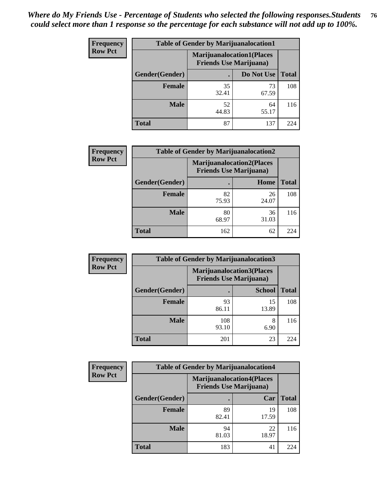| <b>Frequency</b> | <b>Table of Gender by Marijuanalocation1</b> |                                |                                  |              |  |
|------------------|----------------------------------------------|--------------------------------|----------------------------------|--------------|--|
| <b>Row Pct</b>   |                                              | <b>Friends Use Marijuana</b> ) | <b>Marijuanalocation1(Places</b> |              |  |
|                  | Gender(Gender)                               |                                | Do Not Use                       | <b>Total</b> |  |
|                  | <b>Female</b>                                | 35<br>32.41                    | 73<br>67.59                      | 108          |  |
|                  | <b>Male</b>                                  | 52<br>44.83                    | 64<br>55.17                      | 116          |  |
|                  | <b>Total</b>                                 | 87                             | 137                              | 224          |  |

| <b>Frequency</b> | <b>Table of Gender by Marijuanalocation2</b> |                                                                    |             |              |
|------------------|----------------------------------------------|--------------------------------------------------------------------|-------------|--------------|
| <b>Row Pct</b>   |                                              | <b>Marijuanalocation2(Places</b><br><b>Friends Use Marijuana</b> ) |             |              |
|                  | Gender(Gender)                               |                                                                    | Home        | <b>Total</b> |
|                  | Female                                       | 82<br>75.93                                                        | 26<br>24.07 | 108          |
|                  | <b>Male</b>                                  | 80<br>68.97                                                        | 36<br>31.03 | 116          |
|                  | <b>Total</b>                                 | 162                                                                | 62          | 224          |

| Frequency      | <b>Table of Gender by Marijuanalocation3</b> |                                                                     |               |              |
|----------------|----------------------------------------------|---------------------------------------------------------------------|---------------|--------------|
| <b>Row Pct</b> |                                              | <b>Marijuanalocation3(Places)</b><br><b>Friends Use Marijuana</b> ) |               |              |
|                | Gender(Gender)                               |                                                                     | <b>School</b> | <b>Total</b> |
|                | Female                                       | 93<br>86.11                                                         | 15<br>13.89   | 108          |
|                | <b>Male</b>                                  | 108<br>93.10                                                        | 6.90          | 116          |
|                | <b>Total</b>                                 | 201                                                                 | 23            | 224          |

| <b>Frequency</b> | <b>Table of Gender by Marijuanalocation4</b> |                                |                                  |              |
|------------------|----------------------------------------------|--------------------------------|----------------------------------|--------------|
| <b>Row Pct</b>   |                                              | <b>Friends Use Marijuana</b> ) | <b>Marijuanalocation4(Places</b> |              |
|                  | Gender(Gender)                               |                                | Car                              | <b>Total</b> |
|                  | Female                                       | 89<br>82.41                    | 19<br>17.59                      | 108          |
|                  | <b>Male</b>                                  | 94<br>81.03                    | 22<br>18.97                      | 116          |
|                  | <b>Total</b>                                 | 183                            | 41                               | 224          |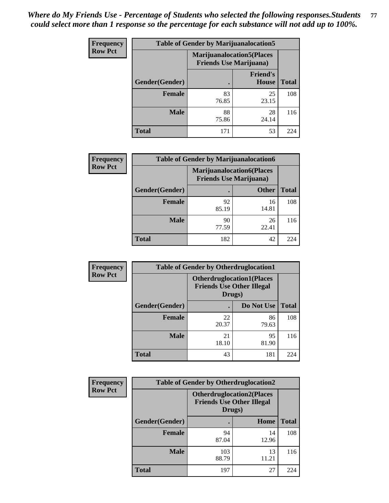| Frequency      | <b>Table of Gender by Marijuanalocation5</b> |                                                                    |                                 |              |
|----------------|----------------------------------------------|--------------------------------------------------------------------|---------------------------------|--------------|
| <b>Row Pct</b> |                                              | <b>Marijuanalocation5(Places</b><br><b>Friends Use Marijuana</b> ) |                                 |              |
|                | Gender(Gender)                               |                                                                    | <b>Friend's</b><br><b>House</b> | <b>Total</b> |
|                | Female                                       | 83<br>76.85                                                        | 25<br>23.15                     | 108          |
|                | <b>Male</b>                                  | 88<br>75.86                                                        | 28<br>24.14                     | 116          |
|                | <b>Total</b>                                 | 171                                                                | 53                              | 224          |

| <b>Frequency</b> | <b>Table of Gender by Marijuanalocation6</b> |                                |                                  |              |
|------------------|----------------------------------------------|--------------------------------|----------------------------------|--------------|
| <b>Row Pct</b>   |                                              | <b>Friends Use Marijuana</b> ) | <b>Marijuanalocation6(Places</b> |              |
|                  | Gender(Gender)                               |                                | <b>Other</b>                     | <b>Total</b> |
|                  | <b>Female</b>                                | 92<br>85.19                    | 16<br>14.81                      | 108          |
|                  | <b>Male</b>                                  | 90<br>77.59                    | 26<br>22.41                      | 116          |
|                  | <b>Total</b>                                 | 182                            | 42                               | 224          |

| <b>Frequency</b> | <b>Table of Gender by Otherdruglocation1</b> |                                            |                                  |              |
|------------------|----------------------------------------------|--------------------------------------------|----------------------------------|--------------|
| <b>Row Pct</b>   |                                              | <b>Friends Use Other Illegal</b><br>Drugs) | <b>Otherdruglocation1(Places</b> |              |
|                  | Gender(Gender)                               |                                            | Do Not Use                       | <b>Total</b> |
|                  | Female                                       | 22<br>20.37                                | 86<br>79.63                      | 108          |
|                  | <b>Male</b>                                  | 21<br>18.10                                | 95<br>81.90                      | 116          |
|                  | <b>Total</b>                                 | 43                                         | 181                              | 224          |

| <b>Frequency</b> | <b>Table of Gender by Otherdruglocation2</b> |                                                                                |             |              |
|------------------|----------------------------------------------|--------------------------------------------------------------------------------|-------------|--------------|
| <b>Row Pct</b>   |                                              | <b>Otherdruglocation2(Places</b><br><b>Friends Use Other Illegal</b><br>Drugs) |             |              |
|                  | Gender(Gender)                               |                                                                                | Home        | <b>Total</b> |
|                  | Female                                       | 94<br>87.04                                                                    | 14<br>12.96 | 108          |
|                  | <b>Male</b>                                  | 103<br>88.79                                                                   | 13<br>11.21 | 116          |
|                  | <b>Total</b>                                 | 197                                                                            | 27          | 224          |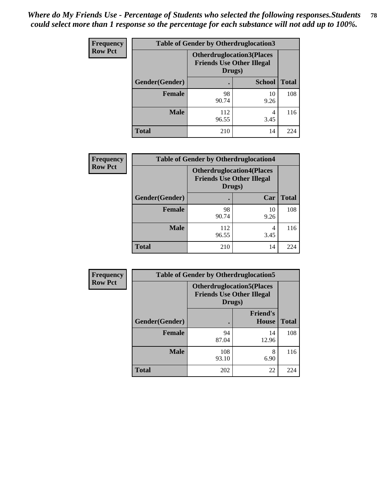| Frequency      | <b>Table of Gender by Otherdruglocation3</b> |                                                                                |               |              |
|----------------|----------------------------------------------|--------------------------------------------------------------------------------|---------------|--------------|
| <b>Row Pct</b> |                                              | <b>Otherdruglocation3(Places</b><br><b>Friends Use Other Illegal</b><br>Drugs) |               |              |
|                | Gender(Gender)                               |                                                                                | <b>School</b> | <b>Total</b> |
|                | Female                                       | 98<br>90.74                                                                    | 10<br>9.26    | 108          |
|                | <b>Male</b>                                  | 112<br>96.55                                                                   | 4<br>3.45     | 116          |
|                | <b>Total</b>                                 | 210                                                                            | 14            | 224          |

| Frequency      | <b>Table of Gender by Otherdruglocation4</b> |                                                                                |            |              |
|----------------|----------------------------------------------|--------------------------------------------------------------------------------|------------|--------------|
| <b>Row Pct</b> |                                              | <b>Otherdruglocation4(Places</b><br><b>Friends Use Other Illegal</b><br>Drugs) |            |              |
|                | Gender(Gender)                               |                                                                                | Car        | <b>Total</b> |
|                | <b>Female</b>                                | 98<br>90.74                                                                    | 10<br>9.26 | 108          |
|                | <b>Male</b>                                  | 112<br>96.55                                                                   | 4<br>3.45  | 116          |
|                | <b>Total</b>                                 | 210                                                                            | 14         | 224          |

| Frequency      | <b>Table of Gender by Otherdruglocation5</b>                                   |              |                                 |              |
|----------------|--------------------------------------------------------------------------------|--------------|---------------------------------|--------------|
| <b>Row Pct</b> | <b>Otherdruglocation5(Places</b><br><b>Friends Use Other Illegal</b><br>Drugs) |              |                                 |              |
|                | Gender(Gender)                                                                 |              | <b>Friend's</b><br><b>House</b> | <b>Total</b> |
|                | Female                                                                         | 94<br>87.04  | 14<br>12.96                     | 108          |
|                | <b>Male</b>                                                                    | 108<br>93.10 | 8<br>6.90                       | 116          |
|                | <b>Total</b>                                                                   | 202          | 22                              | 224          |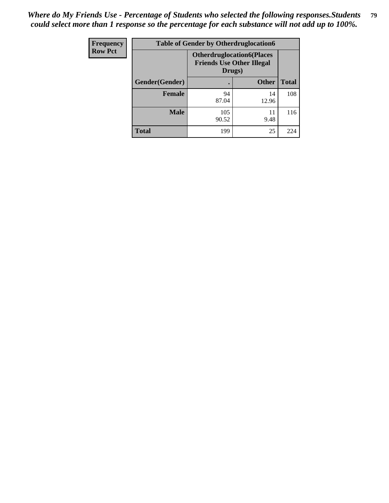| <b>Frequency</b> | <b>Table of Gender by Otherdruglocation6</b> |                                            |                                  |              |
|------------------|----------------------------------------------|--------------------------------------------|----------------------------------|--------------|
| <b>Row Pct</b>   |                                              | <b>Friends Use Other Illegal</b><br>Drugs) | <b>Otherdruglocation6(Places</b> |              |
|                  | Gender(Gender)                               |                                            | <b>Other</b>                     | <b>Total</b> |
|                  | Female                                       | 94<br>87.04                                | 14<br>12.96                      | 108          |
|                  | <b>Male</b>                                  | 105<br>90.52                               | 11<br>9.48                       | 116          |
|                  | <b>Total</b>                                 | 199                                        | 25                               | 224          |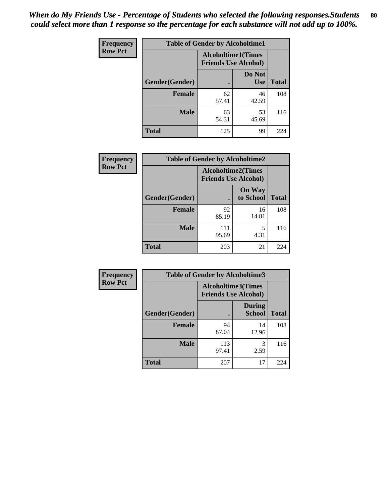| <b>Frequency</b> | <b>Table of Gender by Alcoholtime1</b> |                                                          |                      |              |
|------------------|----------------------------------------|----------------------------------------------------------|----------------------|--------------|
| <b>Row Pct</b>   |                                        | <b>Alcoholtime1(Times</b><br><b>Friends Use Alcohol)</b> |                      |              |
|                  | Gender(Gender)                         | $\bullet$                                                | Do Not<br><b>Use</b> | <b>Total</b> |
|                  | <b>Female</b>                          | 62<br>57.41                                              | 46<br>42.59          | 108          |
|                  | <b>Male</b>                            | 63<br>54.31                                              | 53<br>45.69          | 116          |
|                  | <b>Total</b>                           | 125                                                      | 99                   | 224          |

| <b>Frequency</b> | <b>Table of Gender by Alcoholtime2</b> |                                                          |                            |              |
|------------------|----------------------------------------|----------------------------------------------------------|----------------------------|--------------|
| <b>Row Pct</b>   |                                        | <b>Alcoholtime2(Times</b><br><b>Friends Use Alcohol)</b> |                            |              |
|                  | Gender(Gender)                         |                                                          | <b>On Way</b><br>to School | <b>Total</b> |
|                  | <b>Female</b>                          | 92<br>85.19                                              | 16<br>14.81                | 108          |
|                  | <b>Male</b>                            | 111<br>95.69                                             | 5<br>4.31                  | 116          |
|                  | <b>Total</b>                           | 203                                                      | 21                         | 224          |

| <b>Frequency</b> | <b>Table of Gender by Alcoholtime3</b> |                                                   |                                |              |
|------------------|----------------------------------------|---------------------------------------------------|--------------------------------|--------------|
| <b>Row Pct</b>   |                                        | Alcoholtime3(Times<br><b>Friends Use Alcohol)</b> |                                |              |
|                  | Gender(Gender)                         |                                                   | <b>During</b><br><b>School</b> | <b>Total</b> |
|                  | Female                                 | 94<br>87.04                                       | 14<br>12.96                    | 108          |
|                  | <b>Male</b>                            | 113<br>97.41                                      | 3<br>2.59                      | 116          |
|                  | <b>Total</b>                           | 207                                               | 17                             | 224          |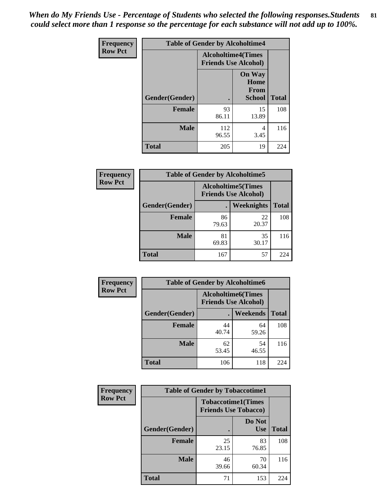*When do My Friends Use - Percentage of Students who selected the following responses.Students could select more than 1 response so the percentage for each substance will not add up to 100%.* **81**

| <b>Frequency</b> | <b>Table of Gender by Alcoholtime4</b> |                                                          |                                                       |              |
|------------------|----------------------------------------|----------------------------------------------------------|-------------------------------------------------------|--------------|
| <b>Row Pct</b>   |                                        | <b>Alcoholtime4(Times</b><br><b>Friends Use Alcohol)</b> |                                                       |              |
|                  | <b>Gender</b> (Gender)                 | $\bullet$                                                | <b>On Way</b><br>Home<br><b>From</b><br><b>School</b> | <b>Total</b> |
|                  | <b>Female</b>                          | 93<br>86.11                                              | 15<br>13.89                                           | 108          |
|                  | <b>Male</b>                            | 112<br>96.55                                             | 4<br>3.45                                             | 116          |
|                  | <b>Total</b>                           | 205                                                      | 19                                                    | 224          |

| <b>Frequency</b> | <b>Table of Gender by Alcoholtime5</b> |             |                                                           |              |  |
|------------------|----------------------------------------|-------------|-----------------------------------------------------------|--------------|--|
| <b>Row Pct</b>   |                                        |             | <b>Alcoholtime5</b> (Times<br><b>Friends Use Alcohol)</b> |              |  |
|                  | Gender(Gender)                         |             | Weeknights                                                | <b>Total</b> |  |
|                  | <b>Female</b>                          | 86<br>79.63 | 22<br>20.37                                               | 108          |  |
|                  | <b>Male</b>                            | 81<br>69.83 | 35<br>30.17                                               | 116          |  |
|                  | <b>Total</b>                           | 167         | 57                                                        | 224          |  |

| Frequency      | <b>Table of Gender by Alcoholtime6</b> |                                                          |             |              |
|----------------|----------------------------------------|----------------------------------------------------------|-------------|--------------|
| <b>Row Pct</b> |                                        | <b>Alcoholtime6(Times</b><br><b>Friends Use Alcohol)</b> |             |              |
|                | Gender(Gender)                         |                                                          | Weekends    | <b>Total</b> |
|                | Female                                 | 44<br>40.74                                              | 64<br>59.26 | 108          |
|                | <b>Male</b>                            | 62<br>53.45                                              | 54<br>46.55 | 116          |
|                | <b>Total</b>                           | 106                                                      | 118         | 224          |

| Frequency      | <b>Table of Gender by Tobaccotime1</b> |                                                          |                      |              |
|----------------|----------------------------------------|----------------------------------------------------------|----------------------|--------------|
| <b>Row Pct</b> |                                        | <b>Tobaccotime1(Times</b><br><b>Friends Use Tobacco)</b> |                      |              |
|                | Gender(Gender)                         |                                                          | Do Not<br><b>Use</b> | <b>Total</b> |
|                | <b>Female</b>                          | 25<br>23.15                                              | 83<br>76.85          | 108          |
|                | <b>Male</b>                            | 46<br>39.66                                              | 70<br>60.34          | 116          |
|                | <b>Total</b>                           | 71                                                       | 153                  | 224          |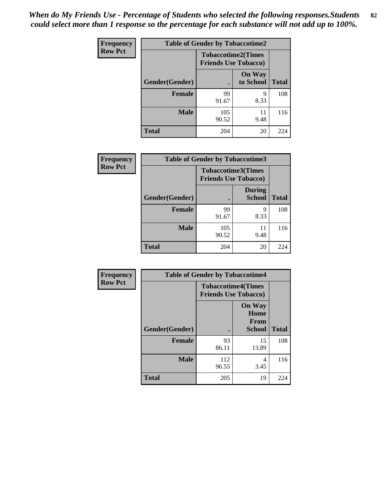| <b>Frequency</b> | <b>Table of Gender by Tobaccotime2</b> |                                                          |                            |              |
|------------------|----------------------------------------|----------------------------------------------------------|----------------------------|--------------|
| <b>Row Pct</b>   |                                        | <b>Tobaccotime2(Times</b><br><b>Friends Use Tobacco)</b> |                            |              |
|                  | Gender(Gender)                         |                                                          | <b>On Way</b><br>to School | <b>Total</b> |
|                  | <b>Female</b>                          | 99<br>91.67                                              | 9<br>8.33                  | 108          |
|                  | <b>Male</b>                            | 105<br>90.52                                             | 11<br>9.48                 | 116          |
|                  | <b>Total</b>                           | 204                                                      | 20                         | 224          |

| <b>Frequency</b> | <b>Table of Gender by Tobaccotime3</b> |                                                          |                                |              |
|------------------|----------------------------------------|----------------------------------------------------------|--------------------------------|--------------|
| <b>Row Pct</b>   |                                        | <b>Tobaccotime3(Times</b><br><b>Friends Use Tobacco)</b> |                                |              |
|                  | Gender(Gender)                         | г                                                        | <b>During</b><br><b>School</b> | <b>Total</b> |
|                  | Female                                 | 99<br>91.67                                              | Q<br>8.33                      | 108          |
|                  | <b>Male</b>                            | 105<br>90.52                                             | 11<br>9.48                     | 116          |
|                  | <b>Total</b>                           | 204                                                      | 20                             | 224          |

| Frequency      | <b>Table of Gender by Tobaccotime4</b> |                                                          |                                                       |              |
|----------------|----------------------------------------|----------------------------------------------------------|-------------------------------------------------------|--------------|
| <b>Row Pct</b> |                                        | <b>Tobaccotime4(Times</b><br><b>Friends Use Tobacco)</b> |                                                       |              |
|                | Gender(Gender)                         |                                                          | <b>On Way</b><br>Home<br><b>From</b><br><b>School</b> | <b>Total</b> |
|                | <b>Female</b>                          | 93<br>86.11                                              | 15<br>13.89                                           | 108          |
|                | <b>Male</b>                            | 112<br>96.55                                             | 4<br>3.45                                             | 116          |
|                | <b>Total</b>                           | 205                                                      | 19                                                    | 224          |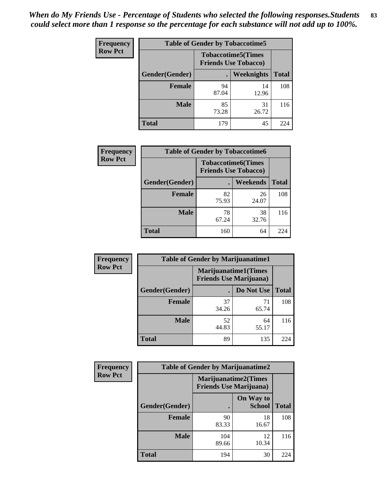| Frequency      | <b>Table of Gender by Tobaccotime5</b> |             |                                                          |              |  |
|----------------|----------------------------------------|-------------|----------------------------------------------------------|--------------|--|
| <b>Row Pct</b> |                                        |             | <b>Tobaccotime5(Times</b><br><b>Friends Use Tobacco)</b> |              |  |
|                | Gender(Gender)                         |             | Weeknights                                               | <b>Total</b> |  |
|                | <b>Female</b>                          | 94<br>87.04 | 14<br>12.96                                              | 108          |  |
|                | <b>Male</b>                            | 85<br>73.28 | 31<br>26.72                                              | 116          |  |
|                | <b>Total</b>                           | 179         | 45                                                       | 224          |  |

| Frequency      | <b>Table of Gender by Tobaccotime6</b> |                                                          |             |              |
|----------------|----------------------------------------|----------------------------------------------------------|-------------|--------------|
| <b>Row Pct</b> |                                        | <b>Tobaccotime6(Times</b><br><b>Friends Use Tobacco)</b> |             |              |
|                | Gender(Gender)                         |                                                          | Weekends    | <b>Total</b> |
|                | Female                                 | 82<br>75.93                                              | 26<br>24.07 | 108          |
|                | <b>Male</b>                            | 78<br>67.24                                              | 38<br>32.76 | 116          |
|                | <b>Total</b>                           | 160                                                      | 64          | 224          |

| <b>Frequency</b> | <b>Table of Gender by Marijuanatime1</b> |                                |                             |              |
|------------------|------------------------------------------|--------------------------------|-----------------------------|--------------|
| <b>Row Pct</b>   |                                          | <b>Friends Use Marijuana</b> ) | <b>Marijuanatime1(Times</b> |              |
|                  | Gender(Gender)                           |                                | Do Not Use                  | <b>Total</b> |
|                  | <b>Female</b>                            | 37<br>34.26                    | 71<br>65.74                 | 108          |
|                  | <b>Male</b>                              | 52<br>44.83                    | 64<br>55.17                 | 116          |
|                  | <b>Total</b>                             | 89                             | 135                         | 224          |

| <b>Frequency</b> | <b>Table of Gender by Marijuanatime2</b> |                                                               |                            |              |
|------------------|------------------------------------------|---------------------------------------------------------------|----------------------------|--------------|
| <b>Row Pct</b>   |                                          | <b>Marijuanatime2(Times</b><br><b>Friends Use Marijuana</b> ) |                            |              |
|                  | Gender(Gender)                           |                                                               | On Way to<br><b>School</b> | <b>Total</b> |
|                  | Female                                   | 90<br>83.33                                                   | 18<br>16.67                | 108          |
|                  | <b>Male</b>                              | 104<br>89.66                                                  | 12<br>10.34                | 116          |
|                  | <b>Total</b>                             | 194                                                           | 30                         | 224          |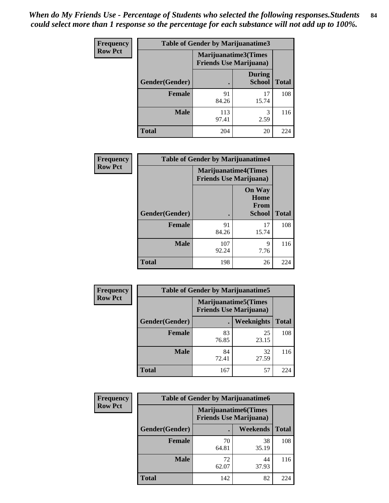*When do My Friends Use - Percentage of Students who selected the following responses.Students could select more than 1 response so the percentage for each substance will not add up to 100%.* **84**

| <b>Frequency</b> | Table of Gender by Marijuanatime3 |                                                        |                                |              |
|------------------|-----------------------------------|--------------------------------------------------------|--------------------------------|--------------|
| <b>Row Pct</b>   |                                   | Marijuanatime3(Times<br><b>Friends Use Marijuana</b> ) |                                |              |
|                  | Gender(Gender)                    |                                                        | <b>During</b><br><b>School</b> | <b>Total</b> |
|                  | <b>Female</b>                     | 91<br>84.26                                            | 17<br>15.74                    | 108          |
|                  | <b>Male</b>                       | 113<br>97.41                                           | 3<br>2.59                      | 116          |
|                  | <b>Total</b>                      | 204                                                    | 20                             | 224          |

| Frequency      | <b>Table of Gender by Marijuanatime4</b> |                                |                                                       |              |
|----------------|------------------------------------------|--------------------------------|-------------------------------------------------------|--------------|
| <b>Row Pct</b> |                                          | <b>Friends Use Marijuana</b> ) | <b>Marijuanatime4</b> (Times                          |              |
|                | Gender(Gender)                           |                                | <b>On Way</b><br>Home<br><b>From</b><br><b>School</b> | <b>Total</b> |
|                | <b>Female</b>                            | 91<br>84.26                    | 17<br>15.74                                           | 108          |
|                | <b>Male</b>                              | 107<br>92.24                   | 9<br>7.76                                             | 116          |
|                | <b>Total</b>                             | 198                            | 26                                                    | 224          |

| Frequency      | <b>Table of Gender by Marijuanatime5</b> |                                                                |             |              |  |
|----------------|------------------------------------------|----------------------------------------------------------------|-------------|--------------|--|
| <b>Row Pct</b> |                                          | <b>Marijuanatime5</b> (Times<br><b>Friends Use Marijuana</b> ) |             |              |  |
|                | Gender(Gender)                           |                                                                | Weeknights  | <b>Total</b> |  |
|                | <b>Female</b>                            | 83<br>76.85                                                    | 25<br>23.15 | 108          |  |
|                | <b>Male</b>                              | 84<br>72.41                                                    | 32<br>27.59 | 116          |  |
|                | <b>Total</b>                             | 167                                                            | 57          | 224          |  |

| <b>Frequency</b> | <b>Table of Gender by Marijuanatime6</b> |                                                               |                 |              |  |
|------------------|------------------------------------------|---------------------------------------------------------------|-----------------|--------------|--|
| <b>Row Pct</b>   |                                          | <b>Marijuanatime6(Times</b><br><b>Friends Use Marijuana</b> ) |                 |              |  |
|                  | Gender(Gender)                           |                                                               | <b>Weekends</b> | <b>Total</b> |  |
|                  | <b>Female</b>                            | 70<br>64.81                                                   | 38<br>35.19     | 108          |  |
|                  | <b>Male</b>                              | 72<br>62.07                                                   | 44<br>37.93     | 116          |  |
|                  | <b>Total</b>                             | 142                                                           | 82              | 224          |  |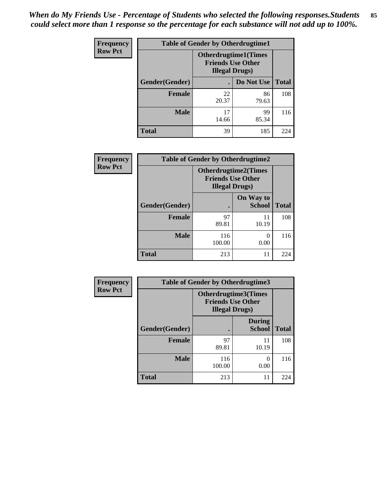| <b>Frequency</b> | <b>Table of Gender by Otherdrugtime1</b> |                                                                                    |             |              |
|------------------|------------------------------------------|------------------------------------------------------------------------------------|-------------|--------------|
| <b>Row Pct</b>   |                                          | <b>Otherdrugtime1</b> (Times<br><b>Friends Use Other</b><br><b>Illegal Drugs</b> ) |             |              |
|                  | Gender(Gender)                           |                                                                                    | Do Not Use  | <b>Total</b> |
|                  | <b>Female</b>                            | 22<br>20.37                                                                        | 86<br>79.63 | 108          |
|                  | <b>Male</b>                              | 17<br>14.66                                                                        | 99<br>85.34 | 116          |
|                  | <b>Total</b>                             | 39                                                                                 | 185         | 224          |

| Frequency      | <b>Table of Gender by Otherdrugtime2</b> |                                                                                   |                            |              |
|----------------|------------------------------------------|-----------------------------------------------------------------------------------|----------------------------|--------------|
| <b>Row Pct</b> |                                          | <b>Otherdrugtime2(Times</b><br><b>Friends Use Other</b><br><b>Illegal Drugs</b> ) |                            |              |
|                | Gender(Gender)                           |                                                                                   | On Way to<br><b>School</b> | <b>Total</b> |
|                | <b>Female</b>                            | 97<br>89.81                                                                       | 11<br>10.19                | 108          |
|                | <b>Male</b>                              | 116<br>100.00                                                                     | $\Omega$<br>0.00           | 116          |
|                | <b>Total</b>                             | 213                                                                               | 11                         | 224          |

| <b>Frequency</b> | <b>Table of Gender by Otherdrugtime3</b>                                   |               |                                |              |  |
|------------------|----------------------------------------------------------------------------|---------------|--------------------------------|--------------|--|
| <b>Row Pct</b>   | Otherdrugtime3(Times<br><b>Friends Use Other</b><br><b>Illegal Drugs</b> ) |               |                                |              |  |
|                  | Gender(Gender)                                                             |               | <b>During</b><br><b>School</b> | <b>Total</b> |  |
|                  | <b>Female</b>                                                              | 97<br>89.81   | 11<br>10.19                    | 108          |  |
|                  | <b>Male</b>                                                                | 116<br>100.00 | $\left( \right)$<br>0.00       | 116          |  |
|                  | <b>Total</b>                                                               | 213           | 11                             | 224          |  |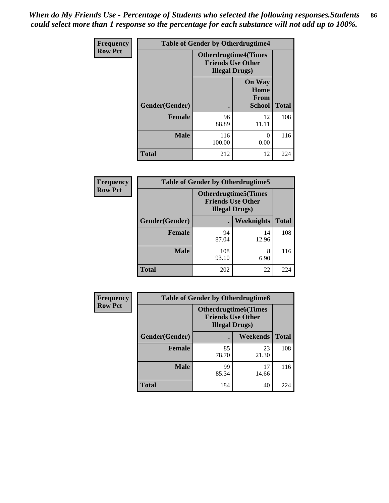*When do My Friends Use - Percentage of Students who selected the following responses.Students could select more than 1 response so the percentage for each substance will not add up to 100%.* **86**

| <b>Frequency</b> | <b>Table of Gender by Otherdrugtime4</b> |                                                                                   |                                                       |              |
|------------------|------------------------------------------|-----------------------------------------------------------------------------------|-------------------------------------------------------|--------------|
| <b>Row Pct</b>   |                                          | <b>Otherdrugtime4(Times</b><br><b>Friends Use Other</b><br><b>Illegal Drugs</b> ) |                                                       |              |
|                  | Gender(Gender)                           |                                                                                   | <b>On Way</b><br>Home<br><b>From</b><br><b>School</b> | <b>Total</b> |
|                  | Female                                   | 96<br>88.89                                                                       | 12<br>11.11                                           | 108          |
|                  | <b>Male</b>                              | 116<br>100.00                                                                     | 0<br>0.00                                             | 116          |
|                  | <b>Total</b>                             | 212                                                                               | 12                                                    | 224          |

| Frequency      | <b>Table of Gender by Otherdrugtime5</b> |                                                                                    |             |              |
|----------------|------------------------------------------|------------------------------------------------------------------------------------|-------------|--------------|
| <b>Row Pct</b> |                                          | <b>Otherdrugtime5</b> (Times<br><b>Friends Use Other</b><br><b>Illegal Drugs</b> ) |             |              |
|                | Gender(Gender)                           |                                                                                    | Weeknights  | <b>Total</b> |
|                | <b>Female</b>                            | 94<br>87.04                                                                        | 14<br>12.96 | 108          |
|                | <b>Male</b>                              | 108<br>93.10                                                                       | 8<br>6.90   | 116          |
|                | <b>Total</b>                             | 202                                                                                | 22          | 224          |

| <b>Frequency</b> | <b>Table of Gender by Otherdrugtime6</b> |                                                                                   |             |              |  |
|------------------|------------------------------------------|-----------------------------------------------------------------------------------|-------------|--------------|--|
| <b>Row Pct</b>   |                                          | <b>Otherdrugtime6(Times</b><br><b>Friends Use Other</b><br><b>Illegal Drugs</b> ) |             |              |  |
|                  | Gender(Gender)                           |                                                                                   | Weekends    | <b>Total</b> |  |
|                  | Female                                   | 85<br>78.70                                                                       | 23<br>21.30 | 108          |  |
|                  | <b>Male</b>                              | 99<br>85.34                                                                       | 17<br>14.66 | 116          |  |
|                  | <b>Total</b>                             | 184                                                                               | 40          | 224          |  |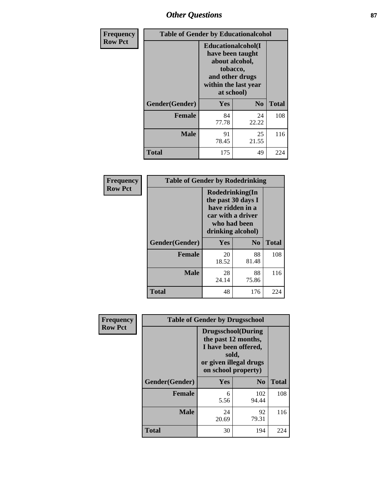# *Other Questions* **87**

| Frequency      | <b>Table of Gender by Educationalcohol</b> |                                                                                                                               |                |              |
|----------------|--------------------------------------------|-------------------------------------------------------------------------------------------------------------------------------|----------------|--------------|
| <b>Row Pct</b> |                                            | Educationalcohol(I<br>have been taught<br>about alcohol,<br>tobacco,<br>and other drugs<br>within the last year<br>at school) |                |              |
|                | Gender(Gender)                             | <b>Yes</b>                                                                                                                    | N <sub>0</sub> | <b>Total</b> |
|                | <b>Female</b>                              | 84<br>77.78                                                                                                                   | 24<br>22.22    | 108          |
|                | <b>Male</b>                                | 91<br>78.45                                                                                                                   | 25<br>21.55    | 116          |
|                | <b>Total</b>                               | 175                                                                                                                           | 49             | 224          |

| Frequency      | <b>Table of Gender by Rodedrinking</b> |                                                                                                                     |             |              |  |
|----------------|----------------------------------------|---------------------------------------------------------------------------------------------------------------------|-------------|--------------|--|
| <b>Row Pct</b> |                                        | Rodedrinking(In<br>the past 30 days I<br>have ridden in a<br>car with a driver<br>who had been<br>drinking alcohol) |             |              |  |
|                | Gender(Gender)                         | Yes                                                                                                                 | $\bf N_0$   | <b>Total</b> |  |
|                | <b>Female</b>                          | 20<br>18.52                                                                                                         | 88<br>81.48 | 108          |  |
|                | <b>Male</b>                            | 28<br>24.14                                                                                                         | 88<br>75.86 | 116          |  |
|                | <b>Total</b>                           | 48                                                                                                                  | 176         | 224          |  |

| Frequency      | <b>Table of Gender by Drugsschool</b> |                                                                                                                                     |                |              |  |
|----------------|---------------------------------------|-------------------------------------------------------------------------------------------------------------------------------------|----------------|--------------|--|
| <b>Row Pct</b> |                                       | <b>Drugsschool</b> (During<br>the past 12 months,<br>I have been offered,<br>sold,<br>or given illegal drugs<br>on school property) |                |              |  |
|                | Gender(Gender)                        | <b>Yes</b>                                                                                                                          | N <sub>0</sub> | <b>Total</b> |  |
|                | <b>Female</b>                         | 6<br>5.56                                                                                                                           | 102<br>94.44   | 108          |  |
|                | <b>Male</b>                           | 24<br>20.69                                                                                                                         | 92<br>79.31    | 116          |  |
|                | <b>Total</b>                          | 30                                                                                                                                  | 194            | 224          |  |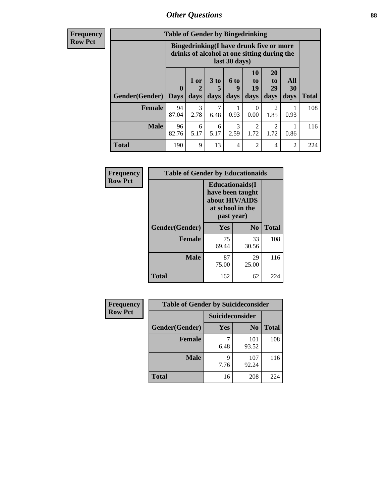## *Other Questions* **88**

**Frequency Row Pct**

| <b>Table of Gender by Bingedrinking</b> |                         |                                                                                                         |                   |                   |                        |                               |                   |              |
|-----------------------------------------|-------------------------|---------------------------------------------------------------------------------------------------------|-------------------|-------------------|------------------------|-------------------------------|-------------------|--------------|
|                                         |                         | Bingedrinking(I have drunk five or more<br>drinks of alcohol at one sitting during the<br>last 30 days) |                   |                   |                        |                               |                   |              |
| <b>Gender</b> (Gender)                  | $\bf{0}$<br><b>Days</b> | 1 or<br>days                                                                                            | 3 to<br>5<br>days | 6 to<br>9<br>days | 10<br>to<br>19<br>days | <b>20</b><br>to<br>29<br>days | All<br>30<br>days | <b>Total</b> |
|                                         |                         |                                                                                                         |                   |                   |                        |                               |                   |              |
| <b>Female</b>                           | 94<br>87.04             | 3<br>2.78                                                                                               | 7<br>6.48         | 0.93              | $\Omega$<br>0.00       | 2<br>1.85                     | 0.93              | 108          |
| <b>Male</b>                             | 96<br>82.76             | 6<br>5.17                                                                                               | 6<br>5.17         | 3<br>2.59         | 2<br>1.72              | 2<br>1.72                     | 0.86              | 116          |

| Frequency      | <b>Table of Gender by Educationaids</b> |                                                                                                 |             |              |  |
|----------------|-----------------------------------------|-------------------------------------------------------------------------------------------------|-------------|--------------|--|
| <b>Row Pct</b> |                                         | <b>Educationaids</b> (I<br>have been taught<br>about HIV/AIDS<br>at school in the<br>past year) |             |              |  |
|                | Gender(Gender)                          | Yes                                                                                             | $\bf N_0$   | <b>Total</b> |  |
|                | <b>Female</b>                           | 75<br>69.44                                                                                     | 33<br>30.56 | 108          |  |
|                | <b>Male</b>                             | 87<br>75.00                                                                                     | 29<br>25.00 | 116          |  |
|                | <b>Total</b>                            | 162                                                                                             | 62          | 224          |  |

| <b>Frequency</b> | <b>Table of Gender by Suicideconsider</b> |                 |                |              |  |
|------------------|-------------------------------------------|-----------------|----------------|--------------|--|
| <b>Row Pct</b>   |                                           | Suicideconsider |                |              |  |
|                  | Gender(Gender)                            | <b>Yes</b>      | N <sub>0</sub> | <b>Total</b> |  |
|                  | <b>Female</b>                             | 6.48            | 101<br>93.52   | 108          |  |
|                  | <b>Male</b>                               | q<br>7.76       | 107<br>92.24   | 116          |  |
|                  | Total                                     | 16              | 208            | 224          |  |